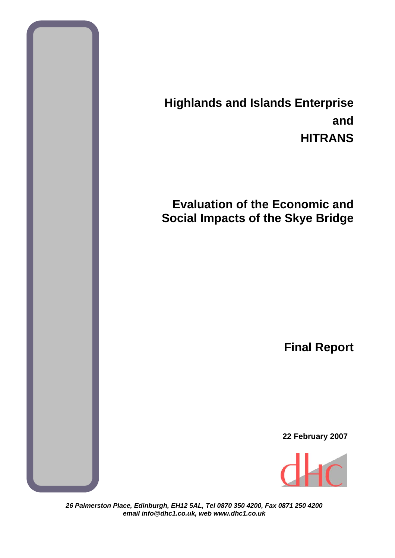

# **Highlands and Islands Enterprise and HITRANS**

# **Evaluation of the Economic and Social Impacts of the Skye Bridge**

**Final Report**

**22 February 2007** 



*26 Palmerston Place, Edinburgh, EH12 5AL, Tel 0870 350 4200, Fax 0871 250 4200 email info@dhc1.co.uk, web www.dhc1.co.uk*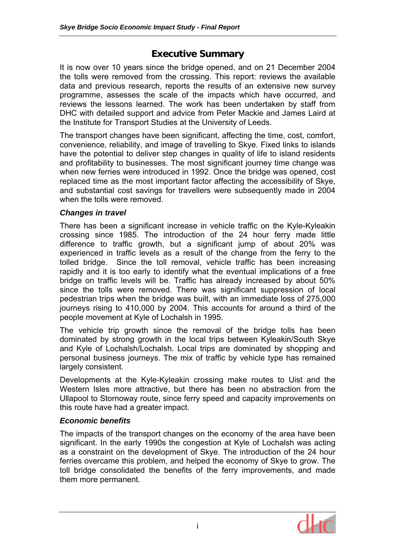# **Executive Summary**

It is now over 10 years since the bridge opened, and on 21 December 2004 the tolls were removed from the crossing. This report: reviews the available data and previous research, reports the results of an extensive new survey programme, assesses the scale of the impacts which have occurred, and reviews the lessons learned. The work has been undertaken by staff from DHC with detailed support and advice from Peter Mackie and James Laird at the Institute for Transport Studies at the University of Leeds.

The transport changes have been significant, affecting the time, cost, comfort, convenience, reliability, and image of travelling to Skye. Fixed links to islands have the potential to deliver step changes in quality of life to island residents and profitability to businesses. The most significant journey time change was when new ferries were introduced in 1992. Once the bridge was opened, cost replaced time as the most important factor affecting the accessibility of Skye, and substantial cost savings for travellers were subsequently made in 2004 when the tolls were removed.

#### *Changes in travel*

There has been a significant increase in vehicle traffic on the Kyle-Kyleakin crossing since 1985. The introduction of the 24 hour ferry made little difference to traffic growth, but a significant jump of about 20% was experienced in traffic levels as a result of the change from the ferry to the tolled bridge. Since the toll removal, vehicle traffic has been increasing rapidly and it is too early to identify what the eventual implications of a free bridge on traffic levels will be. Traffic has already increased by about 50% since the tolls were removed. There was significant suppression of local pedestrian trips when the bridge was built, with an immediate loss of 275,000 journeys rising to 410,000 by 2004. This accounts for around a third of the people movement at Kyle of Lochalsh in 1995.

The vehicle trip growth since the removal of the bridge tolls has been dominated by strong growth in the local trips between Kyleakin/South Skye and Kyle of Lochalsh/Lochalsh. Local trips are dominated by shopping and personal business journeys. The mix of traffic by vehicle type has remained largely consistent.

Developments at the Kyle-Kyleakin crossing make routes to Uist and the Western Isles more attractive, but there has been no abstraction from the Ullapool to Stornoway route, since ferry speed and capacity improvements on this route have had a greater impact.

## *Economic benefits*

The impacts of the transport changes on the economy of the area have been significant. In the early 1990s the congestion at Kyle of Lochalsh was acting as a constraint on the development of Skye. The introduction of the 24 hour ferries overcame this problem, and helped the economy of Skye to grow. The toll bridge consolidated the benefits of the ferry improvements, and made them more permanent.

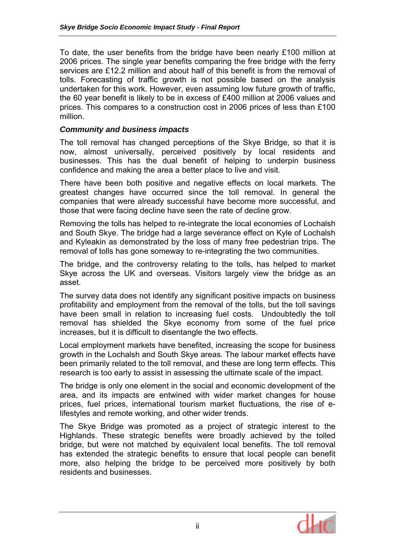To date, the user benefits from the bridge have been nearly £100 million at 2006 prices. The single year benefits comparing the free bridge with the ferry services are £12.2 million and about half of this benefit is from the removal of tolls. Forecasting of traffic growth is not possible based on the analysis undertaken for this work. However, even assuming low future growth of traffic, the 60 year benefit is likely to be in excess of £400 million at 2006 values and prices. This compares to a construction cost in 2006 prices of less than £100 million.

#### *Community and business impacts*

The toll removal has changed perceptions of the Skye Bridge, so that it is now, almost universally, perceived positively by local residents and businesses. This has the dual benefit of helping to underpin business confidence and making the area a better place to live and visit.

There have been both positive and negative effects on local markets. The greatest changes have occurred since the toll removal. In general the companies that were already successful have become more successful, and those that were facing decline have seen the rate of decline grow.

Removing the tolls has helped to re-integrate the local economies of Lochalsh and South Skye. The bridge had a large severance effect on Kyle of Lochalsh and Kyleakin as demonstrated by the loss of many free pedestrian trips. The removal of tolls has gone someway to re-integrating the two communities.

The bridge, and the controversy relating to the tolls, has helped to market Skye across the UK and overseas. Visitors largely view the bridge as an asset.

The survey data does not identify any significant positive impacts on business profitability and employment from the removal of the tolls, but the toll savings have been small in relation to increasing fuel costs. Undoubtedly the toll removal has shielded the Skye economy from some of the fuel price increases, but it is difficult to disentangle the two effects.

Local employment markets have benefited, increasing the scope for business growth in the Lochalsh and South Skye areas. The labour market effects have been primarily related to the toll removal, and these are long term effects. This research is too early to assist in assessing the ultimate scale of the impact.

The bridge is only one element in the social and economic development of the area, and its impacts are entwined with wider market changes for house prices, fuel prices, international tourism market fluctuations, the rise of elifestyles and remote working, and other wider trends.

The Skye Bridge was promoted as a project of strategic interest to the Highlands. These strategic benefits were broadly achieved by the tolled bridge, but were not matched by equivalent local benefits. The toll removal has extended the strategic benefits to ensure that local people can benefit more, also helping the bridge to be perceived more positively by both residents and businesses.

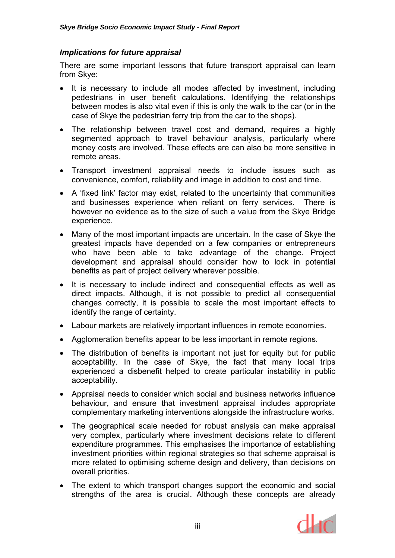#### *Implications for future appraisal*

There are some important lessons that future transport appraisal can learn from Skye:

- It is necessary to include all modes affected by investment, including pedestrians in user benefit calculations. Identifying the relationships between modes is also vital even if this is only the walk to the car (or in the case of Skye the pedestrian ferry trip from the car to the shops).
- The relationship between travel cost and demand, requires a highly segmented approach to travel behaviour analysis, particularly where money costs are involved. These effects are can also be more sensitive in remote areas.
- Transport investment appraisal needs to include issues such as convenience, comfort, reliability and image in addition to cost and time.
- A 'fixed link' factor may exist, related to the uncertainty that communities and businesses experience when reliant on ferry services. There is however no evidence as to the size of such a value from the Skye Bridge experience.
- Many of the most important impacts are uncertain. In the case of Skye the greatest impacts have depended on a few companies or entrepreneurs who have been able to take advantage of the change. Project development and appraisal should consider how to lock in potential benefits as part of project delivery wherever possible.
- It is necessary to include indirect and consequential effects as well as direct impacts. Although, it is not possible to predict all consequential changes correctly, it is possible to scale the most important effects to identify the range of certainty.
- Labour markets are relatively important influences in remote economies.
- Agglomeration benefits appear to be less important in remote regions.
- The distribution of benefits is important not just for equity but for public acceptability. In the case of Skye, the fact that many local trips experienced a disbenefit helped to create particular instability in public acceptability.
- Appraisal needs to consider which social and business networks influence behaviour, and ensure that investment appraisal includes appropriate complementary marketing interventions alongside the infrastructure works.
- The geographical scale needed for robust analysis can make appraisal very complex, particularly where investment decisions relate to different expenditure programmes. This emphasises the importance of establishing investment priorities within regional strategies so that scheme appraisal is more related to optimising scheme design and delivery, than decisions on overall priorities.
- The extent to which transport changes support the economic and social strengths of the area is crucial. Although these concepts are already

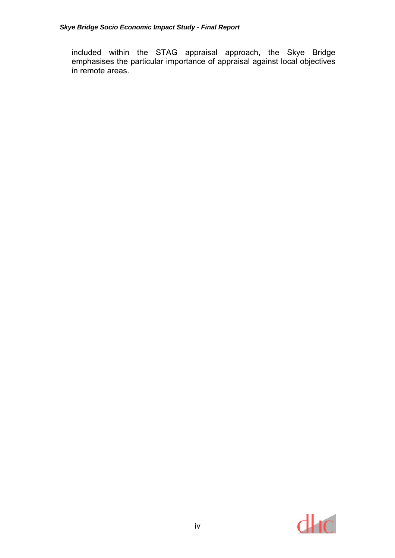included within the STAG appraisal approach, the Skye Bridge emphasises the particular importance of appraisal against local objectives in remote areas.

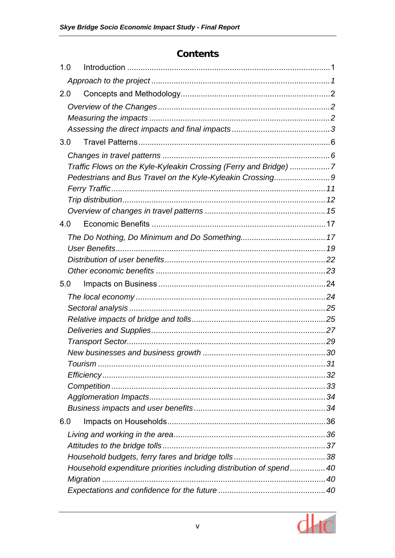# **Contents**

| 1.0 |                                                                    |  |
|-----|--------------------------------------------------------------------|--|
|     |                                                                    |  |
| 2.0 |                                                                    |  |
|     |                                                                    |  |
|     |                                                                    |  |
|     |                                                                    |  |
| 3.0 |                                                                    |  |
|     |                                                                    |  |
|     | Traffic Flows on the Kyle-Kyleakin Crossing (Ferry and Bridge) 7   |  |
|     |                                                                    |  |
|     |                                                                    |  |
|     |                                                                    |  |
|     |                                                                    |  |
| 4.0 |                                                                    |  |
|     |                                                                    |  |
|     |                                                                    |  |
|     |                                                                    |  |
|     |                                                                    |  |
| 5.0 |                                                                    |  |
|     |                                                                    |  |
|     |                                                                    |  |
|     |                                                                    |  |
|     |                                                                    |  |
|     |                                                                    |  |
|     |                                                                    |  |
|     |                                                                    |  |
|     |                                                                    |  |
|     |                                                                    |  |
|     |                                                                    |  |
| 6.0 |                                                                    |  |
|     |                                                                    |  |
|     |                                                                    |  |
|     |                                                                    |  |
|     | Household expenditure priorities including distribution of spend40 |  |
|     |                                                                    |  |
|     |                                                                    |  |

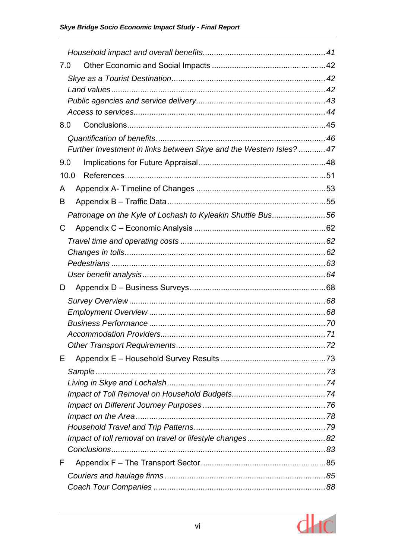| 7.0 |                                                                     |  |
|-----|---------------------------------------------------------------------|--|
|     |                                                                     |  |
|     |                                                                     |  |
|     |                                                                     |  |
|     |                                                                     |  |
| 8.0 |                                                                     |  |
|     |                                                                     |  |
|     | Further Investment in links between Skye and the Western Isles?  47 |  |
| 9.0 |                                                                     |  |
|     | 10.0                                                                |  |
| A   |                                                                     |  |
| B   |                                                                     |  |
|     | Patronage on the Kyle of Lochash to Kyleakin Shuttle Bus56          |  |
| C   |                                                                     |  |
|     |                                                                     |  |
|     |                                                                     |  |
|     |                                                                     |  |
|     |                                                                     |  |
| D   |                                                                     |  |
|     |                                                                     |  |
|     |                                                                     |  |
|     |                                                                     |  |
|     |                                                                     |  |
|     |                                                                     |  |
| Е   |                                                                     |  |
|     |                                                                     |  |
|     |                                                                     |  |
|     |                                                                     |  |
|     |                                                                     |  |
|     |                                                                     |  |
|     |                                                                     |  |
|     |                                                                     |  |
| F   |                                                                     |  |
|     |                                                                     |  |
|     |                                                                     |  |
|     |                                                                     |  |

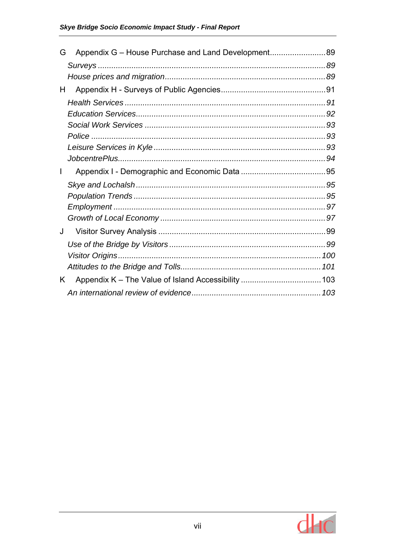| G  |  |
|----|--|
|    |  |
|    |  |
| H  |  |
|    |  |
|    |  |
|    |  |
|    |  |
|    |  |
|    |  |
|    |  |
|    |  |
|    |  |
|    |  |
|    |  |
| J  |  |
|    |  |
|    |  |
|    |  |
| K. |  |
|    |  |

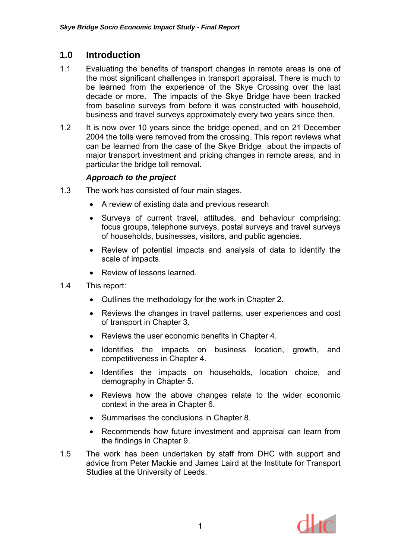# **1.0 Introduction**

- 1.1 Evaluating the benefits of transport changes in remote areas is one of the most significant challenges in transport appraisal. There is much to be learned from the experience of the Skye Crossing over the last decade or more. The impacts of the Skye Bridge have been tracked from baseline surveys from before it was constructed with household, business and travel surveys approximately every two years since then.
- 1.2 It is now over 10 years since the bridge opened, and on 21 December 2004 the tolls were removed from the crossing. This report reviews what can be learned from the case of the Skye Bridge about the impacts of major transport investment and pricing changes in remote areas, and in particular the bridge toll removal.

#### *Approach to the project*

- 1.3 The work has consisted of four main stages.
	- A review of existing data and previous research
	- Surveys of current travel, attitudes, and behaviour comprising: focus groups, telephone surveys, postal surveys and travel surveys of households, businesses, visitors, and public agencies.
	- Review of potential impacts and analysis of data to identify the scale of impacts.
	- Review of lessons learned.
- 1.4 This report:
	- Outlines the methodology for the work in Chapter 2.
	- Reviews the changes in travel patterns, user experiences and cost of transport in Chapter 3.
	- Reviews the user economic benefits in Chapter 4.
	- Identifies the impacts on business location, growth, and competitiveness in Chapter 4.
	- Identifies the impacts on households, location choice, and demography in Chapter 5.
	- Reviews how the above changes relate to the wider economic context in the area in Chapter 6.
	- Summarises the conclusions in Chapter 8.
	- Recommends how future investment and appraisal can learn from the findings in Chapter 9.
- 1.5 The work has been undertaken by staff from DHC with support and advice from Peter Mackie and James Laird at the Institute for Transport Studies at the University of Leeds.

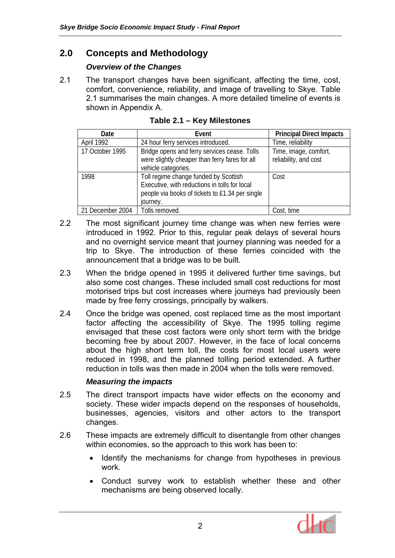# **2.0 Concepts and Methodology**

## *Overview of the Changes*

2.1 The transport changes have been significant, affecting the time, cost, comfort, convenience, reliability, and image of travelling to Skye. Table 2.1 summarises the main changes. A more detailed timeline of events is shown in Appendix A.

| Date             | Event                                                                                                                                                 | <b>Principal Direct Impacts</b>                |
|------------------|-------------------------------------------------------------------------------------------------------------------------------------------------------|------------------------------------------------|
| April 1992       | 24 hour ferry services introduced.                                                                                                                    | Time, reliability                              |
| 17 October 1995  | Bridge opens and ferry services cease. Tolls<br>were slightly cheaper than ferry fares for all<br>vehicle categories.                                 | Time, image, comfort,<br>reliability, and cost |
| 1998             | Toll regime change funded by Scottish<br>Executive, with reductions in tolls for local<br>people via books of tickets to £1.34 per single<br>journey. | Cost                                           |
| 21 December 2004 | Tolls removed.                                                                                                                                        | Cost, time                                     |

- 2.2 The most significant journey time change was when new ferries were introduced in 1992. Prior to this, regular peak delays of several hours and no overnight service meant that journey planning was needed for a trip to Skye. The introduction of these ferries coincided with the announcement that a bridge was to be built.
- 2.3 When the bridge opened in 1995 it delivered further time savings, but also some cost changes. These included small cost reductions for most motorised trips but cost increases where journeys had previously been made by free ferry crossings, principally by walkers.
- 2.4 Once the bridge was opened, cost replaced time as the most important factor affecting the accessibility of Skye. The 1995 tolling regime envisaged that these cost factors were only short term with the bridge becoming free by about 2007. However, in the face of local concerns about the high short term toll, the costs for most local users were reduced in 1998, and the planned tolling period extended. A further reduction in tolls was then made in 2004 when the tolls were removed.

## *Measuring the impacts*

- 2.5 The direct transport impacts have wider effects on the economy and society. These wider impacts depend on the responses of households, businesses, agencies, visitors and other actors to the transport changes.
- 2.6 These impacts are extremely difficult to disentangle from other changes within economies, so the approach to this work has been to:
	- Identify the mechanisms for change from hypotheses in previous work.
	- Conduct survey work to establish whether these and other mechanisms are being observed locally.

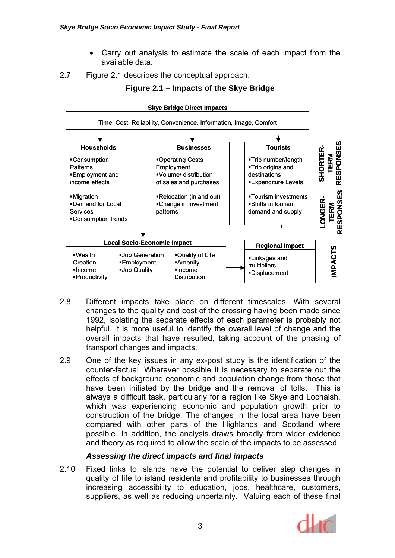- Carry out analysis to estimate the scale of each impact from the available data.
- 2.7 Figure 2.1 describes the conceptual approach.



**Figure 2.1 – Impacts of the Skye Bridge** 

- 2.8 Different impacts take place on different timescales. With several changes to the quality and cost of the crossing having been made since 1992, isolating the separate effects of each parameter is probably not helpful. It is more useful to identify the overall level of change and the overall impacts that have resulted, taking account of the phasing of transport changes and impacts.
- 2.9 One of the key issues in any ex-post study is the identification of the counter-factual. Wherever possible it is necessary to separate out the effects of background economic and population change from those that have been initiated by the bridge and the removal of tolls. This is always a difficult task, particularly for a region like Skye and Lochalsh, which was experiencing economic and population growth prior to construction of the bridge. The changes in the local area have been compared with other parts of the Highlands and Scotland where possible. In addition, the analysis draws broadly from wider evidence and theory as required to allow the scale of the impacts to be assessed.

# *Assessing the direct impacts and final impacts*

2.10 Fixed links to islands have the potential to deliver step changes in quality of life to island residents and profitability to businesses through increasing accessibility to education, jobs, healthcare, customers, suppliers, as well as reducing uncertainty. Valuing each of these final

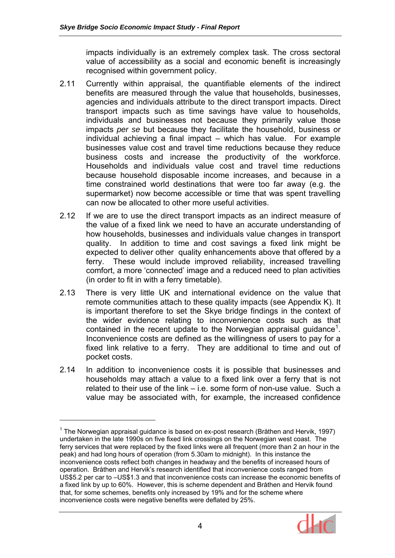impacts individually is an extremely complex task. The cross sectoral value of accessibility as a social and economic benefit is increasingly recognised within government policy.

- 2.11 Currently within appraisal, the quantifiable elements of the indirect benefits are measured through the value that households, businesses, agencies and individuals attribute to the direct transport impacts. Direct transport impacts such as time savings have value to households, individuals and businesses not because they primarily value those impacts *per se* but because they facilitate the household, business or individual achieving a final impact – which has value. For example businesses value cost and travel time reductions because they reduce business costs and increase the productivity of the workforce. Households and individuals value cost and travel time reductions because household disposable income increases, and because in a time constrained world destinations that were too far away (e.g. the supermarket) now become accessible or time that was spent travelling can now be allocated to other more useful activities.
- 2.12 If we are to use the direct transport impacts as an indirect measure of the value of a fixed link we need to have an accurate understanding of how households, businesses and individuals value changes in transport quality. In addition to time and cost savings a fixed link might be expected to deliver other quality enhancements above that offered by a ferry. These would include improved reliability, increased travelling comfort, a more 'connected' image and a reduced need to plan activities (in order to fit in with a ferry timetable).
- 2.13 There is very little UK and international evidence on the value that remote communities attach to these quality impacts (see Appendix K). It is important therefore to set the Skye bridge findings in the context of the wider evidence relating to inconvenience costs such as that contained in the recent update to the Norwegian appraisal guidance<sup>1</sup>. Inconvenience costs are defined as the willingness of users to pay for a fixed link relative to a ferry. They are additional to time and out of pocket costs.
- 2.14 In addition to inconvenience costs it is possible that businesses and households may attach a value to a fixed link over a ferry that is not related to their use of the link – i.e. some form of non-use value. Such a value may be associated with, for example, the increased confidence

 $\overline{a}$ 

<sup>&</sup>lt;sup>1</sup> The Norwegian appraisal guidance is based on ex-post research (Bråthen and Hervik, 1997) undertaken in the late 1990s on five fixed link crossings on the Norwegian west coast. The ferry services that were replaced by the fixed links were all frequent (more than 2 an hour in the peak) and had long hours of operation (from 5.30am to midnight). In this instance the inconvenience costs reflect both changes in headway and the benefits of increased hours of operation. Bråthen and Hervik's research identified that inconvenience costs ranged from US\$5.2 per car to –US\$1.3 and that inconvenience costs can increase the economic benefits of a fixed link by up to 60%. However, this is scheme dependent and Bråthen and Hervik found that, for some schemes, benefits only increased by 19% and for the scheme where inconvenience costs were negative benefits were deflated by 25%.

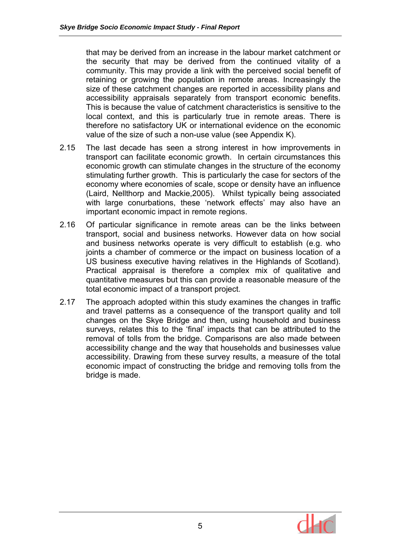that may be derived from an increase in the labour market catchment or the security that may be derived from the continued vitality of a community. This may provide a link with the perceived social benefit of retaining or growing the population in remote areas. Increasingly the size of these catchment changes are reported in accessibility plans and accessibility appraisals separately from transport economic benefits. This is because the value of catchment characteristics is sensitive to the local context, and this is particularly true in remote areas. There is therefore no satisfactory UK or international evidence on the economic value of the size of such a non-use value (see Appendix K).

- 2.15 The last decade has seen a strong interest in how improvements in transport can facilitate economic growth. In certain circumstances this economic growth can stimulate changes in the structure of the economy stimulating further growth. This is particularly the case for sectors of the economy where economies of scale, scope or density have an influence (Laird, Nellthorp and Mackie,2005). Whilst typically being associated with large conurbations, these 'network effects' may also have an important economic impact in remote regions.
- 2.16 Of particular significance in remote areas can be the links between transport, social and business networks. However data on how social and business networks operate is very difficult to establish (e.g. who joints a chamber of commerce or the impact on business location of a US business executive having relatives in the Highlands of Scotland). Practical appraisal is therefore a complex mix of qualitative and quantitative measures but this can provide a reasonable measure of the total economic impact of a transport project.
- 2.17 The approach adopted within this study examines the changes in traffic and travel patterns as a consequence of the transport quality and toll changes on the Skye Bridge and then, using household and business surveys, relates this to the 'final' impacts that can be attributed to the removal of tolls from the bridge. Comparisons are also made between accessibility change and the way that households and businesses value accessibility. Drawing from these survey results, a measure of the total economic impact of constructing the bridge and removing tolls from the bridge is made.

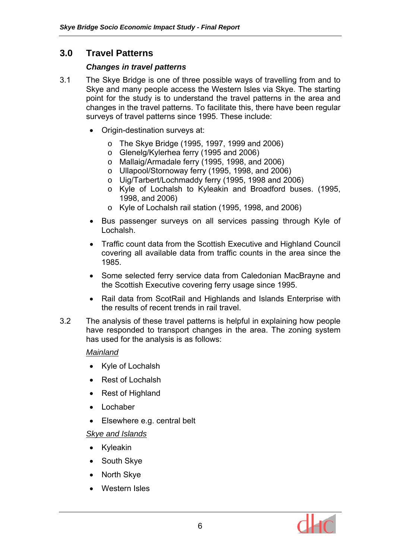# **3.0 Travel Patterns**

#### *Changes in travel patterns*

- 3.1 The Skye Bridge is one of three possible ways of travelling from and to Skye and many people access the Western Isles via Skye. The starting point for the study is to understand the travel patterns in the area and changes in the travel patterns. To facilitate this, there have been regular surveys of travel patterns since 1995. These include:
	- Origin-destination surveys at:
		- o The Skye Bridge (1995, 1997, 1999 and 2006)
		- o Glenelg/Kylerhea ferry (1995 and 2006)
		- o Mallaig/Armadale ferry (1995, 1998, and 2006)
		- o Ullapool/Stornoway ferry (1995, 1998, and 2006)
		- o Uig/Tarbert/Lochmaddy ferry (1995, 1998 and 2006)
		- o Kyle of Lochalsh to Kyleakin and Broadford buses. (1995, 1998, and 2006)
		- o Kyle of Lochalsh rail station (1995, 1998, and 2006)
	- Bus passenger surveys on all services passing through Kyle of Lochalsh.
	- Traffic count data from the Scottish Executive and Highland Council covering all available data from traffic counts in the area since the 1985.
	- Some selected ferry service data from Caledonian MacBrayne and the Scottish Executive covering ferry usage since 1995.
	- Rail data from ScotRail and Highlands and Islands Enterprise with the results of recent trends in rail travel.
- 3.2 The analysis of these travel patterns is helpful in explaining how people have responded to transport changes in the area. The zoning system has used for the analysis is as follows:

#### *Mainland*

- Kyle of Lochalsh
- Rest of Lochalsh
- Rest of Highland
- Lochaber
- Elsewhere e.g. central belt

## *Skye and Islands*

- Kyleakin
- South Skye
- North Skye
- Western Isles

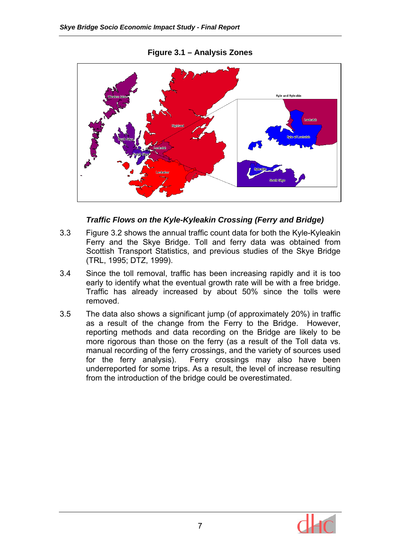

#### **Figure 3.1 – Analysis Zones**

#### *Traffic Flows on the Kyle-Kyleakin Crossing (Ferry and Bridge)*

- 3.3 Figure 3.2 shows the annual traffic count data for both the Kyle-Kyleakin Ferry and the Skye Bridge. Toll and ferry data was obtained from Scottish Transport Statistics, and previous studies of the Skye Bridge (TRL, 1995; DTZ, 1999).
- 3.4 Since the toll removal, traffic has been increasing rapidly and it is too early to identify what the eventual growth rate will be with a free bridge. Traffic has already increased by about 50% since the tolls were removed.
- 3.5 The data also shows a significant jump (of approximately 20%) in traffic as a result of the change from the Ferry to the Bridge. However, reporting methods and data recording on the Bridge are likely to be more rigorous than those on the ferry (as a result of the Toll data vs. manual recording of the ferry crossings, and the variety of sources used for the ferry analysis). Ferry crossings may also have been underreported for some trips. As a result, the level of increase resulting from the introduction of the bridge could be overestimated.

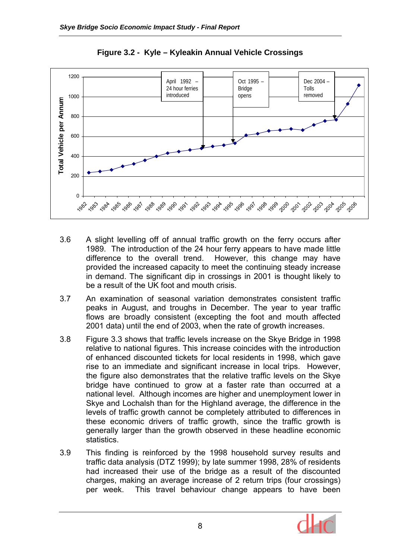

**Figure 3.2 - Kyle – Kyleakin Annual Vehicle Crossings** 

- 3.6 A slight levelling off of annual traffic growth on the ferry occurs after 1989. The introduction of the 24 hour ferry appears to have made little difference to the overall trend. However, this change may have provided the increased capacity to meet the continuing steady increase in demand. The significant dip in crossings in 2001 is thought likely to be a result of the UK foot and mouth crisis.
- 3.7 An examination of seasonal variation demonstrates consistent traffic peaks in August, and troughs in December. The year to year traffic flows are broadly consistent (excepting the foot and mouth affected 2001 data) until the end of 2003, when the rate of growth increases.
- 3.8 Figure 3.3 shows that traffic levels increase on the Skye Bridge in 1998 relative to national figures. This increase coincides with the introduction of enhanced discounted tickets for local residents in 1998, which gave rise to an immediate and significant increase in local trips. However, the figure also demonstrates that the relative traffic levels on the Skye bridge have continued to grow at a faster rate than occurred at a national level. Although incomes are higher and unemployment lower in Skye and Lochalsh than for the Highland average, the difference in the levels of traffic growth cannot be completely attributed to differences in these economic drivers of traffic growth, since the traffic growth is generally larger than the growth observed in these headline economic statistics.
- 3.9 This finding is reinforced by the 1998 household survey results and traffic data analysis (DTZ 1999); by late summer 1998, 28% of residents had increased their use of the bridge as a result of the discounted charges, making an average increase of 2 return trips (four crossings) per week. This travel behaviour change appears to have been

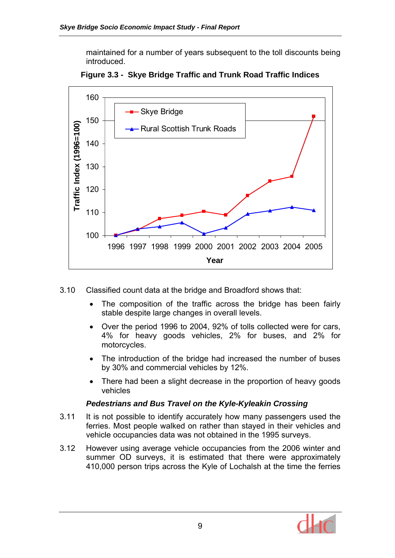maintained for a number of years subsequent to the toll discounts being introduced.



**Figure 3.3 - Skye Bridge Traffic and Trunk Road Traffic Indices** 

- 3.10 Classified count data at the bridge and Broadford shows that:
	- The composition of the traffic across the bridge has been fairly stable despite large changes in overall levels.
	- Over the period 1996 to 2004, 92% of tolls collected were for cars, 4% for heavy goods vehicles, 2% for buses, and 2% for motorcycles.
	- The introduction of the bridge had increased the number of buses by 30% and commercial vehicles by 12%.
	- There had been a slight decrease in the proportion of heavy goods vehicles

## *Pedestrians and Bus Travel on the Kyle-Kyleakin Crossing*

- 3.11 It is not possible to identify accurately how many passengers used the ferries. Most people walked on rather than stayed in their vehicles and vehicle occupancies data was not obtained in the 1995 surveys.
- 3.12 However using average vehicle occupancies from the 2006 winter and summer OD surveys, it is estimated that there were approximately 410,000 person trips across the Kyle of Lochalsh at the time the ferries

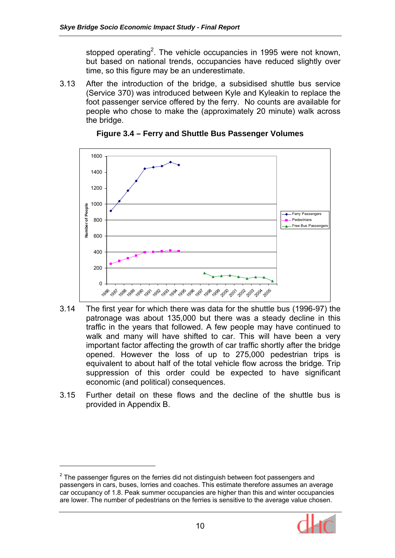stopped operating<sup>2</sup>. The vehicle occupancies in 1995 were not known, but based on national trends, occupancies have reduced slightly over time, so this figure may be an underestimate.

3.13 After the introduction of the bridge, a subsidised shuttle bus service (Service 370) was introduced between Kyle and Kyleakin to replace the foot passenger service offered by the ferry. No counts are available for people who chose to make the (approximately 20 minute) walk across the bridge.



**Figure 3.4 – Ferry and Shuttle Bus Passenger Volumes** 

- 3.14 The first year for which there was data for the shuttle bus (1996-97) the patronage was about 135,000 but there was a steady decline in this traffic in the years that followed. A few people may have continued to walk and many will have shifted to car. This will have been a very important factor affecting the growth of car traffic shortly after the bridge opened. However the loss of up to 275,000 pedestrian trips is equivalent to about half of the total vehicle flow across the bridge. Trip suppression of this order could be expected to have significant economic (and political) consequences.
- 3.15 Further detail on these flows and the decline of the shuttle bus is provided in Appendix B.

 $\overline{a}$ 



 $2$  The passenger figures on the ferries did not distinguish between foot passengers and passengers in cars, buses, lorries and coaches. This estimate therefore assumes an average car occupancy of 1.8. Peak summer occupancies are higher than this and winter occupancies are lower. The number of pedestrians on the ferries is sensitive to the average value chosen.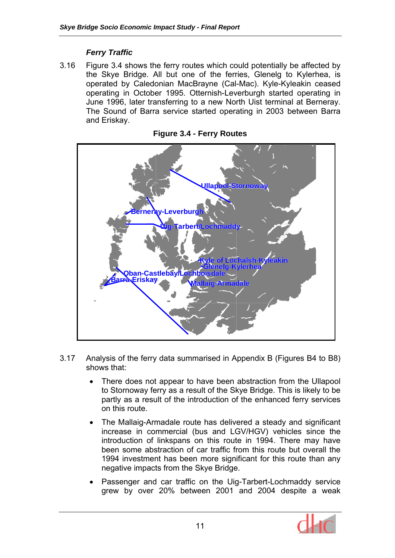# *Ferry Traffic*

3.16 Figure 3.4 shows the ferry routes which could potentially be affected by the Skye Bridge. All but one of the ferries, Glenelg to Kylerhea, is operated by Caledonian MacBrayne (Cal-Mac). Kyle-Kyleakin ceased operating in October 1995. Otternish-Leverburgh started operating in June 1996, later transferring to a new North Uist terminal at Berneray. The Sound of Barra service started operating in 2003 between Barra and Eriskay.



**Figure 3.4 - Ferry Routes** 

- 3.17 Analysis of the ferry data summarised in Appendix B (Figures B4 to B8) shows that:
	- There does not appear to have been abstraction from the Ullapool to Stornoway ferry as a result of the Skye Bridge. This is likely to be partly as a result of the introduction of the enhanced ferry services on this route.
	- The Mallaig-Armadale route has delivered a steady and significant increase in commercial (bus and LGV/HGV) vehicles since the introduction of linkspans on this route in 1994. There may have been some abstraction of car traffic from this route but overall the 1994 investment has been more significant for this route than any negative impacts from the Skye Bridge.
	- Passenger and car traffic on the Uig-Tarbert-Lochmaddy service grew by over 20% between 2001 and 2004 despite a weak

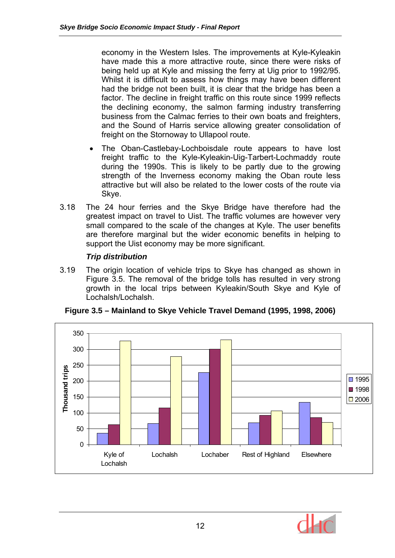economy in the Western Isles. The improvements at Kyle-Kyleakin have made this a more attractive route, since there were risks of being held up at Kyle and missing the ferry at Uig prior to 1992/95. Whilst it is difficult to assess how things may have been different had the bridge not been built, it is clear that the bridge has been a factor. The decline in freight traffic on this route since 1999 reflects the declining economy, the salmon farming industry transferring business from the Calmac ferries to their own boats and freighters, and the Sound of Harris service allowing greater consolidation of freight on the Stornoway to Ullapool route.

- The Oban-Castlebay-Lochboisdale route appears to have lost freight traffic to the Kyle-Kyleakin-Uig-Tarbert-Lochmaddy route during the 1990s. This is likely to be partly due to the growing strength of the Inverness economy making the Oban route less attractive but will also be related to the lower costs of the route via Skye.
- 3.18 The 24 hour ferries and the Skye Bridge have therefore had the greatest impact on travel to Uist. The traffic volumes are however very small compared to the scale of the changes at Kyle. The user benefits are therefore marginal but the wider economic benefits in helping to support the Uist economy may be more significant.

## *Trip distribution*

3.19 The origin location of vehicle trips to Skye has changed as shown in Figure 3.5. The removal of the bridge tolls has resulted in very strong growth in the local trips between Kyleakin/South Skye and Kyle of Lochalsh/Lochalsh.



**Figure 3.5 – Mainland to Skye Vehicle Travel Demand (1995, 1998, 2006)** 

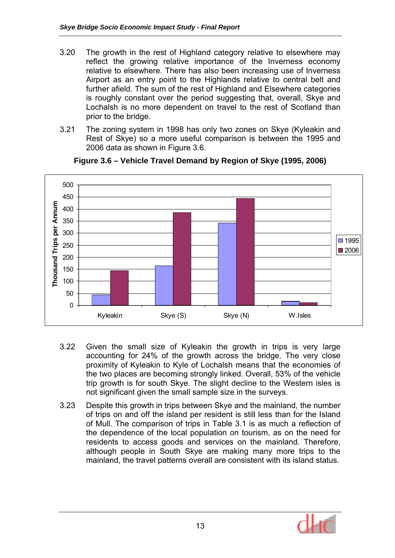- 3.20 The growth in the rest of Highland category relative to elsewhere may reflect the growing relative importance of the Inverness economy relative to elsewhere. There has also been increasing use of Inverness Airport as an entry point to the Highlands relative to central belt and further afield. The sum of the rest of Highland and Elsewhere categories is roughly constant over the period suggesting that, overall, Skye and Lochalsh is no more dependent on travel to the rest of Scotland than prior to the bridge.
- 3.21 The zoning system in 1998 has only two zones on Skye (Kyleakin and Rest of Skye) so a more useful comparison is between the 1995 and 2006 data as shown in Figure 3.6.



#### **Figure 3.6 – Vehicle Travel Demand by Region of Skye (1995, 2006)**

- 3.22 Given the small size of Kyleakin the growth in trips is very large accounting for 24% of the growth across the bridge. The very close proximity of Kyleakin to Kyle of Lochalsh means that the economies of the two places are becoming strongly linked. Overall, 53% of the vehicle trip growth is for south Skye. The slight decline to the Western isles is not significant given the small sample size in the surveys.
- 3.23 Despite this growth in trips between Skye and the mainland, the number of trips on and off the island per resident is still less than for the Island of Mull. The comparison of trips in Table 3.1 is as much a reflection of the dependence of the local population on tourism, as on the need for residents to access goods and services on the mainland. Therefore, although people in South Skye are making many more trips to the mainland, the travel patterns overall are consistent with its island status.

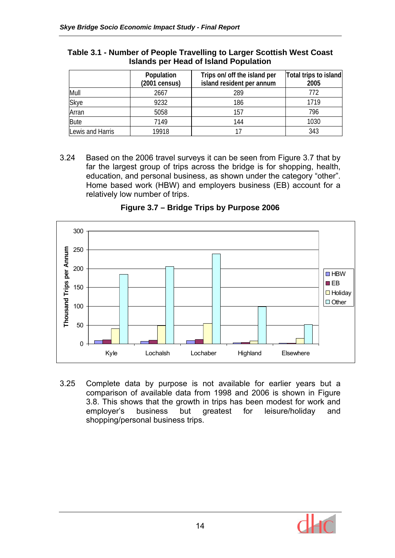|                  | Population<br>(2001 census) | Trips on/ off the island per<br>island resident per annum | Total trips to island<br>2005 |
|------------------|-----------------------------|-----------------------------------------------------------|-------------------------------|
| Mull             | 2667                        | 289                                                       | 772                           |
| <b>Skye</b>      | 9232                        | 186                                                       | 1719                          |
| Arran            | 5058                        | 157                                                       | 796                           |
| <b>Bute</b>      | 7149                        | 144                                                       | 1030                          |
| Lewis and Harris | 19918                       |                                                           | 343                           |

#### **Table 3.1 - Number of People Travelling to Larger Scottish West Coast Islands per Head of Island Population**

3.24 Based on the 2006 travel surveys it can be seen from Figure 3.7 that by far the largest group of trips across the bridge is for shopping, health, education, and personal business, as shown under the category "other". Home based work (HBW) and employers business (EB) account for a relatively low number of trips.



**Figure 3.7 – Bridge Trips by Purpose 2006** 

3.25 Complete data by purpose is not available for earlier years but a comparison of available data from 1998 and 2006 is shown in Figure 3.8. This shows that the growth in trips has been modest for work and employer's business but greatest for leisure/holiday and shopping/personal business trips.

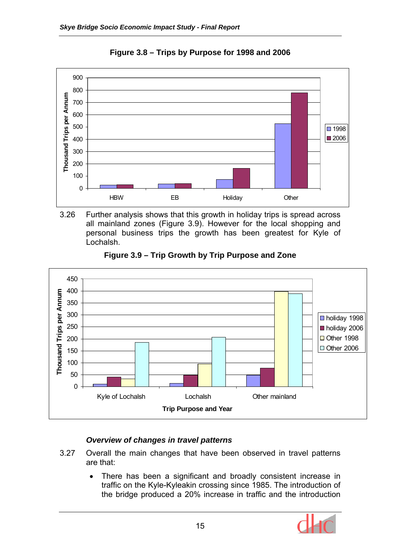

**Figure 3.8 – Trips by Purpose for 1998 and 2006** 

3.26 Further analysis shows that this growth in holiday trips is spread across all mainland zones (Figure 3.9). However for the local shopping and personal business trips the growth has been greatest for Kyle of Lochalsh.



**Figure 3.9 – Trip Growth by Trip Purpose and Zone** 

# *Overview of changes in travel patterns*

- 3.27 Overall the main changes that have been observed in travel patterns are that:
	- There has been a significant and broadly consistent increase in traffic on the Kyle-Kyleakin crossing since 1985. The introduction of the bridge produced a 20% increase in traffic and the introduction

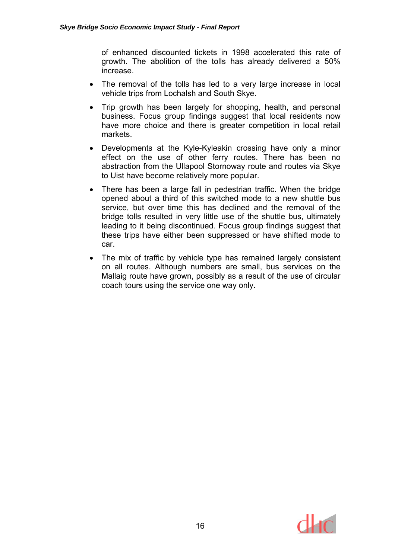of enhanced discounted tickets in 1998 accelerated this rate of growth. The abolition of the tolls has already delivered a 50% increase.

- The removal of the tolls has led to a very large increase in local vehicle trips from Lochalsh and South Skye.
- Trip growth has been largely for shopping, health, and personal business. Focus group findings suggest that local residents now have more choice and there is greater competition in local retail markets.
- Developments at the Kyle-Kyleakin crossing have only a minor effect on the use of other ferry routes. There has been no abstraction from the Ullapool Stornoway route and routes via Skye to Uist have become relatively more popular.
- There has been a large fall in pedestrian traffic. When the bridge opened about a third of this switched mode to a new shuttle bus service, but over time this has declined and the removal of the bridge tolls resulted in very little use of the shuttle bus, ultimately leading to it being discontinued. Focus group findings suggest that these trips have either been suppressed or have shifted mode to car.
- The mix of traffic by vehicle type has remained largely consistent on all routes. Although numbers are small, bus services on the Mallaig route have grown, possibly as a result of the use of circular coach tours using the service one way only.

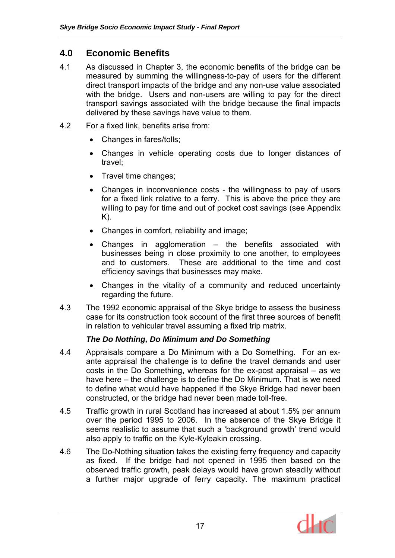# **4.0 Economic Benefits**

- 4.1 As discussed in Chapter 3, the economic benefits of the bridge can be measured by summing the willingness-to-pay of users for the different direct transport impacts of the bridge and any non-use value associated with the bridge. Users and non-users are willing to pay for the direct transport savings associated with the bridge because the final impacts delivered by these savings have value to them.
- 4.2 For a fixed link, benefits arise from:
	- Changes in fares/tolls;
	- Changes in vehicle operating costs due to longer distances of travel;
	- Travel time changes;
	- Changes in inconvenience costs the willingness to pay of users for a fixed link relative to a ferry. This is above the price they are willing to pay for time and out of pocket cost savings (see Appendix K).
	- Changes in comfort, reliability and image;
	- Changes in agglomeration the benefits associated with businesses being in close proximity to one another, to employees and to customers. These are additional to the time and cost efficiency savings that businesses may make.
	- Changes in the vitality of a community and reduced uncertainty regarding the future.
- 4.3 The 1992 economic appraisal of the Skye bridge to assess the business case for its construction took account of the first three sources of benefit in relation to vehicular travel assuming a fixed trip matrix.

## *The Do Nothing, Do Minimum and Do Something*

- 4.4 Appraisals compare a Do Minimum with a Do Something. For an exante appraisal the challenge is to define the travel demands and user costs in the Do Something, whereas for the ex-post appraisal – as we have here – the challenge is to define the Do Minimum. That is we need to define what would have happened if the Skye Bridge had never been constructed, or the bridge had never been made toll-free.
- 4.5 Traffic growth in rural Scotland has increased at about 1.5% per annum over the period 1995 to 2006. In the absence of the Skye Bridge it seems realistic to assume that such a 'background growth' trend would also apply to traffic on the Kyle-Kyleakin crossing.
- 4.6 The Do-Nothing situation takes the existing ferry frequency and capacity as fixed. If the bridge had not opened in 1995 then based on the observed traffic growth, peak delays would have grown steadily without a further major upgrade of ferry capacity. The maximum practical

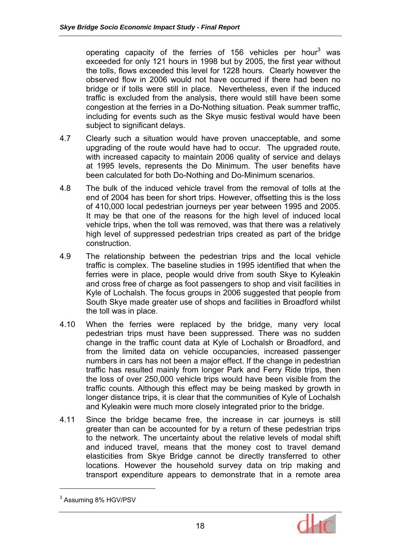operating capacity of the ferries of 156 vehicles per hour<sup>3</sup> was exceeded for only 121 hours in 1998 but by 2005, the first year without the tolls, flows exceeded this level for 1228 hours. Clearly however the observed flow in 2006 would not have occurred if there had been no bridge or if tolls were still in place. Nevertheless, even if the induced traffic is excluded from the analysis, there would still have been some congestion at the ferries in a Do-Nothing situation. Peak summer traffic, including for events such as the Skye music festival would have been subject to significant delays.

- 4.7 Clearly such a situation would have proven unacceptable, and some upgrading of the route would have had to occur. The upgraded route, with increased capacity to maintain 2006 quality of service and delays at 1995 levels, represents the Do Minimum. The user benefits have been calculated for both Do-Nothing and Do-Minimum scenarios.
- 4.8 The bulk of the induced vehicle travel from the removal of tolls at the end of 2004 has been for short trips. However, offsetting this is the loss of 410,000 local pedestrian journeys per year between 1995 and 2005. It may be that one of the reasons for the high level of induced local vehicle trips, when the toll was removed, was that there was a relatively high level of suppressed pedestrian trips created as part of the bridge construction.
- 4.9 The relationship between the pedestrian trips and the local vehicle traffic is complex. The baseline studies in 1995 identified that when the ferries were in place, people would drive from south Skye to Kyleakin and cross free of charge as foot passengers to shop and visit facilities in Kyle of Lochalsh. The focus groups in 2006 suggested that people from South Skye made greater use of shops and facilities in Broadford whilst the toll was in place.
- 4.10 When the ferries were replaced by the bridge, many very local pedestrian trips must have been suppressed. There was no sudden change in the traffic count data at Kyle of Lochalsh or Broadford, and from the limited data on vehicle occupancies, increased passenger numbers in cars has not been a major effect. If the change in pedestrian traffic has resulted mainly from longer Park and Ferry Ride trips, then the loss of over 250,000 vehicle trips would have been visible from the traffic counts. Although this effect may be being masked by growth in longer distance trips, it is clear that the communities of Kyle of Lochalsh and Kyleakin were much more closely integrated prior to the bridge.
- 4.11 Since the bridge became free, the increase in car journeys is still greater than can be accounted for by a return of these pedestrian trips to the network. The uncertainty about the relative levels of modal shift and induced travel, means that the money cost to travel demand elasticities from Skye Bridge cannot be directly transferred to other locations. However the household survey data on trip making and transport expenditure appears to demonstrate that in a remote area

 $\overline{a}$ 



<sup>&</sup>lt;sup>3</sup> Assuming 8% HGV/PSV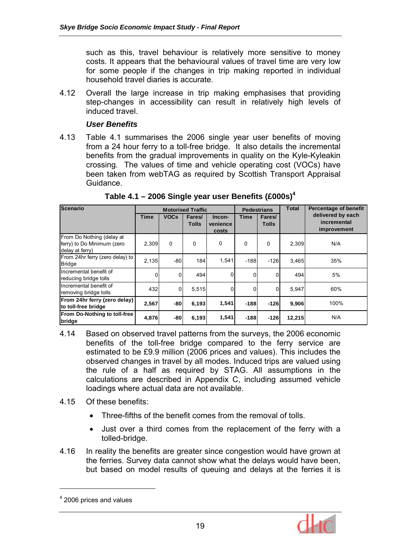such as this, travel behaviour is relatively more sensitive to money costs. It appears that the behavioural values of travel time are very low for some people if the changes in trip making reported in individual household travel diaries is accurate.

4.12 Overall the large increase in trip making emphasises that providing step-changes in accessibility can result in relatively high levels of induced travel.

#### *User Benefits*

4.13 Table 4.1 summarises the 2006 single year user benefits of moving from a 24 hour ferry to a toll-free bridge. It also details the incremental benefits from the gradual improvements in quality on the Kyle-Kyleakin crossing. The values of time and vehicle operating cost (VOCs) have been taken from webTAG as required by Scottish Transport Appraisal Guidance.

| <b>Scenario</b>                                                            | <b>Motorised Traffic</b> |             |                        | <b>Pedestrians</b>          |          | <b>Total</b>           | Percentage of benefit |                                                 |
|----------------------------------------------------------------------------|--------------------------|-------------|------------------------|-----------------------------|----------|------------------------|-----------------------|-------------------------------------------------|
|                                                                            | <b>Time</b>              | <b>VOCs</b> | Fares/<br><b>Tolls</b> | Incon-<br>venience<br>costs | Time     | Fares/<br><b>Tolls</b> |                       | delivered by each<br>incremental<br>improvement |
| From Do Nothing (delay at<br>ferry) to Do Minimum (zero<br>delay at ferry) | 2,309                    | $\Omega$    | 0                      | $\Omega$                    | 0        | 0                      | 2,309                 | N/A                                             |
| From 24hr ferry (zero delay) to<br><b>Bridge</b>                           | 2,135                    | -80         | 184                    | 1,541                       | $-188$   | $-126$                 | 3,465                 | 35%                                             |
| Incremental benefit of<br>reducing bridge tolls                            | $\Omega$                 | 0           | 494                    | $\Omega$                    | 0        | $\Omega$               | 494                   | 5%                                              |
| Incremental benefit of<br>removing bridge tolls                            | 432                      | 0           | 5,515                  | U                           | $\Omega$ | $\Omega$               | 5,947                 | 60%                                             |
| From 24hr ferry (zero delay)<br>to toll-free bridge                        | 2,567                    | -80         | 6,193                  | 1,541                       | $-188$   | $-126$                 | 9,906                 | 100%                                            |
| From Do-Nothing to toll-free<br>bridge                                     | 4,876                    | -80         | 6,193                  | 1,541                       | $-188$   | $-126$                 | 12,215                | N/A                                             |

**Table 4.1 – 2006 Single year user Benefits (£000s)4** 

- 4.14 Based on observed travel patterns from the surveys, the 2006 economic benefits of the toll-free bridge compared to the ferry service are estimated to be £9.9 million (2006 prices and values). This includes the observed changes in travel by all modes. Induced trips are valued using the rule of a half as required by STAG. All assumptions in the calculations are described in Appendix C, including assumed vehicle loadings where actual data are not available.
- 4.15 Of these benefits:
	- Three-fifths of the benefit comes from the removal of tolls.
	- Just over a third comes from the replacement of the ferry with a tolled-bridge.
- 4.16 In reality the benefits are greater since congestion would have grown at the ferries. Survey data cannot show what the delays would have been, but based on model results of queuing and delays at the ferries it is

 $\overline{a}$ 



<sup>&</sup>lt;sup>4</sup> 2006 prices and values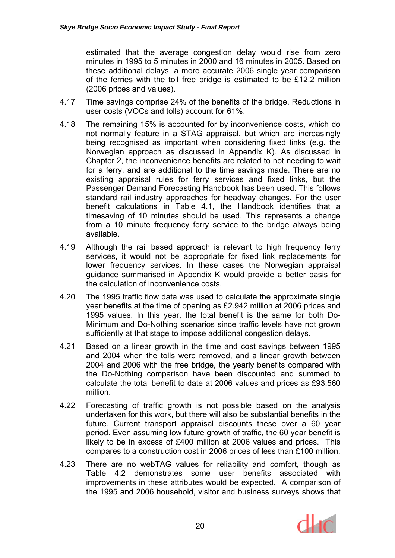estimated that the average congestion delay would rise from zero minutes in 1995 to 5 minutes in 2000 and 16 minutes in 2005. Based on these additional delays, a more accurate 2006 single year comparison of the ferries with the toll free bridge is estimated to be £12.2 million (2006 prices and values).

- 4.17 Time savings comprise 24% of the benefits of the bridge. Reductions in user costs (VOCs and tolls) account for 61%.
- 4.18 The remaining 15% is accounted for by inconvenience costs, which do not normally feature in a STAG appraisal, but which are increasingly being recognised as important when considering fixed links (e.g. the Norwegian approach as discussed in Appendix K). As discussed in Chapter 2, the inconvenience benefits are related to not needing to wait for a ferry, and are additional to the time savings made. There are no existing appraisal rules for ferry services and fixed links, but the Passenger Demand Forecasting Handbook has been used. This follows standard rail industry approaches for headway changes. For the user benefit calculations in Table 4.1, the Handbook identifies that a timesaving of 10 minutes should be used. This represents a change from a 10 minute frequency ferry service to the bridge always being available.
- 4.19 Although the rail based approach is relevant to high frequency ferry services, it would not be appropriate for fixed link replacements for lower frequency services. In these cases the Norwegian appraisal guidance summarised in Appendix K would provide a better basis for the calculation of inconvenience costs.
- 4.20 The 1995 traffic flow data was used to calculate the approximate single year benefits at the time of opening as £2.942 million at 2006 prices and 1995 values. In this year, the total benefit is the same for both Do-Minimum and Do-Nothing scenarios since traffic levels have not grown sufficiently at that stage to impose additional congestion delays.
- 4.21 Based on a linear growth in the time and cost savings between 1995 and 2004 when the tolls were removed, and a linear growth between 2004 and 2006 with the free bridge, the yearly benefits compared with the Do-Nothing comparison have been discounted and summed to calculate the total benefit to date at 2006 values and prices as £93.560 million.
- 4.22 Forecasting of traffic growth is not possible based on the analysis undertaken for this work, but there will also be substantial benefits in the future. Current transport appraisal discounts these over a 60 year period. Even assuming low future growth of traffic, the 60 year benefit is likely to be in excess of £400 million at 2006 values and prices. This compares to a construction cost in 2006 prices of less than £100 million.
- 4.23 There are no webTAG values for reliability and comfort, though as Table 4.2 demonstrates some user benefits associated with improvements in these attributes would be expected. A comparison of the 1995 and 2006 household, visitor and business surveys shows that

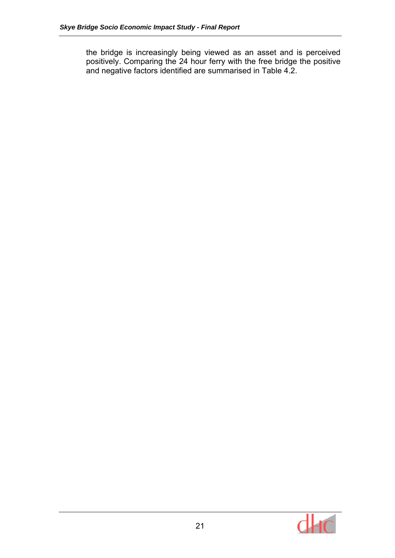the bridge is increasingly being viewed as an asset and is perceived positively. Comparing the 24 hour ferry with the free bridge the positive and negative factors identified are summarised in Table 4.2.

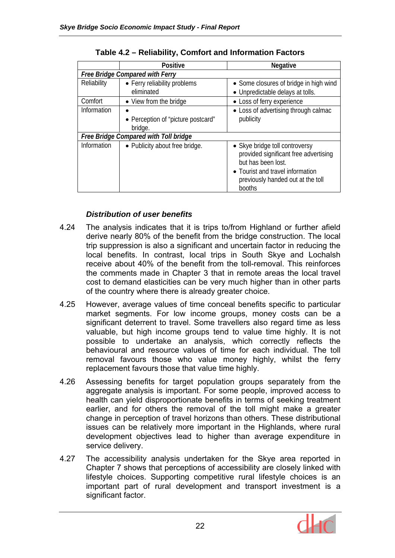|                                        | <b>Positive</b>                               | <b>Negative</b>                                                                                                                                                                  |  |  |  |  |
|----------------------------------------|-----------------------------------------------|----------------------------------------------------------------------------------------------------------------------------------------------------------------------------------|--|--|--|--|
| <b>Free Bridge Compared with Ferry</b> |                                               |                                                                                                                                                                                  |  |  |  |  |
| Reliability                            | • Ferry reliability problems<br>eliminated    | • Some closures of bridge in high wind<br>• Unpredictable delays at tolls.                                                                                                       |  |  |  |  |
| Comfort                                | • View from the bridge                        | • Loss of ferry experience                                                                                                                                                       |  |  |  |  |
| Information                            | • Perception of "picture postcard"<br>bridge. | • Loss of advertising through calmac<br>publicity                                                                                                                                |  |  |  |  |
|                                        | Free Bridge Compared with Toll bridge         |                                                                                                                                                                                  |  |  |  |  |
| Information                            | • Publicity about free bridge.                | • Skye bridge toll controversy<br>provided significant free advertising<br>but has been lost.<br>• Tourist and travel information<br>previously handed out at the toll<br>booths |  |  |  |  |

# **Table 4.2 – Reliability, Comfort and Information Factors**

# *Distribution of user benefits*

- 4.24 The analysis indicates that it is trips to/from Highland or further afield derive nearly 80% of the benefit from the bridge construction. The local trip suppression is also a significant and uncertain factor in reducing the local benefits. In contrast, local trips in South Skye and Lochalsh receive about 40% of the benefit from the toll-removal. This reinforces the comments made in Chapter 3 that in remote areas the local travel cost to demand elasticities can be very much higher than in other parts of the country where there is already greater choice.
- 4.25 However, average values of time conceal benefits specific to particular market segments. For low income groups, money costs can be a significant deterrent to travel. Some travellers also regard time as less valuable, but high income groups tend to value time highly. It is not possible to undertake an analysis, which correctly reflects the behavioural and resource values of time for each individual. The toll removal favours those who value money highly, whilst the ferry replacement favours those that value time highly.
- 4.26 Assessing benefits for target population groups separately from the aggregate analysis is important. For some people, improved access to health can yield disproportionate benefits in terms of seeking treatment earlier, and for others the removal of the toll might make a greater change in perception of travel horizons than others. These distributional issues can be relatively more important in the Highlands, where rural development objectives lead to higher than average expenditure in service delivery.
- 4.27 The accessibility analysis undertaken for the Skye area reported in Chapter 7 shows that perceptions of accessibility are closely linked with lifestyle choices. Supporting competitive rural lifestyle choices is an important part of rural development and transport investment is a significant factor.

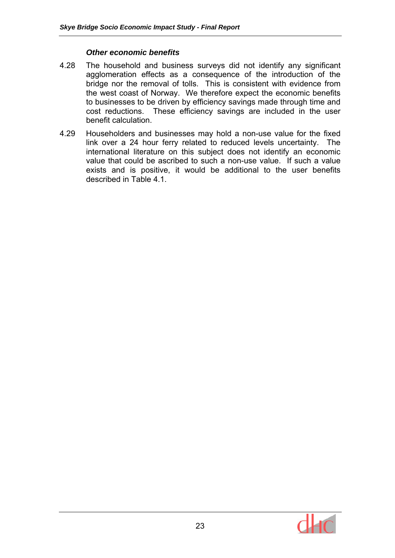#### *Other economic benefits*

- 4.28 The household and business surveys did not identify any significant agglomeration effects as a consequence of the introduction of the bridge nor the removal of tolls. This is consistent with evidence from the west coast of Norway. We therefore expect the economic benefits to businesses to be driven by efficiency savings made through time and cost reductions. These efficiency savings are included in the user benefit calculation.
- 4.29 Householders and businesses may hold a non-use value for the fixed link over a 24 hour ferry related to reduced levels uncertainty. The international literature on this subject does not identify an economic value that could be ascribed to such a non-use value. If such a value exists and is positive, it would be additional to the user benefits described in Table 4.1.

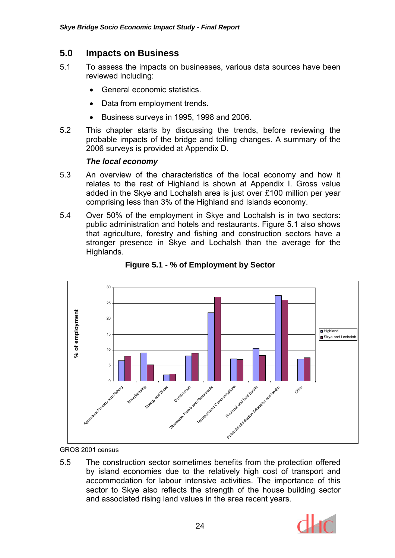# **5.0 Impacts on Business**

- 5.1 To assess the impacts on businesses, various data sources have been reviewed including:
	- General economic statistics.
	- Data from employment trends.
	- Business surveys in 1995, 1998 and 2006.
- 5.2 This chapter starts by discussing the trends, before reviewing the probable impacts of the bridge and tolling changes. A summary of the 2006 surveys is provided at Appendix D.

#### *The local economy*

- 5.3 An overview of the characteristics of the local economy and how it relates to the rest of Highland is shown at Appendix I. Gross value added in the Skye and Lochalsh area is just over £100 million per year comprising less than 3% of the Highland and Islands economy.
- 5.4 Over 50% of the employment in Skye and Lochalsh is in two sectors: public administration and hotels and restaurants. Figure 5.1 also shows that agriculture, forestry and fishing and construction sectors have a stronger presence in Skye and Lochalsh than the average for the Highlands.



**Figure 5.1 - % of Employment by Sector** 

GROS 2001 census

5.5 The construction sector sometimes benefits from the protection offered by island economies due to the relatively high cost of transport and accommodation for labour intensive activities. The importance of this sector to Skye also reflects the strength of the house building sector and associated rising land values in the area recent years.

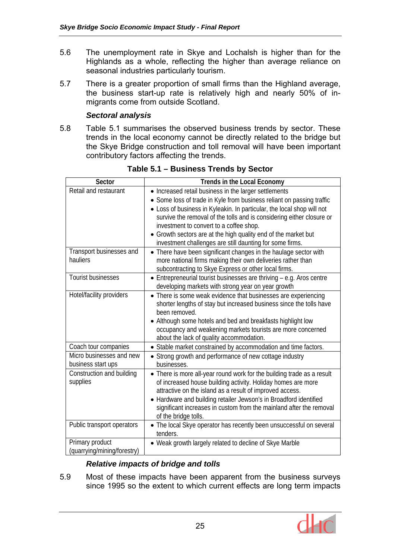- 5.6 The unemployment rate in Skye and Lochalsh is higher than for the Highlands as a whole, reflecting the higher than average reliance on seasonal industries particularly tourism.
- 5.7 There is a greater proportion of small firms than the Highland average, the business start-up rate is relatively high and nearly 50% of inmigrants come from outside Scotland.

#### *Sectoral analysis*

5.8 Table 5.1 summarises the observed business trends by sector. These trends in the local economy cannot be directly related to the bridge but the Skye Bridge construction and toll removal will have been important contributory factors affecting the trends.

| Sector                      | Trends in the Local Economy                                                                                                           |
|-----------------------------|---------------------------------------------------------------------------------------------------------------------------------------|
| Retail and restaurant       | • Increased retail business in the larger settlements                                                                                 |
|                             | • Some loss of trade in Kyle from business reliant on passing traffic                                                                 |
|                             | • Loss of business in Kyleakin. In particular, the local shop will not                                                                |
|                             | survive the removal of the tolls and is considering either closure or                                                                 |
|                             | investment to convert to a coffee shop.                                                                                               |
|                             | Growth sectors are at the high quality end of the market but                                                                          |
|                             | investment challenges are still daunting for some firms.                                                                              |
| Transport businesses and    | • There have been significant changes in the haulage sector with                                                                      |
| hauliers                    | more national firms making their own deliveries rather than                                                                           |
| <b>Tourist businesses</b>   | subcontracting to Skye Express or other local firms.                                                                                  |
|                             | Entrepreneurial tourist businesses are thriving - e.g. Aros centre                                                                    |
| Hotel/facility providers    | developing markets with strong year on year growth                                                                                    |
|                             | • There is some weak evidence that businesses are experiencing<br>shorter lengths of stay but increased business since the tolls have |
|                             | been removed.                                                                                                                         |
|                             | • Although some hotels and bed and breakfasts highlight low                                                                           |
|                             | occupancy and weakening markets tourists are more concerned                                                                           |
|                             | about the lack of quality accommodation.                                                                                              |
| Coach tour companies        | • Stable market constrained by accommodation and time factors.                                                                        |
| Micro businesses and new    | • Strong growth and performance of new cottage industry                                                                               |
| business start ups          | businesses.                                                                                                                           |
| Construction and building   | • There is more all-year round work for the building trade as a result                                                                |
| supplies                    | of increased house building activity. Holiday homes are more                                                                          |
|                             | attractive on the island as a result of improved access.                                                                              |
|                             | Hardware and building retailer Jewson's in Broadford identified                                                                       |
|                             | significant increases in custom from the mainland after the removal                                                                   |
|                             | of the bridge tolls.                                                                                                                  |
| Public transport operators  | • The local Skye operator has recently been unsuccessful on several<br>tenders.                                                       |
| Primary product             | • Weak growth largely related to decline of Skye Marble                                                                               |
| (quarrying/mining/forestry) |                                                                                                                                       |

**Table 5.1 – Business Trends by Sector** 

## *Relative impacts of bridge and tolls*

5.9 Most of these impacts have been apparent from the business surveys since 1995 so the extent to which current effects are long term impacts

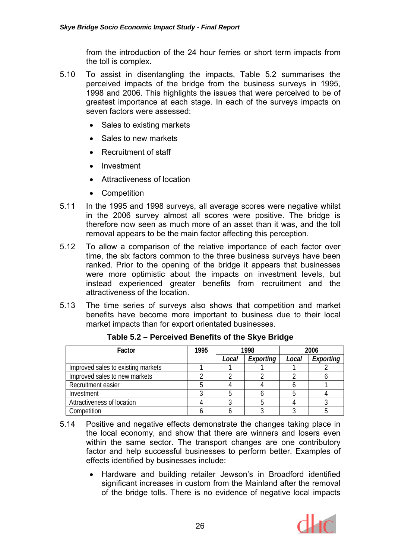from the introduction of the 24 hour ferries or short term impacts from the toll is complex.

- 5.10 To assist in disentangling the impacts, Table 5.2 summarises the perceived impacts of the bridge from the business surveys in 1995, 1998 and 2006. This highlights the issues that were perceived to be of greatest importance at each stage. In each of the surveys impacts on seven factors were assessed:
	- Sales to existing markets
	- Sales to new markets
	- Recruitment of staff
	- Investment
	- Attractiveness of location
	- Competition
- 5.11 In the 1995 and 1998 surveys, all average scores were negative whilst in the 2006 survey almost all scores were positive. The bridge is therefore now seen as much more of an asset than it was, and the toll removal appears to be the main factor affecting this perception.
- 5.12 To allow a comparison of the relative importance of each factor over time, the six factors common to the three business surveys have been ranked. Prior to the opening of the bridge it appears that businesses were more optimistic about the impacts on investment levels, but instead experienced greater benefits from recruitment and the attractiveness of the location.
- 5.13 The time series of surveys also shows that competition and market benefits have become more important to business due to their local market impacts than for export orientated businesses.

| Factor                             | 1995 | 1998  |           | 2006  |           |
|------------------------------------|------|-------|-----------|-------|-----------|
|                                    |      | Local | Exporting | Local | Exporting |
| Improved sales to existing markets |      |       |           |       |           |
| Improved sales to new markets      |      |       |           |       |           |
| Recruitment easier                 |      |       |           |       |           |
| Investment                         |      |       |           |       |           |
| Attractiveness of location         |      |       |           |       |           |
| Competition                        |      |       |           |       |           |

**Table 5.2 – Perceived Benefits of the Skye Bridge** 

- 5.14 Positive and negative effects demonstrate the changes taking place in the local economy, and show that there are winners and losers even within the same sector. The transport changes are one contributory factor and help successful businesses to perform better. Examples of effects identified by businesses include:
	- Hardware and building retailer Jewson's in Broadford identified significant increases in custom from the Mainland after the removal of the bridge tolls. There is no evidence of negative local impacts

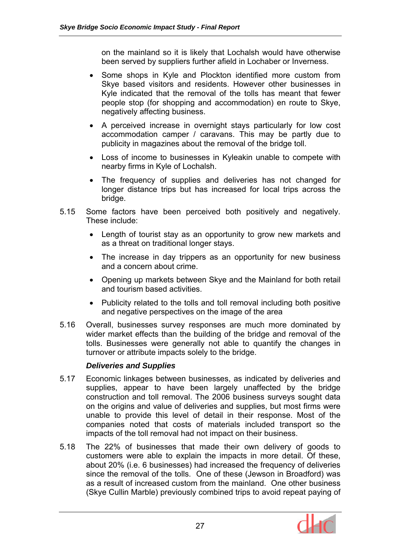on the mainland so it is likely that Lochalsh would have otherwise been served by suppliers further afield in Lochaber or Inverness.

- Some shops in Kyle and Plockton identified more custom from Skye based visitors and residents. However other businesses in Kyle indicated that the removal of the tolls has meant that fewer people stop (for shopping and accommodation) en route to Skye, negatively affecting business.
- A perceived increase in overnight stays particularly for low cost accommodation camper / caravans. This may be partly due to publicity in magazines about the removal of the bridge toll.
- Loss of income to businesses in Kyleakin unable to compete with nearby firms in Kyle of Lochalsh.
- The frequency of supplies and deliveries has not changed for longer distance trips but has increased for local trips across the bridge.
- 5.15 Some factors have been perceived both positively and negatively. These include:
	- Length of tourist stay as an opportunity to grow new markets and as a threat on traditional longer stays.
	- The increase in day trippers as an opportunity for new business and a concern about crime.
	- Opening up markets between Skye and the Mainland for both retail and tourism based activities.
	- Publicity related to the tolls and toll removal including both positive and negative perspectives on the image of the area
- 5.16 Overall, businesses survey responses are much more dominated by wider market effects than the building of the bridge and removal of the tolls. Businesses were generally not able to quantify the changes in turnover or attribute impacts solely to the bridge.

## *Deliveries and Supplies*

- 5.17 Economic linkages between businesses, as indicated by deliveries and supplies, appear to have been largely unaffected by the bridge construction and toll removal. The 2006 business surveys sought data on the origins and value of deliveries and supplies, but most firms were unable to provide this level of detail in their response. Most of the companies noted that costs of materials included transport so the impacts of the toll removal had not impact on their business.
- 5.18 The 22% of businesses that made their own delivery of goods to customers were able to explain the impacts in more detail. Of these, about 20% (i.e. 6 businesses) had increased the frequency of deliveries since the removal of the tolls. One of these (Jewson in Broadford) was as a result of increased custom from the mainland. One other business (Skye Cullin Marble) previously combined trips to avoid repeat paying of

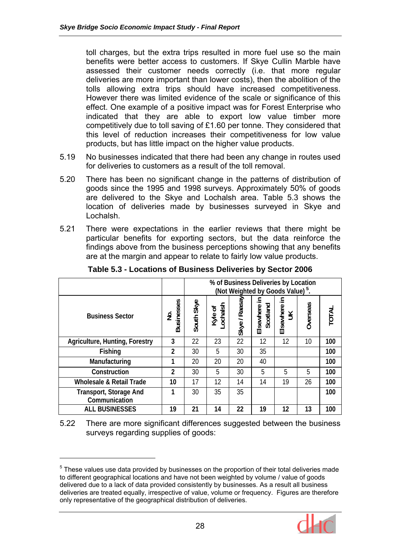toll charges, but the extra trips resulted in more fuel use so the main benefits were better access to customers. If Skye Cullin Marble have assessed their customer needs correctly (i.e. that more regular deliveries are more important than lower costs), then the abolition of the tolls allowing extra trips should have increased competitiveness. However there was limited evidence of the scale or significance of this effect. One example of a positive impact was for Forest Enterprise who indicated that they are able to export low value timber more competitively due to toll saving of £1.60 per tonne. They considered that this level of reduction increases their competitiveness for low value products, but has little impact on the higher value products.

- 5.19 No businesses indicated that there had been any change in routes used for deliveries to customers as a result of the toll removal.
- 5.20 There has been no significant change in the patterns of distribution of goods since the 1995 and 1998 surveys. Approximately 50% of goods are delivered to the Skye and Lochalsh area. Table 5.3 shows the location of deliveries made by businesses surveyed in Skye and Lochalsh.
- 5.21 There were expectations in the earlier reviews that there might be particular benefits for exporting sectors, but the data reinforce the findings above from the business perceptions showing that any benefits are at the margin and appear to relate to fairly low value products.

|                                         |                        | % of Business Deliveries by Location<br>(Not Weighted by Goods Value) <sup>5</sup> . |                      |               |                             |                       |                 |       |
|-----------------------------------------|------------------------|--------------------------------------------------------------------------------------|----------------------|---------------|-----------------------------|-----------------------|-----------------|-------|
| <b>Business Sector</b>                  | <b>Businesses</b><br>是 | South Skye                                                                           | ochalsh<br>৳<br>Kyle | Skye / Raasay | 크.<br>Scotland<br>Elsewhere | ≘.<br>Elsewhere<br>UK | <b>Overseas</b> | TOTAL |
| Agriculture, Hunting, Forestry          | 3                      | 22                                                                                   | 23                   | 22            | 12                          | 12                    | 10              | 100   |
| Fishing                                 | $\overline{2}$         | 30                                                                                   | 5                    | 30            | 35                          |                       |                 | 100   |
| Manufacturing                           | 1                      | 20                                                                                   | 20                   | 20            | 40                          |                       |                 | 100   |
| Construction                            | $\overline{2}$         | 30                                                                                   | 5                    | 30            | 5                           | 5                     | 5               | 100   |
| <b>Wholesale &amp; Retail Trade</b>     | 10                     | 17                                                                                   | 12                   | 14            | 14                          | 19                    | 26              | 100   |
| Transport, Storage And<br>Communication | 1                      | 30                                                                                   | 35                   | 35            |                             |                       |                 | 100   |
| <b>ALL BUSINESSES</b>                   | 19                     | 21                                                                                   | 14                   | 22            | 19                          | 12                    | 13              | 100   |

**Table 5.3 - Locations of Business Deliveries by Sector 2006** 

5.22 There are more significant differences suggested between the business surveys regarding supplies of goods:

 $\overline{a}$ 



 $<sup>5</sup>$  These values use data provided by businesses on the proportion of their total deliveries made</sup> to different geographical locations and have not been weighted by volume / value of goods delivered due to a lack of data provided consistently by businesses. As a result all business deliveries are treated equally, irrespective of value, volume or frequency. Figures are therefore only representative of the geographical distribution of deliveries.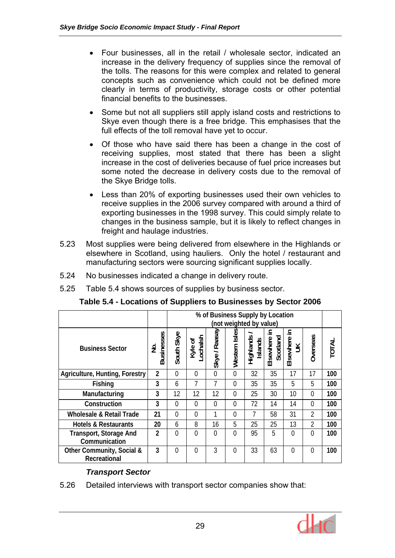- Four businesses, all in the retail / wholesale sector, indicated an increase in the delivery frequency of supplies since the removal of the tolls. The reasons for this were complex and related to general concepts such as convenience which could not be defined more clearly in terms of productivity, storage costs or other potential financial benefits to the businesses.
- Some but not all suppliers still apply island costs and restrictions to Skye even though there is a free bridge. This emphasises that the full effects of the toll removal have yet to occur.
- Of those who have said there has been a change in the cost of receiving supplies, most stated that there has been a slight increase in the cost of deliveries because of fuel price increases but some noted the decrease in delivery costs due to the removal of the Skye Bridge tolls.
- Less than 20% of exporting businesses used their own vehicles to receive supplies in the 2006 survey compared with around a third of exporting businesses in the 1998 survey. This could simply relate to changes in the business sample, but it is likely to reflect changes in freight and haulage industries.
- 5.23 Most supplies were being delivered from elsewhere in the Highlands or elsewhere in Scotland, using hauliers. Only the hotel / restaurant and manufacturing sectors were sourcing significant supplies locally.
- 5.24 No businesses indicated a change in delivery route.
- 5.25 Table 5.4 shows sources of supplies by business sector.

**Table 5.4 - Locations of Suppliers to Businesses by Sector 2006** 

|                                                |                        | % of Business Supply by Location<br>(not weighted by value) |                    |                |                |           |                               |                         |                |              |
|------------------------------------------------|------------------------|-------------------------------------------------------------|--------------------|----------------|----------------|-----------|-------------------------------|-------------------------|----------------|--------------|
| <b>Business Sector</b>                         | <b>Businesses</b><br>≗ | South Skye                                                  | ochalsh<br>Kyle of | Skye / Raasay  | Western Isles  | Highlands | 크.<br>Elsewhere i<br>Scotland | 크.<br>Elsewhere i<br>UK | Overseas       | <b>TOTAL</b> |
| <b>Agriculture, Hunting, Forestry</b>          | $\overline{2}$         | $\Omega$                                                    | $\Omega$           | $\overline{0}$ | $\overline{0}$ | 32        | 35                            | 17                      | 17             | 100          |
| Fishing                                        | 3                      | 6                                                           | 7                  | 7              | $\Omega$       | 35        | 35                            | 5                       | 5              | 100          |
| Manufacturing                                  | 3                      | 12                                                          | 12                 | 12             | $\Omega$       | 25        | 30                            | 10                      | $\theta$       | 100          |
| Construction                                   | 3                      | $\Omega$                                                    | 0                  | 0              | $\Omega$       | 72        | 14                            | 14                      | $\Omega$       | 100          |
| <b>Wholesale &amp; Retail Trade</b>            | 21                     | $\Omega$                                                    | 0                  | 1              | 0              | 7         | 58                            | 31                      | $\overline{2}$ | 100          |
| <b>Hotels &amp; Restaurants</b>                | 20                     | 6                                                           | 8                  | 16             | 5              | 25        | 25                            | 13                      | 2              | 100          |
| <b>Transport, Storage And</b><br>Communication | $\overline{2}$         | $\theta$                                                    | $\overline{0}$     | 0              | $\Omega$       | 95        | 5                             | $\theta$                | $\theta$       | 100          |
| Other Community, Social &<br>Recreational      | 3                      | $\Omega$                                                    | $\Omega$           | 3              | $\Omega$       | 33        | 63                            | $\theta$                | $\Omega$       | 100          |

# *Transport Sector*

5.26 Detailed interviews with transport sector companies show that:

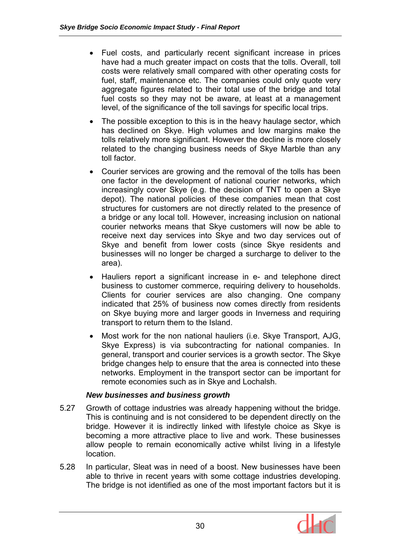- Fuel costs, and particularly recent significant increase in prices have had a much greater impact on costs that the tolls. Overall, toll costs were relatively small compared with other operating costs for fuel, staff, maintenance etc. The companies could only quote very aggregate figures related to their total use of the bridge and total fuel costs so they may not be aware, at least at a management level, of the significance of the toll savings for specific local trips.
- The possible exception to this is in the heavy haulage sector, which has declined on Skye. High volumes and low margins make the tolls relatively more significant. However the decline is more closely related to the changing business needs of Skye Marble than any toll factor.
- Courier services are growing and the removal of the tolls has been one factor in the development of national courier networks, which increasingly cover Skye (e.g. the decision of TNT to open a Skye depot). The national policies of these companies mean that cost structures for customers are not directly related to the presence of a bridge or any local toll. However, increasing inclusion on national courier networks means that Skye customers will now be able to receive next day services into Skye and two day services out of Skye and benefit from lower costs (since Skye residents and businesses will no longer be charged a surcharge to deliver to the area).
- Hauliers report a significant increase in e- and telephone direct business to customer commerce, requiring delivery to households. Clients for courier services are also changing. One company indicated that 25% of business now comes directly from residents on Skye buying more and larger goods in Inverness and requiring transport to return them to the Island.
- Most work for the non national hauliers (i.e. Skye Transport, AJG, Skye Express) is via subcontracting for national companies. In general, transport and courier services is a growth sector. The Skye bridge changes help to ensure that the area is connected into these networks. Employment in the transport sector can be important for remote economies such as in Skye and Lochalsh.

# *New businesses and business growth*

- 5.27 Growth of cottage industries was already happening without the bridge. This is continuing and is not considered to be dependent directly on the bridge. However it is indirectly linked with lifestyle choice as Skye is becoming a more attractive place to live and work. These businesses allow people to remain economically active whilst living in a lifestyle location.
- 5.28 In particular, Sleat was in need of a boost. New businesses have been able to thrive in recent years with some cottage industries developing. The bridge is not identified as one of the most important factors but it is

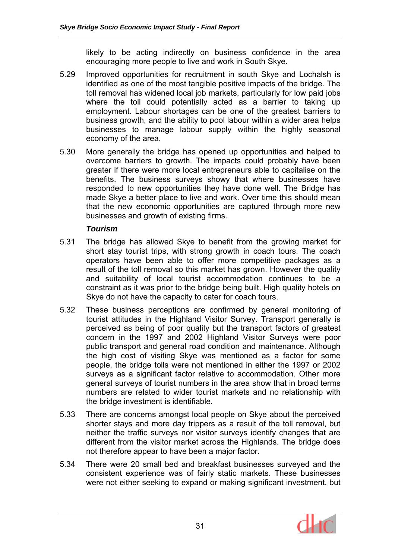likely to be acting indirectly on business confidence in the area encouraging more people to live and work in South Skye.

- 5.29 Improved opportunities for recruitment in south Skye and Lochalsh is identified as one of the most tangible positive impacts of the bridge. The toll removal has widened local job markets, particularly for low paid jobs where the toll could potentially acted as a barrier to taking up employment. Labour shortages can be one of the greatest barriers to business growth, and the ability to pool labour within a wider area helps businesses to manage labour supply within the highly seasonal economy of the area.
- 5.30 More generally the bridge has opened up opportunities and helped to overcome barriers to growth. The impacts could probably have been greater if there were more local entrepreneurs able to capitalise on the benefits. The business surveys showy that where businesses have responded to new opportunities they have done well. The Bridge has made Skye a better place to live and work. Over time this should mean that the new economic opportunities are captured through more new businesses and growth of existing firms.

# *Tourism*

- 5.31 The bridge has allowed Skye to benefit from the growing market for short stay tourist trips, with strong growth in coach tours. The coach operators have been able to offer more competitive packages as a result of the toll removal so this market has grown. However the quality and suitability of local tourist accommodation continues to be a constraint as it was prior to the bridge being built. High quality hotels on Skye do not have the capacity to cater for coach tours.
- 5.32 These business perceptions are confirmed by general monitoring of tourist attitudes in the Highland Visitor Survey. Transport generally is perceived as being of poor quality but the transport factors of greatest concern in the 1997 and 2002 Highland Visitor Surveys were poor public transport and general road condition and maintenance. Although the high cost of visiting Skye was mentioned as a factor for some people, the bridge tolls were not mentioned in either the 1997 or 2002 surveys as a significant factor relative to accommodation. Other more general surveys of tourist numbers in the area show that in broad terms numbers are related to wider tourist markets and no relationship with the bridge investment is identifiable.
- 5.33 There are concerns amongst local people on Skye about the perceived shorter stays and more day trippers as a result of the toll removal, but neither the traffic surveys nor visitor surveys identify changes that are different from the visitor market across the Highlands. The bridge does not therefore appear to have been a major factor.
- 5.34 There were 20 small bed and breakfast businesses surveyed and the consistent experience was of fairly static markets. These businesses were not either seeking to expand or making significant investment, but

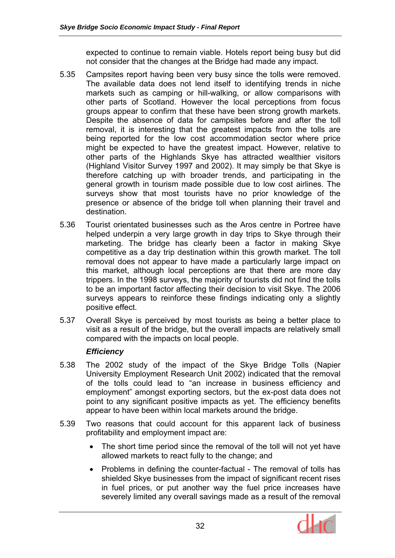expected to continue to remain viable. Hotels report being busy but did not consider that the changes at the Bridge had made any impact.

- 5.35 Campsites report having been very busy since the tolls were removed. The available data does not lend itself to identifying trends in niche markets such as camping or hill-walking, or allow comparisons with other parts of Scotland. However the local perceptions from focus groups appear to confirm that these have been strong growth markets. Despite the absence of data for campsites before and after the toll removal, it is interesting that the greatest impacts from the tolls are being reported for the low cost accommodation sector where price might be expected to have the greatest impact. However, relative to other parts of the Highlands Skye has attracted wealthier visitors (Highland Visitor Survey 1997 and 2002). It may simply be that Skye is therefore catching up with broader trends, and participating in the general growth in tourism made possible due to low cost airlines. The surveys show that most tourists have no prior knowledge of the presence or absence of the bridge toll when planning their travel and destination.
- 5.36 Tourist orientated businesses such as the Aros centre in Portree have helped underpin a very large growth in day trips to Skye through their marketing. The bridge has clearly been a factor in making Skye competitive as a day trip destination within this growth market. The toll removal does not appear to have made a particularly large impact on this market, although local perceptions are that there are more day trippers. In the 1998 surveys, the majority of tourists did not find the tolls to be an important factor affecting their decision to visit Skye. The 2006 surveys appears to reinforce these findings indicating only a slightly positive effect.
- 5.37 Overall Skye is perceived by most tourists as being a better place to visit as a result of the bridge, but the overall impacts are relatively small compared with the impacts on local people.

# *Efficiency*

- 5.38 The 2002 study of the impact of the Skye Bridge Tolls (Napier University Employment Research Unit 2002) indicated that the removal of the tolls could lead to "an increase in business efficiency and employment" amongst exporting sectors, but the ex-post data does not point to any significant positive impacts as yet. The efficiency benefits appear to have been within local markets around the bridge.
- 5.39 Two reasons that could account for this apparent lack of business profitability and employment impact are:
	- The short time period since the removal of the toll will not yet have allowed markets to react fully to the change; and
	- Problems in defining the counter-factual The removal of tolls has shielded Skye businesses from the impact of significant recent rises in fuel prices, or put another way the fuel price increases have severely limited any overall savings made as a result of the removal

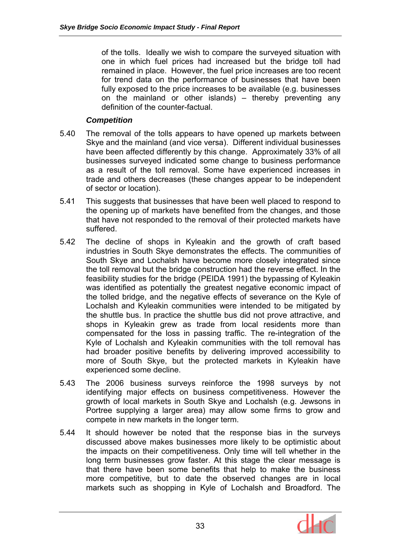of the tolls. Ideally we wish to compare the surveyed situation with one in which fuel prices had increased but the bridge toll had remained in place. However, the fuel price increases are too recent for trend data on the performance of businesses that have been fully exposed to the price increases to be available (e.g. businesses on the mainland or other islands) – thereby preventing any definition of the counter-factual.

# *Competition*

- 5.40 The removal of the tolls appears to have opened up markets between Skye and the mainland (and vice versa). Different individual businesses have been affected differently by this change. Approximately 33% of all businesses surveyed indicated some change to business performance as a result of the toll removal. Some have experienced increases in trade and others decreases (these changes appear to be independent of sector or location).
- 5.41 This suggests that businesses that have been well placed to respond to the opening up of markets have benefited from the changes, and those that have not responded to the removal of their protected markets have suffered.
- 5.42 The decline of shops in Kyleakin and the growth of craft based industries in South Skye demonstrates the effects. The communities of South Skye and Lochalsh have become more closely integrated since the toll removal but the bridge construction had the reverse effect. In the feasibility studies for the bridge (PEIDA 1991) the bypassing of Kyleakin was identified as potentially the greatest negative economic impact of the tolled bridge, and the negative effects of severance on the Kyle of Lochalsh and Kyleakin communities were intended to be mitigated by the shuttle bus. In practice the shuttle bus did not prove attractive, and shops in Kyleakin grew as trade from local residents more than compensated for the loss in passing traffic. The re-integration of the Kyle of Lochalsh and Kyleakin communities with the toll removal has had broader positive benefits by delivering improved accessibility to more of South Skye, but the protected markets in Kyleakin have experienced some decline.
- 5.43 The 2006 business surveys reinforce the 1998 surveys by not identifying major effects on business competitiveness. However the growth of local markets in South Skye and Lochalsh (e.g. Jewsons in Portree supplying a larger area) may allow some firms to grow and compete in new markets in the longer term.
- 5.44 It should however be noted that the response bias in the surveys discussed above makes businesses more likely to be optimistic about the impacts on their competitiveness. Only time will tell whether in the long term businesses grow faster. At this stage the clear message is that there have been some benefits that help to make the business more competitive, but to date the observed changes are in local markets such as shopping in Kyle of Lochalsh and Broadford. The

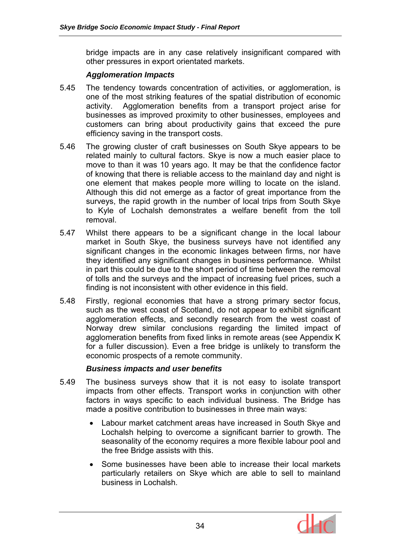bridge impacts are in any case relatively insignificant compared with other pressures in export orientated markets.

#### *Agglomeration Impacts*

- 5.45 The tendency towards concentration of activities, or agglomeration, is one of the most striking features of the spatial distribution of economic activity. Agglomeration benefits from a transport project arise for businesses as improved proximity to other businesses, employees and customers can bring about productivity gains that exceed the pure efficiency saving in the transport costs.
- 5.46 The growing cluster of craft businesses on South Skye appears to be related mainly to cultural factors. Skye is now a much easier place to move to than it was 10 years ago. It may be that the confidence factor of knowing that there is reliable access to the mainland day and night is one element that makes people more willing to locate on the island. Although this did not emerge as a factor of great importance from the surveys, the rapid growth in the number of local trips from South Skye to Kyle of Lochalsh demonstrates a welfare benefit from the toll removal.
- 5.47 Whilst there appears to be a significant change in the local labour market in South Skye, the business surveys have not identified any significant changes in the economic linkages between firms, nor have they identified any significant changes in business performance. Whilst in part this could be due to the short period of time between the removal of tolls and the surveys and the impact of increasing fuel prices, such a finding is not inconsistent with other evidence in this field.
- 5.48 Firstly, regional economies that have a strong primary sector focus, such as the west coast of Scotland, do not appear to exhibit significant agglomeration effects, and secondly research from the west coast of Norway drew similar conclusions regarding the limited impact of agglomeration benefits from fixed links in remote areas (see Appendix K for a fuller discussion). Even a free bridge is unlikely to transform the economic prospects of a remote community.

# *Business impacts and user benefits*

- 5.49 The business surveys show that it is not easy to isolate transport impacts from other effects. Transport works in conjunction with other factors in ways specific to each individual business. The Bridge has made a positive contribution to businesses in three main ways:
	- Labour market catchment areas have increased in South Skye and Lochalsh helping to overcome a significant barrier to growth. The seasonality of the economy requires a more flexible labour pool and the free Bridge assists with this.
	- Some businesses have been able to increase their local markets particularly retailers on Skye which are able to sell to mainland business in Lochalsh.

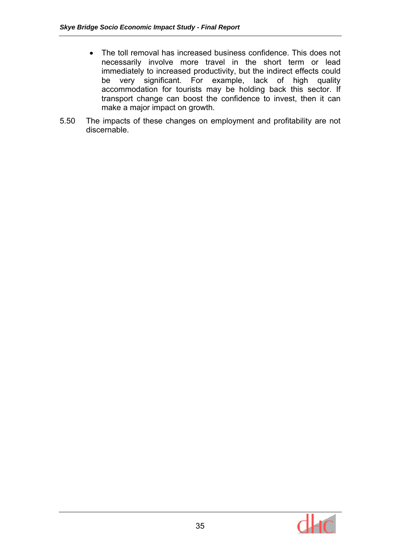- The toll removal has increased business confidence. This does not necessarily involve more travel in the short term or lead immediately to increased productivity, but the indirect effects could be very significant. For example, lack of high quality accommodation for tourists may be holding back this sector. If transport change can boost the confidence to invest, then it can make a major impact on growth.
- 5.50 The impacts of these changes on employment and profitability are not discernable.

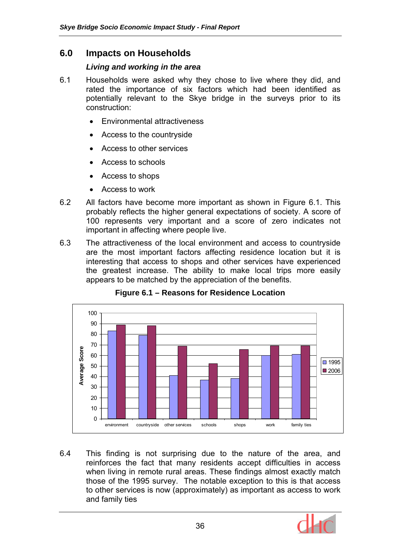# **6.0 Impacts on Households**

### *Living and working in the area*

- 6.1 Households were asked why they chose to live where they did, and rated the importance of six factors which had been identified as potentially relevant to the Skye bridge in the surveys prior to its construction:
	- Environmental attractiveness
	- Access to the countryside
	- Access to other services
	- Access to schools
	- Access to shops
	- Access to work
- 6.2 All factors have become more important as shown in Figure 6.1. This probably reflects the higher general expectations of society. A score of 100 represents very important and a score of zero indicates not important in affecting where people live.
- 6.3 The attractiveness of the local environment and access to countryside are the most important factors affecting residence location but it is interesting that access to shops and other services have experienced the greatest increase. The ability to make local trips more easily appears to be matched by the appreciation of the benefits.



**Figure 6.1 – Reasons for Residence Location** 

6.4 This finding is not surprising due to the nature of the area, and reinforces the fact that many residents accept difficulties in access when living in remote rural areas. These findings almost exactly match those of the 1995 survey. The notable exception to this is that access to other services is now (approximately) as important as access to work and family ties

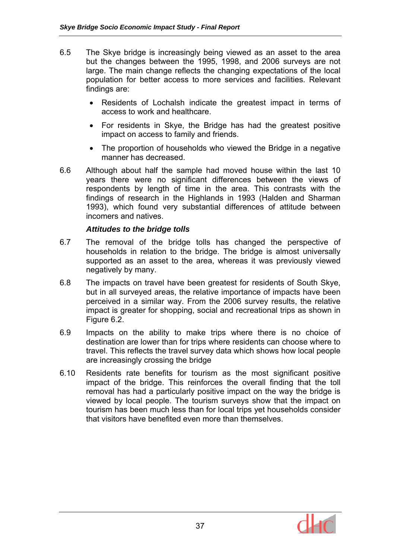- 6.5 The Skye bridge is increasingly being viewed as an asset to the area but the changes between the 1995, 1998, and 2006 surveys are not large. The main change reflects the changing expectations of the local population for better access to more services and facilities. Relevant findings are:
	- Residents of Lochalsh indicate the greatest impact in terms of access to work and healthcare.
	- For residents in Skye, the Bridge has had the greatest positive impact on access to family and friends.
	- The proportion of households who viewed the Bridge in a negative manner has decreased.
- 6.6 Although about half the sample had moved house within the last 10 years there were no significant differences between the views of respondents by length of time in the area. This contrasts with the findings of research in the Highlands in 1993 (Halden and Sharman 1993), which found very substantial differences of attitude between incomers and natives.

### *Attitudes to the bridge tolls*

- 6.7 The removal of the bridge tolls has changed the perspective of households in relation to the bridge. The bridge is almost universally supported as an asset to the area, whereas it was previously viewed negatively by many.
- 6.8 The impacts on travel have been greatest for residents of South Skye, but in all surveyed areas, the relative importance of impacts have been perceived in a similar way. From the 2006 survey results, the relative impact is greater for shopping, social and recreational trips as shown in Figure 6.2.
- 6.9 Impacts on the ability to make trips where there is no choice of destination are lower than for trips where residents can choose where to travel. This reflects the travel survey data which shows how local people are increasingly crossing the bridge
- 6.10 Residents rate benefits for tourism as the most significant positive impact of the bridge. This reinforces the overall finding that the toll removal has had a particularly positive impact on the way the bridge is viewed by local people. The tourism surveys show that the impact on tourism has been much less than for local trips yet households consider that visitors have benefited even more than themselves.

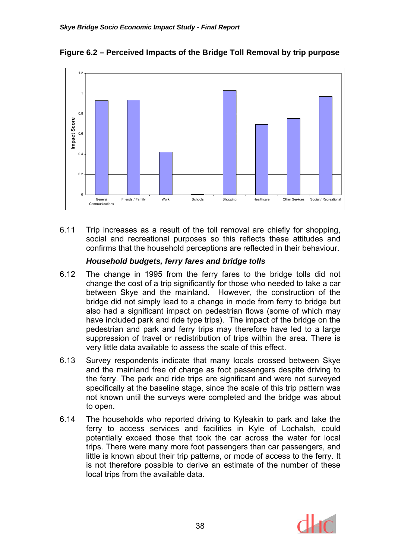

**Figure 6.2 – Perceived Impacts of the Bridge Toll Removal by trip purpose** 

6.11 Trip increases as a result of the toll removal are chiefly for shopping, social and recreational purposes so this reflects these attitudes and confirms that the household perceptions are reflected in their behaviour.

### *Household budgets, ferry fares and bridge tolls*

- 6.12 The change in 1995 from the ferry fares to the bridge tolls did not change the cost of a trip significantly for those who needed to take a car between Skye and the mainland. However, the construction of the bridge did not simply lead to a change in mode from ferry to bridge but also had a significant impact on pedestrian flows (some of which may have included park and ride type trips). The impact of the bridge on the pedestrian and park and ferry trips may therefore have led to a large suppression of travel or redistribution of trips within the area. There is very little data available to assess the scale of this effect.
- 6.13 Survey respondents indicate that many locals crossed between Skye and the mainland free of charge as foot passengers despite driving to the ferry. The park and ride trips are significant and were not surveyed specifically at the baseline stage, since the scale of this trip pattern was not known until the surveys were completed and the bridge was about to open.
- 6.14 The households who reported driving to Kyleakin to park and take the ferry to access services and facilities in Kyle of Lochalsh, could potentially exceed those that took the car across the water for local trips. There were many more foot passengers than car passengers, and little is known about their trip patterns, or mode of access to the ferry. It is not therefore possible to derive an estimate of the number of these local trips from the available data.

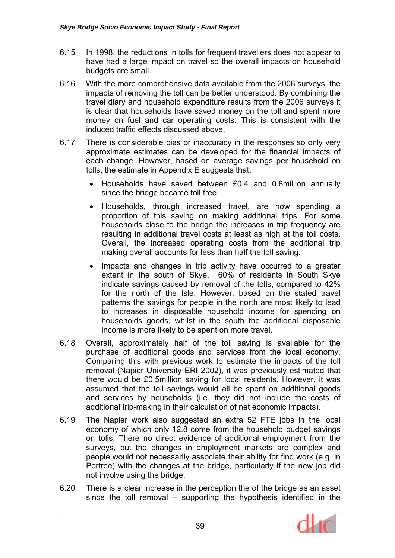- 6.15 In 1998, the reductions in tolls for frequent travellers does not appear to have had a large impact on travel so the overall impacts on household budgets are small.
- 6.16 With the more comprehensive data available from the 2006 surveys, the impacts of removing the toll can be better understood. By combining the travel diary and household expenditure results from the 2006 surveys it is clear that households have saved money on the toll and spent more money on fuel and car operating costs. This is consistent with the induced traffic effects discussed above.
- 6.17 There is considerable bias or inaccuracy in the responses so only very approximate estimates can be developed for the financial impacts of each change. However, based on average savings per household on tolls, the estimate in Appendix E suggests that:
	- Households have saved between £0.4 and 0.8million annually since the bridge became toll free.
	- Households, through increased travel, are now spending a proportion of this saving on making additional trips. For some households close to the bridge the increases in trip frequency are resulting in additional travel costs at least as high at the toll costs. Overall, the increased operating costs from the additional trip making overall accounts for less than half the toll saving.
	- Impacts and changes in trip activity have occurred to a greater extent in the south of Skye. 60% of residents in South Skye indicate savings caused by removal of the tolls, compared to 42% for the north of the Isle. However, based on the stated travel patterns the savings for people in the north are most likely to lead to increases in disposable household income for spending on households goods, whilst in the south the additional disposable income is more likely to be spent on more travel.
- 6.18 Overall, approximately half of the toll saving is available for the purchase of additional goods and services from the local economy. Comparing this with previous work to estimate the impacts of the toll removal (Napier University ERI 2002), it was previously estimated that there would be £0.5million saving for local residents. However, it was assumed that the toll savings would all be spent on additional goods and services by households (i.e. they did not include the costs of additional trip-making in their calculation of net economic impacts).
- 6.19 The Napier work also suggested an extra 52 FTE jobs in the local economy of which only 12.8 come from the household budget savings on tolls. There no direct evidence of additional employment from the surveys, but the changes in employment markets are complex and people would not necessarily associate their ability for find work (e.g. in Portree) with the changes at the bridge, particularly if the new job did not involve using the bridge.
- 6.20 There is a clear increase in the perception the of the bridge as an asset since the toll removal – supporting the hypothesis identified in the

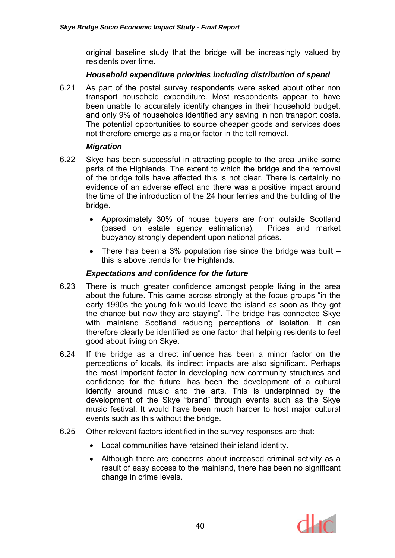original baseline study that the bridge will be increasingly valued by residents over time.

#### *Household expenditure priorities including distribution of spend*

6.21 As part of the postal survey respondents were asked about other non transport household expenditure. Most respondents appear to have been unable to accurately identify changes in their household budget, and only 9% of households identified any saving in non transport costs. The potential opportunities to source cheaper goods and services does not therefore emerge as a major factor in the toll removal.

#### *Migration*

- 6.22 Skye has been successful in attracting people to the area unlike some parts of the Highlands. The extent to which the bridge and the removal of the bridge tolls have affected this is not clear. There is certainly no evidence of an adverse effect and there was a positive impact around the time of the introduction of the 24 hour ferries and the building of the bridge.
	- Approximately 30% of house buyers are from outside Scotland (based on estate agency estimations). Prices and market buoyancy strongly dependent upon national prices.
	- There has been a 3% population rise since the bridge was built  $$ this is above trends for the Highlands.

# *Expectations and confidence for the future*

- 6.23 There is much greater confidence amongst people living in the area about the future. This came across strongly at the focus groups "in the early 1990s the young folk would leave the island as soon as they got the chance but now they are staying". The bridge has connected Skye with mainland Scotland reducing perceptions of isolation. It can therefore clearly be identified as one factor that helping residents to feel good about living on Skye.
- 6.24 If the bridge as a direct influence has been a minor factor on the perceptions of locals, its indirect impacts are also significant. Perhaps the most important factor in developing new community structures and confidence for the future, has been the development of a cultural identify around music and the arts. This is underpinned by the development of the Skye "brand" through events such as the Skye music festival. It would have been much harder to host major cultural events such as this without the bridge.
- 6.25 Other relevant factors identified in the survey responses are that:
	- Local communities have retained their island identity.
	- Although there are concerns about increased criminal activity as a result of easy access to the mainland, there has been no significant change in crime levels.

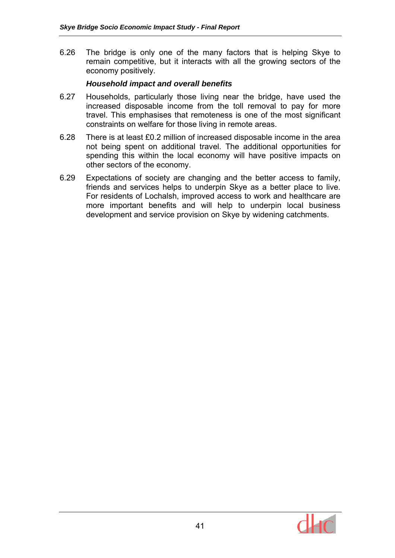6.26 The bridge is only one of the many factors that is helping Skye to remain competitive, but it interacts with all the growing sectors of the economy positively.

#### *Household impact and overall benefits*

- 6.27 Households, particularly those living near the bridge, have used the increased disposable income from the toll removal to pay for more travel. This emphasises that remoteness is one of the most significant constraints on welfare for those living in remote areas.
- 6.28 There is at least £0.2 million of increased disposable income in the area not being spent on additional travel. The additional opportunities for spending this within the local economy will have positive impacts on other sectors of the economy.
- 6.29 Expectations of society are changing and the better access to family, friends and services helps to underpin Skye as a better place to live. For residents of Lochalsh, improved access to work and healthcare are more important benefits and will help to underpin local business development and service provision on Skye by widening catchments.

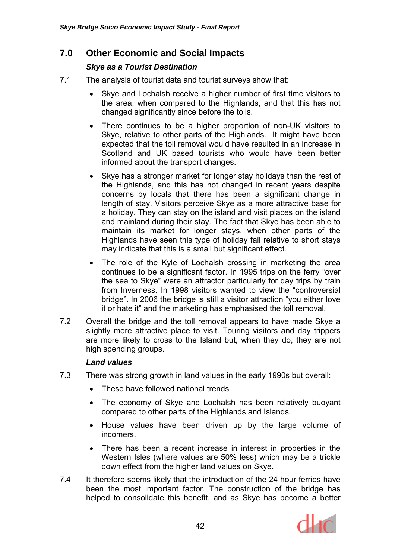# **7.0 Other Economic and Social Impacts**

# *Skye as a Tourist Destination*

- 7.1 The analysis of tourist data and tourist surveys show that:
	- Skye and Lochalsh receive a higher number of first time visitors to the area, when compared to the Highlands, and that this has not changed significantly since before the tolls.
	- There continues to be a higher proportion of non-UK visitors to Skye, relative to other parts of the Highlands. It might have been expected that the toll removal would have resulted in an increase in Scotland and UK based tourists who would have been better informed about the transport changes.
	- Skye has a stronger market for longer stay holidays than the rest of the Highlands, and this has not changed in recent years despite concerns by locals that there has been a significant change in length of stay. Visitors perceive Skye as a more attractive base for a holiday. They can stay on the island and visit places on the island and mainland during their stay. The fact that Skye has been able to maintain its market for longer stays, when other parts of the Highlands have seen this type of holiday fall relative to short stays may indicate that this is a small but significant effect.
	- The role of the Kyle of Lochalsh crossing in marketing the area continues to be a significant factor. In 1995 trips on the ferry "over the sea to Skye" were an attractor particularly for day trips by train from Inverness. In 1998 visitors wanted to view the "controversial bridge". In 2006 the bridge is still a visitor attraction "you either love it or hate it" and the marketing has emphasised the toll removal.
- 7.2 Overall the bridge and the toll removal appears to have made Skye a slightly more attractive place to visit. Touring visitors and day trippers are more likely to cross to the Island but, when they do, they are not high spending groups.

# *Land values*

- 7.3 There was strong growth in land values in the early 1990s but overall:
	- These have followed national trends
	- The economy of Skye and Lochalsh has been relatively buoyant compared to other parts of the Highlands and Islands.
	- House values have been driven up by the large volume of incomers.
	- There has been a recent increase in interest in properties in the Western Isles (where values are 50% less) which may be a trickle down effect from the higher land values on Skye.
- 7.4 It therefore seems likely that the introduction of the 24 hour ferries have been the most important factor. The construction of the bridge has helped to consolidate this benefit, and as Skye has become a better

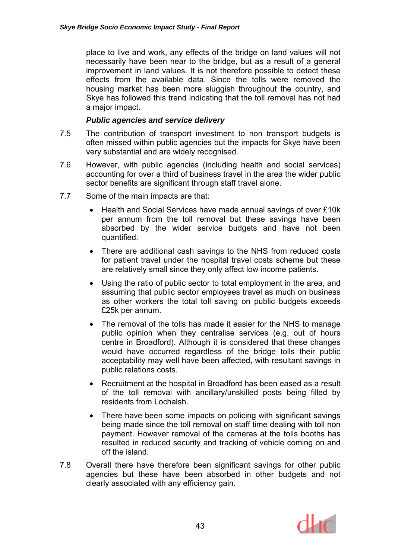place to live and work, any effects of the bridge on land values will not necessarily have been near to the bridge, but as a result of a general improvement in land values. It is not therefore possible to detect these effects from the available data. Since the tolls were removed the housing market has been more sluggish throughout the country, and Skye has followed this trend indicating that the toll removal has not had a major impact.

#### *Public agencies and service delivery*

- 7.5 The contribution of transport investment to non transport budgets is often missed within public agencies but the impacts for Skye have been very substantial and are widely recognised.
- 7.6 However, with public agencies (including health and social services) accounting for over a third of business travel in the area the wider public sector benefits are significant through staff travel alone.
- 7.7 Some of the main impacts are that:
	- Health and Social Services have made annual savings of over £10k per annum from the toll removal but these savings have been absorbed by the wider service budgets and have not been quantified.
	- There are additional cash savings to the NHS from reduced costs for patient travel under the hospital travel costs scheme but these are relatively small since they only affect low income patients.
	- Using the ratio of public sector to total employment in the area, and assuming that public sector employees travel as much on business as other workers the total toll saving on public budgets exceeds £25k per annum.
	- The removal of the tolls has made it easier for the NHS to manage public opinion when they centralise services (e.g. out of hours centre in Broadford). Although it is considered that these changes would have occurred regardless of the bridge tolls their public acceptability may well have been affected, with resultant savings in public relations costs.
	- Recruitment at the hospital in Broadford has been eased as a result of the toll removal with ancillary/unskilled posts being filled by residents from Lochalsh.
	- There have been some impacts on policing with significant savings being made since the toll removal on staff time dealing with toll non payment. However removal of the cameras at the tolls booths has resulted in reduced security and tracking of vehicle coming on and off the island.
- 7.8 Overall there have therefore been significant savings for other public agencies but these have been absorbed in other budgets and not clearly associated with any efficiency gain.

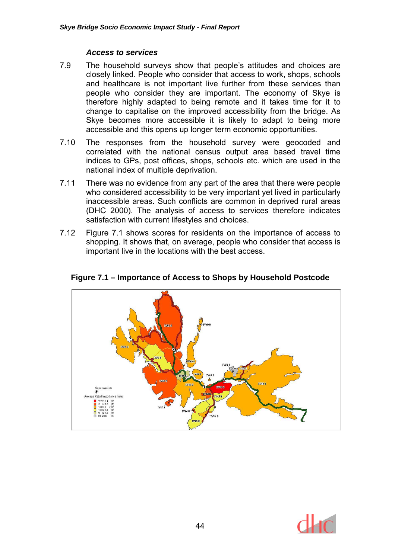#### *Access to services*

- 7.9 The household surveys show that people's attitudes and choices are closely linked. People who consider that access to work, shops, schools and healthcare is not important live further from these services than people who consider they are important. The economy of Skye is therefore highly adapted to being remote and it takes time for it to change to capitalise on the improved accessibility from the bridge. As Skye becomes more accessible it is likely to adapt to being more accessible and this opens up longer term economic opportunities.
- 7.10 The responses from the household survey were geocoded and correlated with the national census output area based travel time indices to GPs, post offices, shops, schools etc. which are used in the national index of multiple deprivation.
- 7.11 There was no evidence from any part of the area that there were people who considered accessibility to be very important yet lived in particularly inaccessible areas. Such conflicts are common in deprived rural areas (DHC 2000). The analysis of access to services therefore indicates satisfaction with current lifestyles and choices.
- 7.12 Figure 7.1 shows scores for residents on the importance of access to shopping. It shows that, on average, people who consider that access is important live in the locations with the best access.



**Figure 7.1 – Importance of Access to Shops by Household Postcode** 

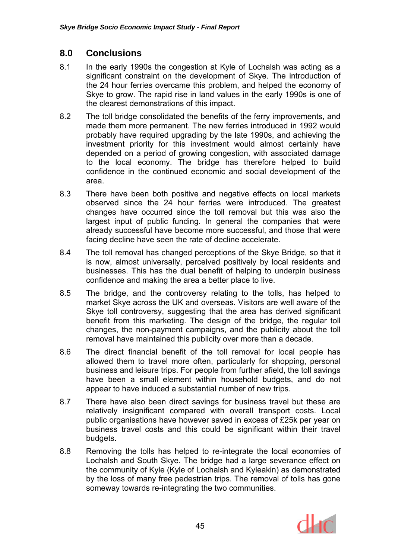# **8.0 Conclusions**

- 8.1 In the early 1990s the congestion at Kyle of Lochalsh was acting as a significant constraint on the development of Skye. The introduction of the 24 hour ferries overcame this problem, and helped the economy of Skye to grow. The rapid rise in land values in the early 1990s is one of the clearest demonstrations of this impact.
- 8.2 The toll bridge consolidated the benefits of the ferry improvements, and made them more permanent. The new ferries introduced in 1992 would probably have required upgrading by the late 1990s, and achieving the investment priority for this investment would almost certainly have depended on a period of growing congestion, with associated damage to the local economy. The bridge has therefore helped to build confidence in the continued economic and social development of the area.
- 8.3 There have been both positive and negative effects on local markets observed since the 24 hour ferries were introduced. The greatest changes have occurred since the toll removal but this was also the largest input of public funding. In general the companies that were already successful have become more successful, and those that were facing decline have seen the rate of decline accelerate.
- 8.4 The toll removal has changed perceptions of the Skye Bridge, so that it is now, almost universally, perceived positively by local residents and businesses. This has the dual benefit of helping to underpin business confidence and making the area a better place to live.
- 8.5 The bridge, and the controversy relating to the tolls, has helped to market Skye across the UK and overseas. Visitors are well aware of the Skye toll controversy, suggesting that the area has derived significant benefit from this marketing. The design of the bridge, the regular toll changes, the non-payment campaigns, and the publicity about the toll removal have maintained this publicity over more than a decade.
- 8.6 The direct financial benefit of the toll removal for local people has allowed them to travel more often, particularly for shopping, personal business and leisure trips. For people from further afield, the toll savings have been a small element within household budgets, and do not appear to have induced a substantial number of new trips.
- 8.7 There have also been direct savings for business travel but these are relatively insignificant compared with overall transport costs. Local public organisations have however saved in excess of £25k per year on business travel costs and this could be significant within their travel budgets.
- 8.8 Removing the tolls has helped to re-integrate the local economies of Lochalsh and South Skye. The bridge had a large severance effect on the community of Kyle (Kyle of Lochalsh and Kyleakin) as demonstrated by the loss of many free pedestrian trips. The removal of tolls has gone someway towards re-integrating the two communities.

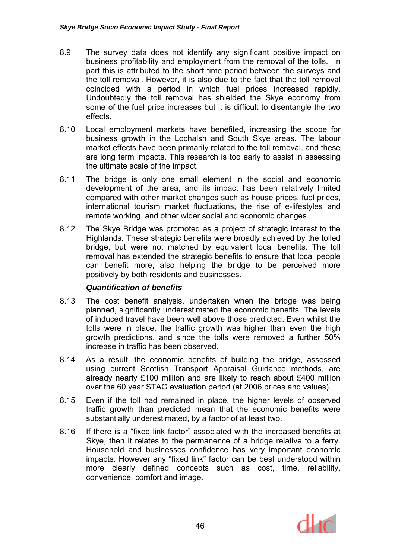- 8.9 The survey data does not identify any significant positive impact on business profitability and employment from the removal of the tolls. In part this is attributed to the short time period between the surveys and the toll removal. However, it is also due to the fact that the toll removal coincided with a period in which fuel prices increased rapidly. Undoubtedly the toll removal has shielded the Skye economy from some of the fuel price increases but it is difficult to disentangle the two effects.
- 8.10 Local employment markets have benefited, increasing the scope for business growth in the Lochalsh and South Skye areas. The labour market effects have been primarily related to the toll removal, and these are long term impacts. This research is too early to assist in assessing the ultimate scale of the impact.
- 8.11 The bridge is only one small element in the social and economic development of the area, and its impact has been relatively limited compared with other market changes such as house prices, fuel prices, international tourism market fluctuations, the rise of e-lifestyles and remote working, and other wider social and economic changes.
- 8.12 The Skye Bridge was promoted as a project of strategic interest to the Highlands. These strategic benefits were broadly achieved by the tolled bridge, but were not matched by equivalent local benefits. The toll removal has extended the strategic benefits to ensure that local people can benefit more, also helping the bridge to be perceived more positively by both residents and businesses.

# *Quantification of benefits*

- 8.13 The cost benefit analysis, undertaken when the bridge was being planned, significantly underestimated the economic benefits. The levels of induced travel have been well above those predicted. Even whilst the tolls were in place, the traffic growth was higher than even the high growth predictions, and since the tolls were removed a further 50% increase in traffic has been observed.
- 8.14 As a result, the economic benefits of building the bridge, assessed using current Scottish Transport Appraisal Guidance methods, are already nearly £100 million and are likely to reach about £400 million over the 60 year STAG evaluation period (at 2006 prices and values).
- 8.15 Even if the toll had remained in place, the higher levels of observed traffic growth than predicted mean that the economic benefits were substantially underestimated, by a factor of at least two.
- 8.16 If there is a "fixed link factor" associated with the increased benefits at Skye, then it relates to the permanence of a bridge relative to a ferry. Household and businesses confidence has very important economic impacts. However any "fixed link" factor can be best understood within more clearly defined concepts such as cost, time, reliability, convenience, comfort and image.

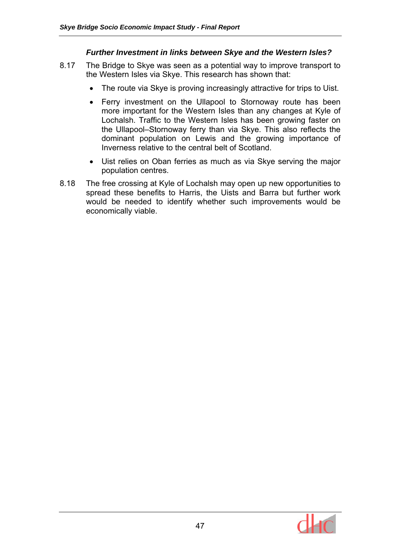#### *Further Investment in links between Skye and the Western Isles?*

- 8.17 The Bridge to Skye was seen as a potential way to improve transport to the Western Isles via Skye. This research has shown that:
	- The route via Skye is proving increasingly attractive for trips to Uist.
	- Ferry investment on the Ullapool to Stornoway route has been more important for the Western Isles than any changes at Kyle of Lochalsh. Traffic to the Western Isles has been growing faster on the Ullapool–Stornoway ferry than via Skye. This also reflects the dominant population on Lewis and the growing importance of Inverness relative to the central belt of Scotland.
	- Uist relies on Oban ferries as much as via Skye serving the major population centres.
- 8.18 The free crossing at Kyle of Lochalsh may open up new opportunities to spread these benefits to Harris, the Uists and Barra but further work would be needed to identify whether such improvements would be economically viable.

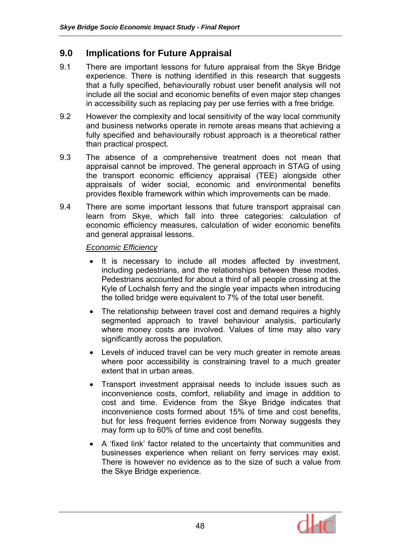# **9.0 Implications for Future Appraisal**

- 9.1 There are important lessons for future appraisal from the Skye Bridge experience. There is nothing identified in this research that suggests that a fully specified, behaviourally robust user benefit analysis will not include all the social and economic benefits of even major step changes in accessibility such as replacing pay per use ferries with a free bridge.
- 9.2 However the complexity and local sensitivity of the way local community and business networks operate in remote areas means that achieving a fully specified and behaviourally robust approach is a theoretical rather than practical prospect.
- 9.3 The absence of a comprehensive treatment does not mean that appraisal cannot be improved. The general approach in STAG of using the transport economic efficiency appraisal (TEE) alongside other appraisals of wider social, economic and environmental benefits provides flexible framework within which improvements can be made.
- 9.4 There are some important lessons that future transport appraisal can learn from Skye, which fall into three categories: calculation of economic efficiency measures, calculation of wider economic benefits and general appraisal lessons.

*Economic Efficiency*

- It is necessary to include all modes affected by investment, including pedestrians, and the relationships between these modes. Pedestrians accounted for about a third of all people crossing at the Kyle of Lochalsh ferry and the single year impacts when introducing the tolled bridge were equivalent to 7% of the total user benefit.
- The relationship between travel cost and demand requires a highly segmented approach to travel behaviour analysis, particularly where money costs are involved. Values of time may also vary significantly across the population.
- Levels of induced travel can be very much greater in remote areas where poor accessibility is constraining travel to a much greater extent that in urban areas.
- Transport investment appraisal needs to include issues such as inconvenience costs, comfort, reliability and image in addition to cost and time. Evidence from the Skye Bridge indicates that inconvenience costs formed about 15% of time and cost benefits, but for less frequent ferries evidence from Norway suggests they may form up to 60% of time and cost benefits.
- A 'fixed link' factor related to the uncertainty that communities and businesses experience when reliant on ferry services may exist. There is however no evidence as to the size of such a value from the Skye Bridge experience.

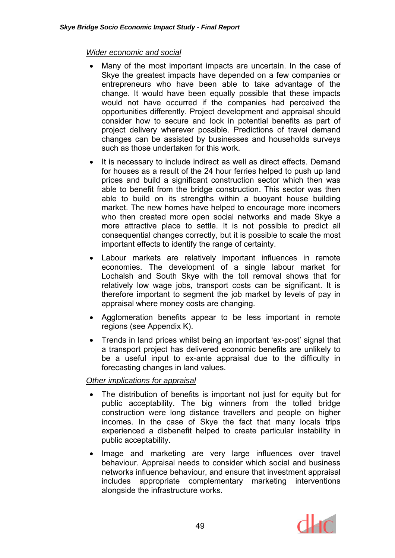### *Wider economic and social*

- Many of the most important impacts are uncertain. In the case of Skye the greatest impacts have depended on a few companies or entrepreneurs who have been able to take advantage of the change. It would have been equally possible that these impacts would not have occurred if the companies had perceived the opportunities differently. Project development and appraisal should consider how to secure and lock in potential benefits as part of project delivery wherever possible. Predictions of travel demand changes can be assisted by businesses and households surveys such as those undertaken for this work.
- It is necessary to include indirect as well as direct effects. Demand for houses as a result of the 24 hour ferries helped to push up land prices and build a significant construction sector which then was able to benefit from the bridge construction. This sector was then able to build on its strengths within a buoyant house building market. The new homes have helped to encourage more incomers who then created more open social networks and made Skye a more attractive place to settle. It is not possible to predict all consequential changes correctly, but it is possible to scale the most important effects to identify the range of certainty.
- Labour markets are relatively important influences in remote economies. The development of a single labour market for Lochalsh and South Skye with the toll removal shows that for relatively low wage jobs, transport costs can be significant. It is therefore important to segment the job market by levels of pay in appraisal where money costs are changing.
- Agglomeration benefits appear to be less important in remote regions (see Appendix K).
- Trends in land prices whilst being an important 'ex-post' signal that a transport project has delivered economic benefits are unlikely to be a useful input to ex-ante appraisal due to the difficulty in forecasting changes in land values.

# *Other implications for appraisal*

- The distribution of benefits is important not just for equity but for public acceptability. The big winners from the tolled bridge construction were long distance travellers and people on higher incomes. In the case of Skye the fact that many locals trips experienced a disbenefit helped to create particular instability in public acceptability.
- Image and marketing are very large influences over travel behaviour. Appraisal needs to consider which social and business networks influence behaviour, and ensure that investment appraisal includes appropriate complementary marketing interventions alongside the infrastructure works.

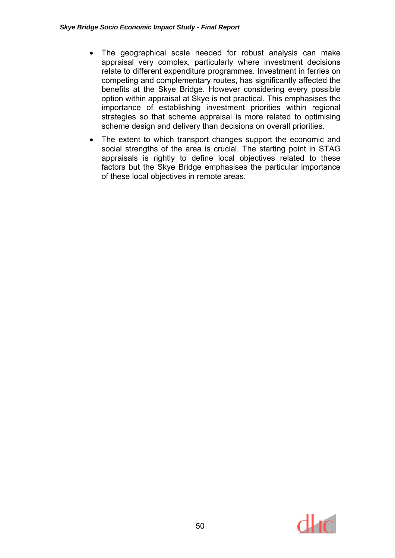- The geographical scale needed for robust analysis can make appraisal very complex, particularly where investment decisions relate to different expenditure programmes. Investment in ferries on competing and complementary routes, has significantly affected the benefits at the Skye Bridge. However considering every possible option within appraisal at Skye is not practical. This emphasises the importance of establishing investment priorities within regional strategies so that scheme appraisal is more related to optimising scheme design and delivery than decisions on overall priorities.
- The extent to which transport changes support the economic and social strengths of the area is crucial. The starting point in STAG appraisals is rightly to define local objectives related to these factors but the Skye Bridge emphasises the particular importance of these local objectives in remote areas.

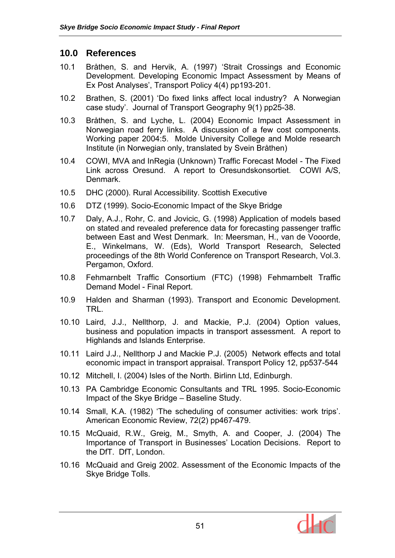# **10.0 References**

- 10.1 Bråthen, S. and Hervik, A. (1997) 'Strait Crossings and Economic Development. Developing Economic Impact Assessment by Means of Ex Post Analyses', Transport Policy 4(4) pp193-201.
- 10.2 Brathen, S. (2001) 'Do fixed links affect local industry? A Norwegian case study'. Journal of Transport Geography 9(1) pp25-38.
- 10.3 Bråthen, S. and Lyche, L. (2004) Economic Impact Assessment in Norwegian road ferry links. A discussion of a few cost components. Working paper 2004:5. Molde University College and Molde research Institute (in Norwegian only, translated by Svein Bråthen)
- 10.4 COWI, MVA and InRegia (Unknown) Traffic Forecast Model The Fixed Link across Oresund. A report to Oresundskonsortiet. COWI A/S, Denmark.
- 10.5 DHC (2000). Rural Accessibility. Scottish Executive
- 10.6 DTZ (1999). Socio-Economic Impact of the Skye Bridge
- 10.7 Daly, A.J., Rohr, C. and Jovicic, G. (1998) Application of models based on stated and revealed preference data for forecasting passenger traffic between East and West Denmark. In: Meersman, H., van de Vooorde, E., Winkelmans, W. (Eds), World Transport Research, Selected proceedings of the 8th World Conference on Transport Research, Vol.3. Pergamon, Oxford.
- 10.8 Fehmarnbelt Traffic Consortium (FTC) (1998) Fehmarnbelt Traffic Demand Model - Final Report.
- 10.9 Halden and Sharman (1993). Transport and Economic Development. TRL.
- 10.10 Laird, J.J., Nellthorp, J. and Mackie, P.J. (2004) Option values, business and population impacts in transport assessment. A report to Highlands and Islands Enterprise.
- 10.11 Laird J.J., Nellthorp J and Mackie P.J. (2005) Network effects and total economic impact in transport appraisal. Transport Policy 12, pp537-544
- 10.12 Mitchell, I. (2004) Isles of the North. Birlinn Ltd, Edinburgh.
- 10.13 PA Cambridge Economic Consultants and TRL 1995. Socio-Economic Impact of the Skye Bridge – Baseline Study.
- 10.14 Small, K.A. (1982) 'The scheduling of consumer activities: work trips'. American Economic Review, 72(2) pp467-479.
- 10.15 McQuaid, R.W., Greig, M., Smyth, A. and Cooper, J. (2004) The Importance of Transport in Businesses' Location Decisions. Report to the DfT. DfT, London.
- 10.16 McQuaid and Greig 2002. Assessment of the Economic Impacts of the Skye Bridge Tolls.

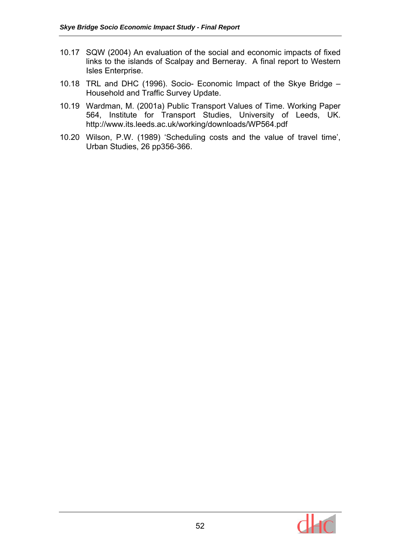- 10.17 SQW (2004) An evaluation of the social and economic impacts of fixed links to the islands of Scalpay and Berneray. A final report to Western Isles Enterprise.
- 10.18 TRL and DHC (1996). Socio- Economic Impact of the Skye Bridge Household and Traffic Survey Update.
- 10.19 Wardman, M. (2001a) Public Transport Values of Time. Working Paper 564, Institute for Transport Studies, University of Leeds, UK. http://www.its.leeds.ac.uk/working/downloads/WP564.pdf
- 10.20 Wilson, P.W. (1989) 'Scheduling costs and the value of travel time', Urban Studies, 26 pp356-366.

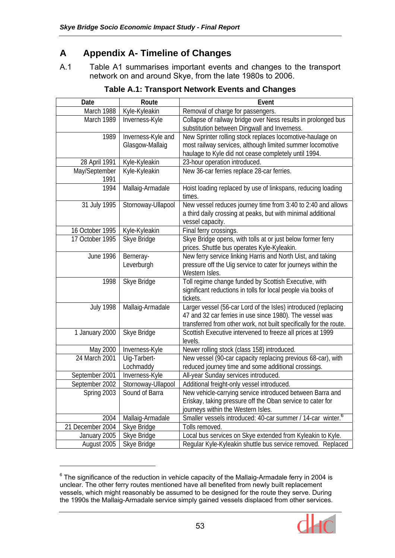# **A Appendix A- Timeline of Changes**

A.1 Table A1 summarises important events and changes to the transport network on and around Skye, from the late 1980s to 2006.

| Date             | Route              | Event                                                                   |  |  |  |  |  |
|------------------|--------------------|-------------------------------------------------------------------------|--|--|--|--|--|
| March 1988       | Kyle-Kyleakin      | Removal of charge for passengers.                                       |  |  |  |  |  |
| March 1989       | Inverness-Kyle     | Collapse of railway bridge over Ness results in prolonged bus           |  |  |  |  |  |
|                  |                    | substitution between Dingwall and Inverness.                            |  |  |  |  |  |
| 1989             | Inverness-Kyle and | New Sprinter rolling stock replaces locomotive-haulage on               |  |  |  |  |  |
|                  | Glasgow-Mallaig    | most railway services, although limited summer locomotive               |  |  |  |  |  |
|                  |                    | haulage to Kyle did not cease completely until 1994.                    |  |  |  |  |  |
| 28 April 1991    | Kyle-Kyleakin      | 23-hour operation introduced.                                           |  |  |  |  |  |
| May/September    | Kyle-Kyleakin      | New 36-car ferries replace 28-car ferries.                              |  |  |  |  |  |
| 1991             |                    |                                                                         |  |  |  |  |  |
| 1994             | Mallaig-Armadale   | Hoist loading replaced by use of linkspans, reducing loading            |  |  |  |  |  |
|                  |                    | times.                                                                  |  |  |  |  |  |
| 31 July 1995     | Stornoway-Ullapool | New vessel reduces journey time from 3:40 to 2:40 and allows            |  |  |  |  |  |
|                  |                    | a third daily crossing at peaks, but with minimal additional            |  |  |  |  |  |
|                  |                    | vessel capacity.                                                        |  |  |  |  |  |
| 16 October 1995  | Kyle-Kyleakin      | Final ferry crossings.                                                  |  |  |  |  |  |
| 17 October 1995  | Skye Bridge        | Skye Bridge opens, with tolls at or just below former ferry             |  |  |  |  |  |
|                  |                    | prices. Shuttle bus operates Kyle-Kyleakin.                             |  |  |  |  |  |
| <b>June 1996</b> | Berneray-          | New ferry service linking Harris and North Uist, and taking             |  |  |  |  |  |
|                  | Leverburgh         | pressure off the Uig service to cater for journeys within the           |  |  |  |  |  |
|                  |                    | Western Isles.                                                          |  |  |  |  |  |
| 1998             | Skye Bridge        | Toll regime change funded by Scottish Executive, with                   |  |  |  |  |  |
|                  |                    | significant reductions in tolls for local people via books of           |  |  |  |  |  |
|                  |                    | tickets.                                                                |  |  |  |  |  |
| <b>July 1998</b> | Mallaig-Armadale   | Larger vessel (56-car Lord of the Isles) introduced (replacing          |  |  |  |  |  |
|                  |                    | 47 and 32 car ferries in use since 1980). The vessel was                |  |  |  |  |  |
|                  |                    | transferred from other work, not built specifically for the route.      |  |  |  |  |  |
| 1 January 2000   | Skye Bridge        | Scottish Executive intervened to freeze all prices at 1999              |  |  |  |  |  |
|                  |                    | levels.                                                                 |  |  |  |  |  |
| May 2000         | Inverness-Kyle     | Newer rolling stock (class 158) introduced.                             |  |  |  |  |  |
| 24 March 2001    | Uig-Tarbert-       | New vessel (90-car capacity replacing previous 68-car), with            |  |  |  |  |  |
|                  | Lochmaddy          | reduced journey time and some additional crossings.                     |  |  |  |  |  |
| September 2001   | Inverness-Kyle     | All-year Sunday services introduced.                                    |  |  |  |  |  |
| September 2002   | Stornoway-Ullapool | Additional freight-only vessel introduced.                              |  |  |  |  |  |
| Spring 2003      | Sound of Barra     | New vehicle-carrying service introduced between Barra and               |  |  |  |  |  |
|                  |                    | Eriskay, taking pressure off the Oban service to cater for              |  |  |  |  |  |
|                  |                    | journeys within the Western Isles.                                      |  |  |  |  |  |
| 2004             | Mallaig-Armadale   | Smaller vessels introduced: 40-car summer / 14-car winter. <sup>6</sup> |  |  |  |  |  |
| 21 December 2004 | Skye Bridge        | Tolls removed.                                                          |  |  |  |  |  |
| January 2005     | Skye Bridge        | Local bus services on Skye extended from Kyleakin to Kyle.              |  |  |  |  |  |
| August 2005      | Skye Bridge        | Regular Kyle-Kyleakin shuttle bus service removed. Replaced             |  |  |  |  |  |

**Table A.1: Transport Network Events and Changes** 

 $\overline{a}$ 



 $^6$  The significance of the reduction in vehicle capacity of the Mallaig-Armadale ferry in 2004 is unclear. The other ferry routes mentioned have all benefited from newly built replacement vessels, which might reasonably be assumed to be designed for the route they serve. During the 1990s the Mallaig-Armadale service simply gained vessels displaced from other services.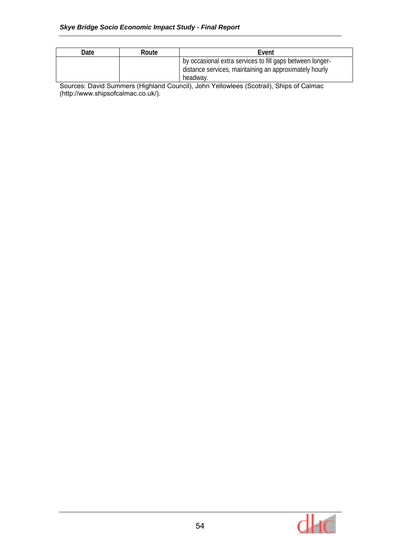| Date | Route | Event                                                                                                                           |
|------|-------|---------------------------------------------------------------------------------------------------------------------------------|
|      |       | by occasional extra services to fill gaps between longer-<br>distance services, maintaining an approximately hourly<br>headway. |

Sources: David Summers (Highland Council), John Yellowlees (Scotrail), Ships of Calmac (http://www.shipsofcalmac.co.uk/).

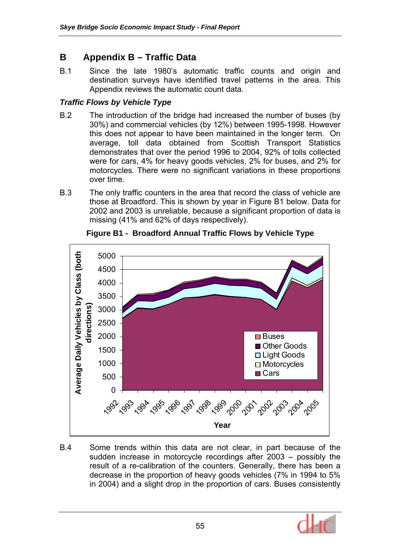# **B Appendix B – Traffic Data**

B.1 Since the late 1980's automatic traffic counts and origin and destination surveys have identified travel patterns in the area. This Appendix reviews the automatic count data.

# *Traffic Flows by Vehicle Type*

- B.2 The introduction of the bridge had increased the number of buses (by 30%) and commercial vehicles (by 12%) between 1995-1998. However this does not appear to have been maintained in the longer term. On average, toll data obtained from Scottish Transport Statistics demonstrates that over the period 1996 to 2004, 92% of tolls collected were for cars, 4% for heavy goods vehicles, 2% for buses, and 2% for motorcycles. There were no significant variations in these proportions over time.
- B.3 The only traffic counters in the area that record the class of vehicle are those at Broadford. This is shown by year in Figure B1 below. Data for 2002 and 2003 is unreliable, because a significant proportion of data is missing (41% and 62% of days respectively).



**Figure B1 - Broadford Annual Traffic Flows by Vehicle Type** 

B.4 Some trends within this data are not clear, in part because of the sudden increase in motorcycle recordings after 2003 – possibly the result of a re-calibration of the counters. Generally, there has been a decrease in the proportion of heavy goods vehicles (7% in 1994 to 5% in 2004) and a slight drop in the proportion of cars. Buses consistently

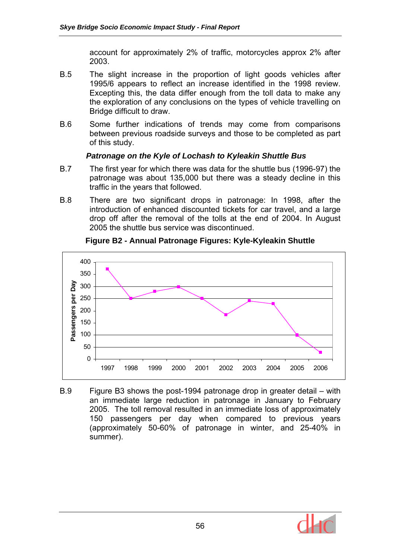account for approximately 2% of traffic, motorcycles approx 2% after 2003.

- B.5 The slight increase in the proportion of light goods vehicles after 1995/6 appears to reflect an increase identified in the 1998 review. Excepting this, the data differ enough from the toll data to make any the exploration of any conclusions on the types of vehicle travelling on Bridge difficult to draw.
- B.6 Some further indications of trends may come from comparisons between previous roadside surveys and those to be completed as part of this study.

### *Patronage on the Kyle of Lochash to Kyleakin Shuttle Bus*

- B.7 The first year for which there was data for the shuttle bus (1996-97) the patronage was about 135,000 but there was a steady decline in this traffic in the years that followed.
- B.8 There are two significant drops in patronage: In 1998, after the introduction of enhanced discounted tickets for car travel, and a large drop off after the removal of the tolls at the end of 2004. In August 2005 the shuttle bus service was discontinued.



### **Figure B2 - Annual Patronage Figures: Kyle-Kyleakin Shuttle**

B.9 Figure B3 shows the post-1994 patronage drop in greater detail – with an immediate large reduction in patronage in January to February 2005. The toll removal resulted in an immediate loss of approximately 150 passengers per day when compared to previous years (approximately 50-60% of patronage in winter, and 25-40% in summer).

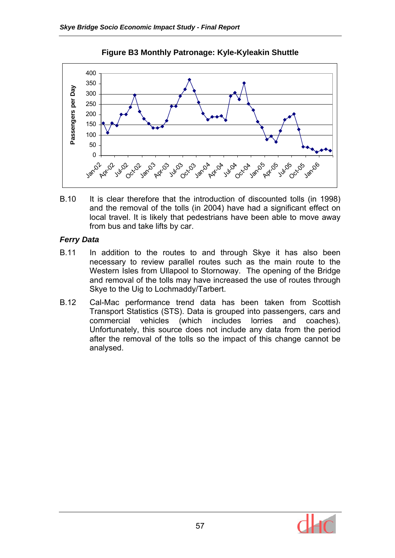

**Figure B3 Monthly Patronage: Kyle-Kyleakin Shuttle** 

B.10 It is clear therefore that the introduction of discounted tolls (in 1998) and the removal of the tolls (in 2004) have had a significant effect on local travel. It is likely that pedestrians have been able to move away from bus and take lifts by car.

### *Ferry Data*

- B.11 In addition to the routes to and through Skye it has also been necessary to review parallel routes such as the main route to the Western Isles from Ullapool to Stornoway. The opening of the Bridge and removal of the tolls may have increased the use of routes through Skye to the Uig to Lochmaddy/Tarbert.
- B.12 Cal-Mac performance trend data has been taken from Scottish Transport Statistics (STS). Data is grouped into passengers, cars and commercial vehicles (which includes lorries and coaches). Unfortunately, this source does not include any data from the period after the removal of the tolls so the impact of this change cannot be analysed.

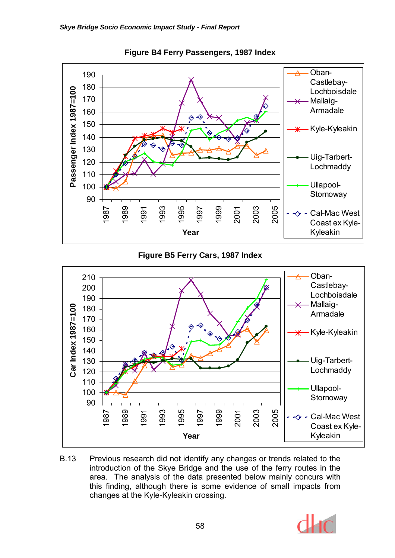

**Figure B4 Ferry Passengers, 1987 Index** 

# **Figure B5 Ferry Cars, 1987 Index**



B.13 Previous research did not identify any changes or trends related to the introduction of the Skye Bridge and the use of the ferry routes in the area. The analysis of the data presented below mainly concurs with this finding, although there is some evidence of small impacts from changes at the Kyle-Kyleakin crossing.

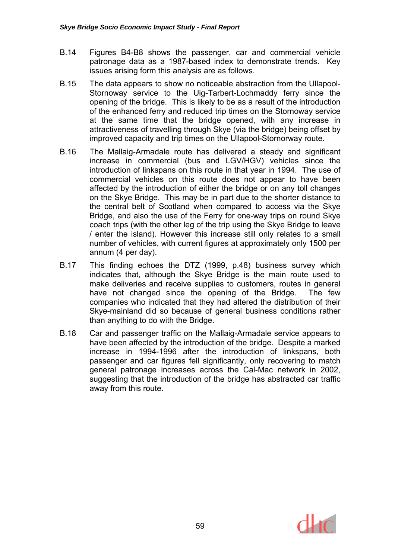- B.14 Figures B4-B8 shows the passenger, car and commercial vehicle patronage data as a 1987-based index to demonstrate trends. Key issues arising form this analysis are as follows.
- B.15 The data appears to show no noticeable abstraction from the Ullapool-Stornoway service to the Uig-Tarbert-Lochmaddy ferry since the opening of the bridge. This is likely to be as a result of the introduction of the enhanced ferry and reduced trip times on the Stornoway service at the same time that the bridge opened, with any increase in attractiveness of travelling through Skye (via the bridge) being offset by improved capacity and trip times on the Ullapool-Stornorway route.
- B.16 The Mallaig-Armadale route has delivered a steady and significant increase in commercial (bus and LGV/HGV) vehicles since the introduction of linkspans on this route in that year in 1994. The use of commercial vehicles on this route does not appear to have been affected by the introduction of either the bridge or on any toll changes on the Skye Bridge. This may be in part due to the shorter distance to the central belt of Scotland when compared to access via the Skye Bridge, and also the use of the Ferry for one-way trips on round Skye coach trips (with the other leg of the trip using the Skye Bridge to leave / enter the island). However this increase still only relates to a small number of vehicles, with current figures at approximately only 1500 per annum (4 per day).
- B.17 This finding echoes the DTZ (1999, p.48) business survey which indicates that, although the Skye Bridge is the main route used to make deliveries and receive supplies to customers, routes in general have not changed since the opening of the Bridge. The few companies who indicated that they had altered the distribution of their Skye-mainland did so because of general business conditions rather than anything to do with the Bridge.
- B.18 Car and passenger traffic on the Mallaig-Armadale service appears to have been affected by the introduction of the bridge. Despite a marked increase in 1994-1996 after the introduction of linkspans, both passenger and car figures fell significantly, only recovering to match general patronage increases across the Cal-Mac network in 2002, suggesting that the introduction of the bridge has abstracted car traffic away from this route.

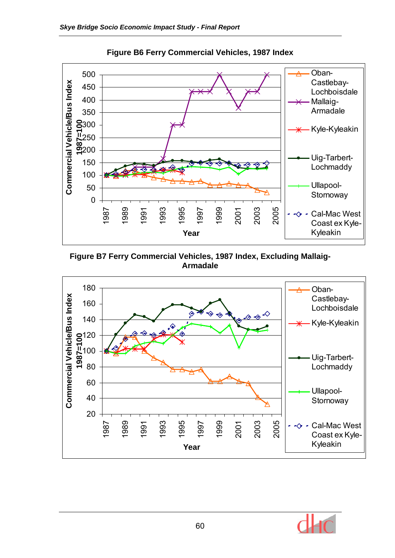

**Figure B6 Ferry Commercial Vehicles, 1987 Index** 

**Figure B7 Ferry Commercial Vehicles, 1987 Index, Excluding Mallaig-Armadale** 



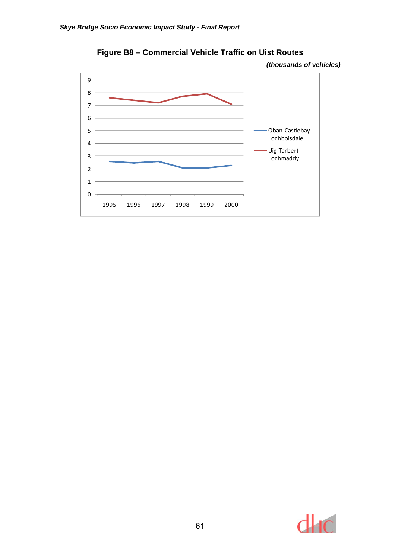

**Figure B8 – Commercial Vehicle Traffic on Uist Routes** 



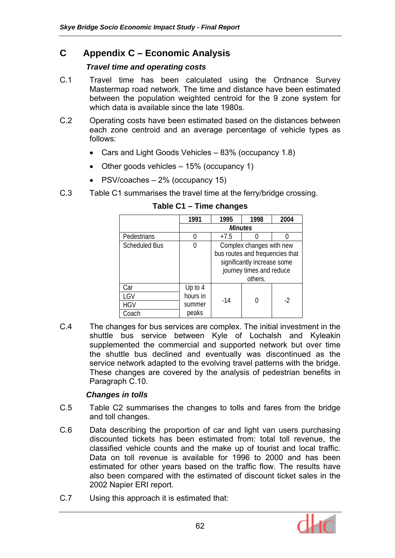# **C Appendix C – Economic Analysis**

### *Travel time and operating costs*

- C.1 Travel time has been calculated using the Ordnance Survey Mastermap road network. The time and distance have been estimated between the population weighted centroid for the 9 zone system for which data is available since the late 1980s.
- C.2 Operating costs have been estimated based on the distances between each zone centroid and an average percentage of vehicle types as follows:
	- Cars and Light Goods Vehicles 83% (occupancy 1.8)
	- Other goods vehicles 15% (occupancy 1)
	- PSV/coaches 2% (occupancy 15)
- C.3 Table C1 summarises the travel time at the ferry/bridge crossing.

|                      | 1991     | 1995                            | 1998 | 2004 |  |  |  |  |
|----------------------|----------|---------------------------------|------|------|--|--|--|--|
|                      |          | <b>Minutes</b>                  |      |      |  |  |  |  |
| Pedestrians          |          | $+7.5$                          |      |      |  |  |  |  |
| <b>Scheduled Bus</b> |          | Complex changes with new        |      |      |  |  |  |  |
|                      |          | bus routes and frequencies that |      |      |  |  |  |  |
|                      |          | significantly increase some     |      |      |  |  |  |  |
|                      |          | journey times and reduce        |      |      |  |  |  |  |
|                      |          | others.                         |      |      |  |  |  |  |
| Car                  | Up to 4  |                                 |      |      |  |  |  |  |
| LGV                  | hours in |                                 |      | -2   |  |  |  |  |
| <b>HGV</b>           | summer   | -14                             |      |      |  |  |  |  |
| Coach                | peaks    |                                 |      |      |  |  |  |  |

#### **Table C1 – Time changes**

C.4 The changes for bus services are complex. The initial investment in the shuttle bus service between Kyle of Lochalsh and Kyleakin supplemented the commercial and supported network but over time the shuttle bus declined and eventually was discontinued as the service network adapted to the evolving travel patterns with the bridge. These changes are covered by the analysis of pedestrian benefits in Paragraph C.10.

# *Changes in tolls*

- C.5 Table C2 summarises the changes to tolls and fares from the bridge and toll changes.
- C.6 Data describing the proportion of car and light van users purchasing discounted tickets has been estimated from: total toll revenue, the classified vehicle counts and the make up of tourist and local traffic. Data on toll revenue is available for 1996 to 2000 and has been estimated for other years based on the traffic flow. The results have also been compared with the estimated of discount ticket sales in the 2002 Napier ERI report.
- C.7 Using this approach it is estimated that:

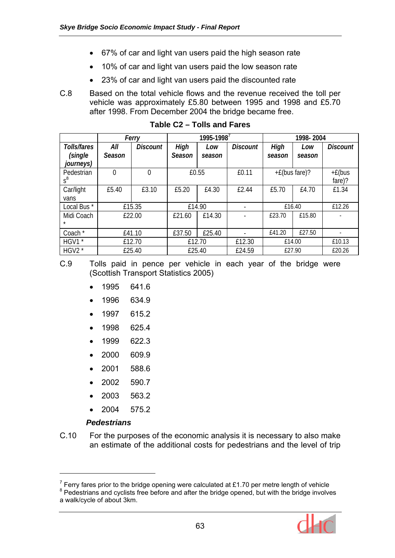- 67% of car and light van users paid the high season rate
- 10% of car and light van users paid the low season rate
- 23% of car and light van users paid the discounted rate
- C.8 Based on the total vehicle flows and the revenue received the toll per vehicle was approximately £5.80 between 1995 and 1998 and £5.70 after 1998. From December 2004 the bridge became free.

|                        |          | Ferry           | 1995-1998 <sup>7</sup> |        |                 | 1998-2004        |        |                          |
|------------------------|----------|-----------------|------------------------|--------|-----------------|------------------|--------|--------------------------|
| Tolls/fares            | All      | <b>Discount</b> | High                   | Low    | <b>Discount</b> | High             | Low    | <b>Discount</b>          |
| (single                | Season   |                 | Season                 | season |                 | season           | season |                          |
| journeys)              |          |                 |                        |        |                 |                  |        |                          |
| Pedestrian             | $\Omega$ | 0               | £0.55                  |        | £0.11           | $+E$ (bus fare)? |        | $+E(bus$                 |
| $s^8$                  |          |                 |                        |        |                 |                  |        | fare)?                   |
| Car/light              | £5.40    | £3.10           | £5.20                  | £4.30  | £2.44           | £5.70            | £4.70  | £1.34                    |
| vans                   |          |                 |                        |        |                 |                  |        |                          |
| Local Bus <sup>*</sup> |          | £15.35          | £14.90                 |        |                 | £16.40           |        | £12.26                   |
| Midi Coach<br>*        |          | £22.00          | £21.60                 | £14.30 |                 | £23.70           | £15.80 |                          |
|                        |          |                 |                        |        |                 |                  |        |                          |
| Coach *                |          | £41.10          | £37.50                 | £25.40 |                 | £41.20           | £27.50 | $\overline{\phantom{a}}$ |
| HGV1 *                 |          | £12.70          |                        | £12.70 |                 | £14.00           |        | £10.13                   |
| HGV2 *                 |          | £25.40          |                        | £25.40 |                 | £27.90           |        | £20.26                   |

**Table C2 – Tolls and Fares** 

C.9 Tolls paid in pence per vehicle in each year of the bridge were (Scottish Transport Statistics 2005)

- 1995 641.6
- 1996 634.9
- 1997 615.2
- 1998 625.4
- 1999 622.3
- 2000 609.9
- 2001 588.6
- 2002 590.7
- 2003 563.2
- 2004 575.2

#### *Pedestrians*

 $\overline{a}$ 

C.10 For the purposes of the economic analysis it is necessary to also make an estimate of the additional costs for pedestrians and the level of trip

<sup>&</sup>lt;sup>8</sup> Pedestrians and cyclists free before and after the bridge opened, but with the bridge involves a walk/cycle of about 3km.



Ferry fares prior to the bridge opening were calculated at £1.70 per metre length of vehicle  $\frac{8}{3}$  Dedectrings and overliets free before and other the bridge appeal but with the bridge involve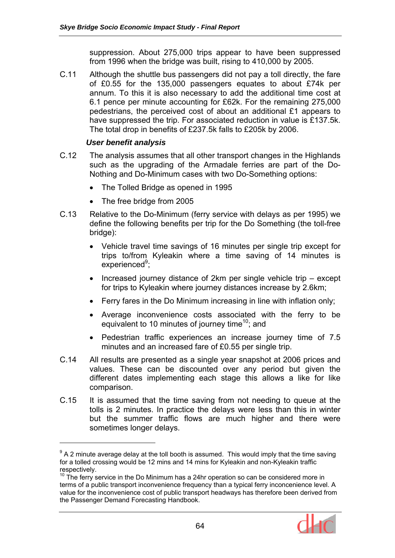suppression. About 275,000 trips appear to have been suppressed from 1996 when the bridge was built, rising to 410,000 by 2005.

C.11 Although the shuttle bus passengers did not pay a toll directly, the fare of £0.55 for the 135,000 passengers equates to about £74k per annum. To this it is also necessary to add the additional time cost at 6.1 pence per minute accounting for £62k. For the remaining 275,000 pedestrians, the perceived cost of about an additional £1 appears to have suppressed the trip. For associated reduction in value is £137.5k. The total drop in benefits of £237.5k falls to £205k by 2006.

#### *User benefit analysis*

 $\overline{a}$ 

- C.12 The analysis assumes that all other transport changes in the Highlands such as the upgrading of the Armadale ferries are part of the Do-Nothing and Do-Minimum cases with two Do-Something options:
	- The Tolled Bridge as opened in 1995
	- The free bridge from 2005
- C.13 Relative to the Do-Minimum (ferry service with delays as per 1995) we define the following benefits per trip for the Do Something (the toll-free bridge):
	- Vehicle travel time savings of 16 minutes per single trip except for trips to/from Kyleakin where a time saving of 14 minutes is experienced<sup>9</sup>;
	- Increased journey distance of 2km per single vehicle trip except for trips to Kyleakin where journey distances increase by 2.6km;
	- Ferry fares in the Do Minimum increasing in line with inflation only;
	- Average inconvenience costs associated with the ferry to be equivalent to 10 minutes of journey time<sup>10</sup>; and
	- Pedestrian traffic experiences an increase journey time of 7.5 minutes and an increased fare of £0.55 per single trip.
- C.14 All results are presented as a single year snapshot at 2006 prices and values. These can be discounted over any period but given the different dates implementing each stage this allows a like for like comparison.
- C.15 It is assumed that the time saving from not needing to queue at the tolls is 2 minutes. In practice the delays were less than this in winter but the summer traffic flows are much higher and there were sometimes longer delays.

<sup>&</sup>lt;sup>10</sup> The ferry service in the Do Minimum has a 24hr operation so can be considered more in terms of a public transport inconvenience frequency than a typical ferry inconcenience level. A value for the inconvenience cost of public transport headways has therefore been derived from the Passenger Demand Forecasting Handbook.



 $9$  A 2 minute average delay at the toll booth is assumed. This would imply that the time saving for a tolled crossing would be 12 mins and 14 mins for Kyleakin and non-Kyleakin traffic respectively.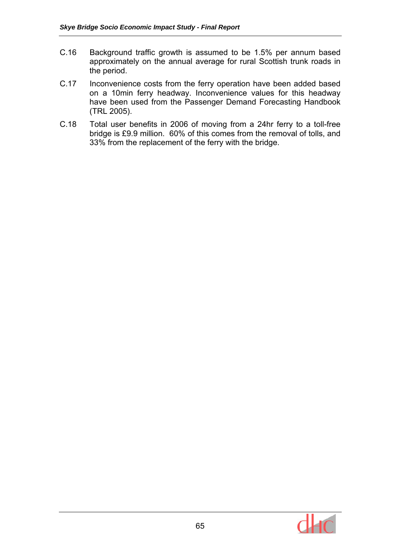- C.16 Background traffic growth is assumed to be 1.5% per annum based approximately on the annual average for rural Scottish trunk roads in the period.
- C.17 Inconvenience costs from the ferry operation have been added based on a 10min ferry headway. Inconvenience values for this headway have been used from the Passenger Demand Forecasting Handbook (TRL 2005).
- C.18 Total user benefits in 2006 of moving from a 24hr ferry to a toll-free bridge is £9.9 million. 60% of this comes from the removal of tolls, and 33% from the replacement of the ferry with the bridge.

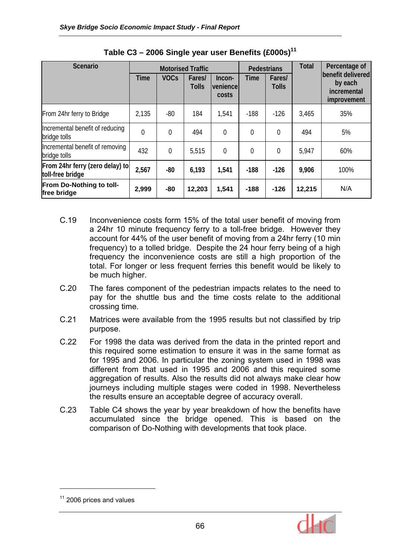| Scenario                                            |                |                | <b>Motorised Traffic</b> |                             | Pedestrians    |                        | <b>Total</b> | Percentage of                                              |
|-----------------------------------------------------|----------------|----------------|--------------------------|-----------------------------|----------------|------------------------|--------------|------------------------------------------------------------|
|                                                     | <b>Time</b>    | <b>VOCs</b>    | Fares/<br><b>Tolls</b>   | Incon-<br>venience<br>costs | <b>Time</b>    | Fares/<br><b>Tolls</b> |              | benefit delivered<br>by each<br>incremental<br>improvement |
| From 24hr ferry to Bridge                           | 2,135          | $-80$          | 184                      | 1,541                       | $-188$         | $-126$                 | 3,465        | 35%                                                        |
| Incremental benefit of reducing<br>bridge tolls     | $\overline{0}$ | $\overline{0}$ | 494                      | $\overline{0}$              | $\overline{0}$ | $\overline{0}$         | 494          | 5%                                                         |
| Incremental benefit of removing<br>bridge tolls     | 432            | $\overline{0}$ | 5,515                    | $\overline{0}$              | $\overline{0}$ | $\theta$               | 5,947        | 60%                                                        |
| From 24hr ferry (zero delay) to<br>toll-free bridge | 2,567          | $-80$          | 6,193                    | 1,541                       | $-188$         | $-126$                 | 9,906        | 100%                                                       |
| From Do-Nothing to toll-<br>free bridge             | 2,999          | $-80$          | 12,203                   | 1,541                       | $-188$         | $-126$                 | 12,215       | N/A                                                        |

| Table C3 - 2006 Single year user Benefits $(£000s)^{11}$ |  |
|----------------------------------------------------------|--|
|----------------------------------------------------------|--|

- C.19 Inconvenience costs form 15% of the total user benefit of moving from a 24hr 10 minute frequency ferry to a toll-free bridge. However they account for 44% of the user benefit of moving from a 24hr ferry (10 min frequency) to a tolled bridge. Despite the 24 hour ferry being of a high frequency the inconvenience costs are still a high proportion of the total. For longer or less frequent ferries this benefit would be likely to be much higher.
- C.20 The fares component of the pedestrian impacts relates to the need to pay for the shuttle bus and the time costs relate to the additional crossing time.
- C.21 Matrices were available from the 1995 results but not classified by trip purpose.
- C.22 For 1998 the data was derived from the data in the printed report and this required some estimation to ensure it was in the same format as for 1995 and 2006. In particular the zoning system used in 1998 was different from that used in 1995 and 2006 and this required some aggregation of results. Also the results did not always make clear how journeys including multiple stages were coded in 1998. Nevertheless the results ensure an acceptable degree of accuracy overall.
- C.23 Table C4 shows the year by year breakdown of how the benefits have accumulated since the bridge opened. This is based on the comparison of Do-Nothing with developments that took place.

 $\overline{a}$ 



 $11$  2006 prices and values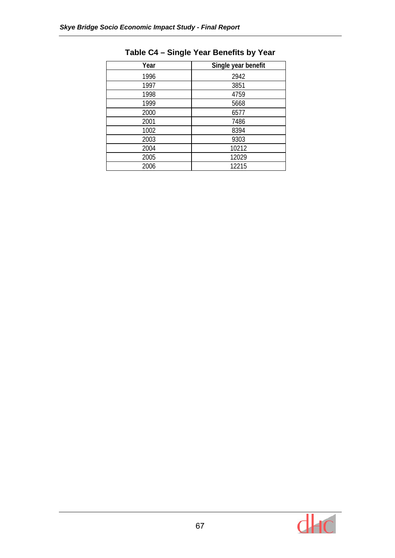| Year | Single year benefit |
|------|---------------------|
| 1996 | 2942                |
| 1997 | 3851                |
| 1998 | 4759                |
| 1999 | 5668                |
| 2000 | 6577                |
| 2001 | 7486                |
| 1002 | 8394                |
| 2003 | 9303                |
| 2004 | 10212               |
| 2005 | 12029               |
| 2006 | 12215               |

# **Table C4 – Single Year Benefits by Year**

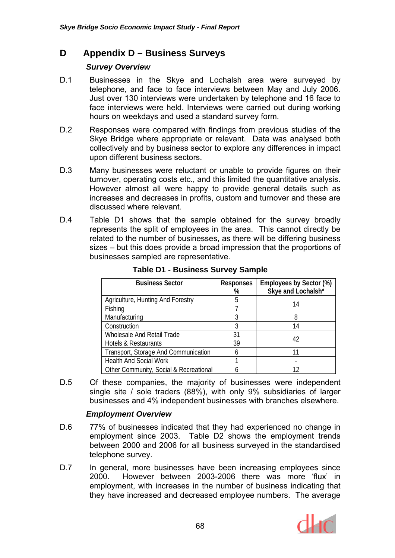## **D Appendix D – Business Surveys**

## *Survey Overview*

- D.1 Businesses in the Skye and Lochalsh area were surveyed by telephone, and face to face interviews between May and July 2006. Just over 130 interviews were undertaken by telephone and 16 face to face interviews were held. Interviews were carried out during working hours on weekdays and used a standard survey form.
- D.2 Responses were compared with findings from previous studies of the Skye Bridge where appropriate or relevant. Data was analysed both collectively and by business sector to explore any differences in impact upon different business sectors.
- D.3 Many businesses were reluctant or unable to provide figures on their turnover, operating costs etc., and this limited the quantitative analysis. However almost all were happy to provide general details such as increases and decreases in profits, custom and turnover and these are discussed where relevant.
- D.4 Table D1 shows that the sample obtained for the survey broadly represents the split of employees in the area. This cannot directly be related to the number of businesses, as there will be differing business sizes – but this does provide a broad impression that the proportions of businesses sampled are representative.

| <b>Business Sector</b>                 | <b>Responses</b><br>% | Employees by Sector (%)<br>Skye and Lochalsh* |
|----------------------------------------|-----------------------|-----------------------------------------------|
| Agriculture, Hunting And Forestry      | 5                     |                                               |
| Fishing                                |                       | 14                                            |
| Manufacturing                          |                       | 8                                             |
| Construction                           | 3                     | 14                                            |
| <b>Wholesale And Retail Trade</b>      | 31                    |                                               |
| Hotels & Restaurants                   | 39                    | 42                                            |
| Transport, Storage And Communication   |                       |                                               |
| <b>Health And Social Work</b>          |                       |                                               |
| Other Community, Social & Recreational |                       | 12                                            |

**Table D1 - Business Survey Sample** 

D.5 Of these companies, the majority of businesses were independent single site / sole traders (88%), with only 9% subsidiaries of larger businesses and 4% independent businesses with branches elsewhere.

## *Employment Overview*

- D.6 77% of businesses indicated that they had experienced no change in employment since 2003. Table D2 shows the employment trends between 2000 and 2006 for all business surveyed in the standardised telephone survey.
- D.7 In general, more businesses have been increasing employees since 2000. However between 2003-2006 there was more 'flux' in employment, with increases in the number of business indicating that they have increased and decreased employee numbers. The average

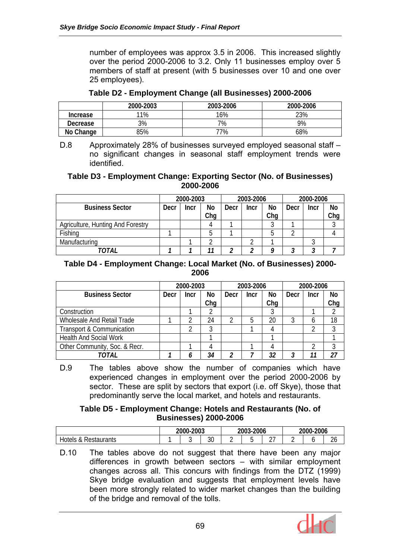number of employees was approx 3.5 in 2006. This increased slightly over the period 2000-2006 to 3.2. Only 11 businesses employ over 5 members of staff at present (with 5 businesses over 10 and one over 25 employees).

|                 | 2000-2003 | 2003-2006 | 2000-2006 |
|-----------------|-----------|-----------|-----------|
| <b>Increase</b> | 11%       | 16%       | 23%       |
| Decrease        | 3%        | 7%        | 9%        |
| No Change       | 35%       | 77%       | 68%       |

**Table D2 - Employment Change (all Businesses) 2000-2006** 

D.8 Approximately 28% of businesses surveyed employed seasonal staff – no significant changes in seasonal staff employment trends were identified.

#### **Table D3 - Employment Change: Exporting Sector (No. of Businesses) 2000-2006**

|                                   |      | 2000-2003 |     |      | 2003-2006 |     |      | 2000-2006 |     |
|-----------------------------------|------|-----------|-----|------|-----------|-----|------|-----------|-----|
| <b>Business Sector</b>            | Decr | Incr      | No  | Decr | Incr      | No  | Decr | Incr      | No  |
|                                   |      |           | Chq |      |           | Chq |      |           | Chq |
| Agriculture, Hunting And Forestry |      |           |     |      |           |     |      |           |     |
| Fishing                           |      |           | n   |      |           | b   |      |           |     |
| Manufacturing                     |      |           |     |      |           |     |      |           |     |
| TOTAL                             |      |           | 11  |      |           | Ω   |      |           |     |

### **Table D4 - Employment Change: Local Market (No. of Businesses) 2000- 2006**

|                                      |      | 2000-2003 |     |      | 2003-2006 |     |      | 2000-2006 |     |
|--------------------------------------|------|-----------|-----|------|-----------|-----|------|-----------|-----|
| <b>Business Sector</b>               | Decr | Incr      | No  | Decr | Incr      | No  | Decr | Incr      | No  |
|                                      |      |           | Chq |      |           | Chq |      |           | Chg |
| Construction                         |      |           |     |      |           |     |      |           |     |
| Wholesale And Retail Trade           |      |           | 24  |      |           | 20  |      |           | 18  |
| <b>Transport &amp; Communication</b> |      |           |     |      |           |     |      |           |     |
| <b>Health And Social Work</b>        |      |           |     |      |           |     |      |           |     |
| Other Community, Soc. & Recr.        |      |           | 4   |      |           |     |      |           |     |
| TOTAL                                |      |           | 34  | າ    |           | 32  | 3    |           | 27  |

D.9 The tables above show the number of companies which have experienced changes in employment over the period 2000-2006 by sector. These are split by sectors that export (i.e. off Skye), those that predominantly serve the local market, and hotels and restaurants.

### **Table D5 - Employment Change: Hotels and Restaurants (No. of Businesses) 2000-2006**

|                                                   | 2000-2003 |   | 2003<br>$-2006$<br>s- |   |  | 2006<br>2000-2                   |   |  |              |
|---------------------------------------------------|-----------|---|-----------------------|---|--|----------------------------------|---|--|--------------|
| Hotels<br><sup>o</sup><br>Restaurants<br>$\alpha$ |           | u | $\Omega$<br>აυ        | - |  | $\sim$ $\rightarrow$<br><u>.</u> | - |  | $\sim$<br>26 |

D.10 The tables above do not suggest that there have been any major differences in growth between sectors – with similar employment changes across all. This concurs with findings from the DTZ (1999) Skye bridge evaluation and suggests that employment levels have been more strongly related to wider market changes than the building of the bridge and removal of the tolls.

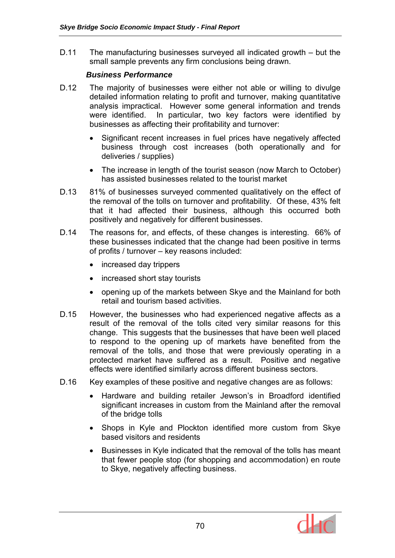D.11 The manufacturing businesses surveyed all indicated growth – but the small sample prevents any firm conclusions being drawn.

### *Business Performance*

- D.12 The majority of businesses were either not able or willing to divulge detailed information relating to profit and turnover, making quantitative analysis impractical. However some general information and trends were identified. In particular, two key factors were identified by businesses as affecting their profitability and turnover:
	- Significant recent increases in fuel prices have negatively affected business through cost increases (both operationally and for deliveries / supplies)
	- The increase in length of the tourist season (now March to October) has assisted businesses related to the tourist market
- D.13 81% of businesses surveyed commented qualitatively on the effect of the removal of the tolls on turnover and profitability. Of these, 43% felt that it had affected their business, although this occurred both positively and negatively for different businesses.
- D.14 The reasons for, and effects, of these changes is interesting. 66% of these businesses indicated that the change had been positive in terms of profits / turnover – key reasons included:
	- increased day trippers
	- increased short stay tourists
	- opening up of the markets between Skye and the Mainland for both retail and tourism based activities.
- D.15 However, the businesses who had experienced negative affects as a result of the removal of the tolls cited very similar reasons for this change. This suggests that the businesses that have been well placed to respond to the opening up of markets have benefited from the removal of the tolls, and those that were previously operating in a protected market have suffered as a result. Positive and negative effects were identified similarly across different business sectors.
- D.16 Key examples of these positive and negative changes are as follows:
	- Hardware and building retailer Jewson's in Broadford identified significant increases in custom from the Mainland after the removal of the bridge tolls
	- Shops in Kyle and Plockton identified more custom from Skye based visitors and residents
	- Businesses in Kyle indicated that the removal of the tolls has meant that fewer people stop (for shopping and accommodation) en route to Skye, negatively affecting business.

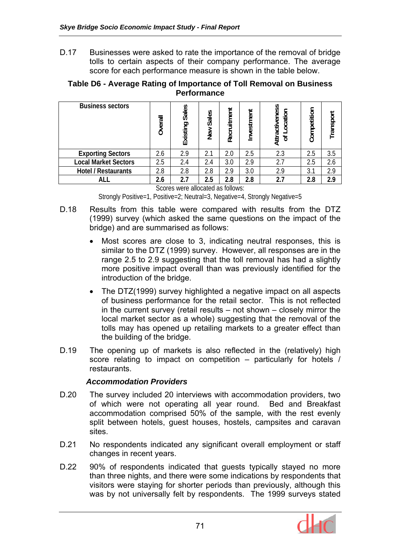D.17 Businesses were asked to rate the importance of the removal of bridge tolls to certain aspects of their company performance. The average score for each performance measure is shown in the table below.

| Table D6 - Average Rating of Importance of Toll Removal on Business |
|---------------------------------------------------------------------|
| <b>Performance</b>                                                  |

| <b>Business sectors</b>     | Overall | Sales<br>Existing | Sales<br>New | Recruitment | Investment | Attractiveness<br>ocation<br>$\overline{5}$ | Competition | Transport |
|-----------------------------|---------|-------------------|--------------|-------------|------------|---------------------------------------------|-------------|-----------|
| <b>Exporting Sectors</b>    | 2.6     | 2.9               | 2.1          | 2.0         | 2.5        | 2.3                                         | 2.5         | 3.5       |
| <b>Local Market Sectors</b> | 2.5     | 2.4               | 2.4          | 3.0         | 2.9        | 2.7                                         | 2.5         | 2.6       |
| Hotel / Restaurants         | 2.8     | 2.8               | 2.8          | 2.9         | 3.0        | 2.9                                         | 3.1         | 2.9       |
| ALL                         | 2.6     | 2.7               | 2.5          | 2.8         | 2.8        | 2.7                                         | 2.8         | 2.9       |

Scores were allocated as follows:

Strongly Positive=1, Positive=2; Neutral=3, Negative=4, Strongly Negative=5

- D.18 Results from this table were compared with results from the DTZ (1999) survey (which asked the same questions on the impact of the bridge) and are summarised as follows:
	- Most scores are close to 3, indicating neutral responses, this is similar to the DTZ (1999) survey. However, all responses are in the range 2.5 to 2.9 suggesting that the toll removal has had a slightly more positive impact overall than was previously identified for the introduction of the bridge.
	- The DTZ(1999) survey highlighted a negative impact on all aspects of business performance for the retail sector. This is not reflected in the current survey (retail results – not shown – closely mirror the local market sector as a whole) suggesting that the removal of the tolls may has opened up retailing markets to a greater effect than the building of the bridge.
- D.19 The opening up of markets is also reflected in the (relatively) high score relating to impact on competition – particularly for hotels / restaurants.

### *Accommodation Providers*

- D.20 The survey included 20 interviews with accommodation providers, two of which were not operating all year round. Bed and Breakfast accommodation comprised 50% of the sample, with the rest evenly split between hotels, guest houses, hostels, campsites and caravan sites.
- D.21 No respondents indicated any significant overall employment or staff changes in recent years.
- D.22 90% of respondents indicated that guests typically stayed no more than three nights, and there were some indications by respondents that visitors were staying for shorter periods than previously, although this was by not universally felt by respondents. The 1999 surveys stated

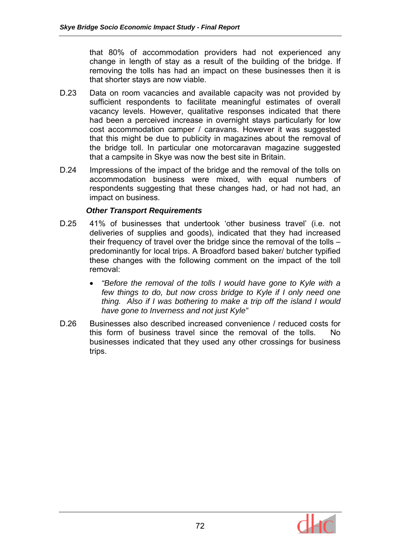that 80% of accommodation providers had not experienced any change in length of stay as a result of the building of the bridge. If removing the tolls has had an impact on these businesses then it is that shorter stays are now viable.

- D.23 Data on room vacancies and available capacity was not provided by sufficient respondents to facilitate meaningful estimates of overall vacancy levels. However, qualitative responses indicated that there had been a perceived increase in overnight stays particularly for low cost accommodation camper / caravans. However it was suggested that this might be due to publicity in magazines about the removal of the bridge toll. In particular one motorcaravan magazine suggested that a campsite in Skye was now the best site in Britain.
- D.24 Impressions of the impact of the bridge and the removal of the tolls on accommodation business were mixed, with equal numbers of respondents suggesting that these changes had, or had not had, an impact on business.

### *Other Transport Requirements*

- D.25 41% of businesses that undertook 'other business travel' (i.e. not deliveries of supplies and goods), indicated that they had increased their frequency of travel over the bridge since the removal of the tolls – predominantly for local trips. A Broadford based baker/ butcher typified these changes with the following comment on the impact of the toll removal:
	- *"Before the removal of the tolls I would have gone to Kyle with a few things to do, but now cross bridge to Kyle if I only need one thing. Also if I was bothering to make a trip off the island I would have gone to Inverness and not just Kyle"*
- D.26 Businesses also described increased convenience / reduced costs for this form of business travel since the removal of the tolls. No businesses indicated that they used any other crossings for business trips.

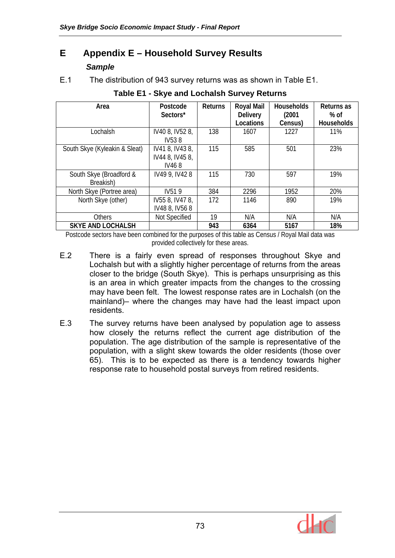# **E Appendix E – Household Survey Results**  *Sample*

E.1 The distribution of 943 survey returns was as shown in Table E1.

| Area                          | Postcode           | <b>Returns</b> | <b>Royal Mail</b> | <b>Households</b> | Returns as        |
|-------------------------------|--------------------|----------------|-------------------|-------------------|-------------------|
|                               | Sectors*           |                | <b>Delivery</b>   | (2001             | % of              |
|                               |                    |                | Locations         | Census)           | <b>Households</b> |
| Lochalsh                      | IV40 8, IV52 8,    | 138            | 1607              | 1227              | <b>11%</b>        |
|                               | IV538              |                |                   |                   |                   |
| South Skye (Kyleakin & Sleat) | IV41 8, IV43 8,    | 115            | 585               | 501               | 23%               |
|                               | IV44 8, IV45 8,    |                |                   |                   |                   |
|                               | IV468              |                |                   |                   |                   |
| South Skye (Broadford &       | IV49 9, IV42 8     | 115            | 730               | 597               | 19%               |
| Breakish)                     |                    |                |                   |                   |                   |
| North Skye (Portree area)     | IV <sub>51</sub> 9 | 384            | 2296              | 1952              | 20%               |
| North Skye (other)            | IV55 8, IV47 8,    | 172            | 1146              | 890               | 19%               |
|                               | IV48 8, IV56 8     |                |                   |                   |                   |
| <b>Others</b>                 | Not Specified      | 19             | N/A               | N/A               | N/A               |
| <b>SKYE AND LOCHALSH</b>      |                    | 943            | 6364              | 5167              | 18%               |

### **Table E1 - Skye and Lochalsh Survey Returns**

Postcode sectors have been combined for the purposes of this table as Census / Royal Mail data was provided collectively for these areas.

- E.2 There is a fairly even spread of responses throughout Skye and Lochalsh but with a slightly higher percentage of returns from the areas closer to the bridge (South Skye). This is perhaps unsurprising as this is an area in which greater impacts from the changes to the crossing may have been felt. The lowest response rates are in Lochalsh (on the mainland)– where the changes may have had the least impact upon residents.
- E.3 The survey returns have been analysed by population age to assess how closely the returns reflect the current age distribution of the population. The age distribution of the sample is representative of the population, with a slight skew towards the older residents (those over 65). This is to be expected as there is a tendency towards higher response rate to household postal surveys from retired residents.

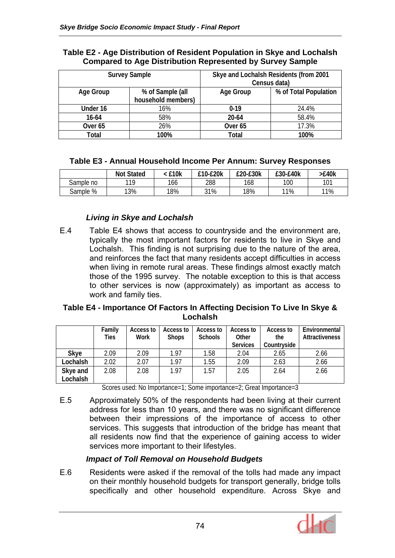|                    | <b>Survey Sample</b>                   | Skye and Lochalsh Residents (from 2001<br>Census data) |                       |  |  |  |
|--------------------|----------------------------------------|--------------------------------------------------------|-----------------------|--|--|--|
| Age Group          | % of Sample (all<br>household members) | <b>Age Group</b>                                       | % of Total Population |  |  |  |
| Under 16           | 16%                                    | $0 - 19$                                               | 24.4%                 |  |  |  |
| $16 - 64$          | 58%                                    | $20 - 64$                                              | 58.4%                 |  |  |  |
| Over <sub>65</sub> | 26%                                    | Over <sub>65</sub>                                     | 17.3%                 |  |  |  |
| Total              | 100%                                   | Total                                                  | 100%                  |  |  |  |

#### **Table E2 - Age Distribution of Resident Population in Skye and Lochalsh Compared to Age Distribution Represented by Survey Sample**

## **Table E3 - Annual Household Income Per Annum: Survey Responses**

|           | <b>Not Stated</b> | £10k | £10-£20k | £20-£30k | £30-£40k | $-E40k$ |
|-----------|-------------------|------|----------|----------|----------|---------|
| Sample no | 110               | 166  | 288      | 168      | 100      | 101     |
| Sample %  | 13%               | 18%  | 31%      | 18%      | 11%      | 11%     |

## *Living in Skye and Lochalsh*

E.4 Table E4 shows that access to countryside and the environment are, typically the most important factors for residents to live in Skye and Lochalsh. This finding is not surprising due to the nature of the area, and reinforces the fact that many residents accept difficulties in access when living in remote rural areas. These findings almost exactly match those of the 1995 survey. The notable exception to this is that access to other services is now (approximately) as important as access to work and family ties.

#### **Table E4 - Importance Of Factors In Affecting Decision To Live In Skye & Lochalsh**

|             | Family | Access to | Access to    | Access to      | Access to                | Access to          | Environmental<br><b>Attractiveness</b> |
|-------------|--------|-----------|--------------|----------------|--------------------------|--------------------|----------------------------------------|
|             | Ties   | Work      | <b>Shops</b> | <b>Schools</b> | Other<br><b>Services</b> | the<br>Countryside |                                        |
|             |        |           |              |                |                          |                    |                                        |
| <b>Skye</b> | 2.09   | 2.09      | 1.97         | 1.58           | 2.04                     | 2.65               | 2.66                                   |
| Lochalsh    | 2.02   | 2.07      | 1.97         | 1.55           | 2.09                     | 2.63               | 2.66                                   |
| Skye and    | 2.08   | 2.08      | 1.97         | 1.57           | 2.05                     | 2.64               | 2.66                                   |
| Lochalsh    |        |           |              |                |                          |                    |                                        |

Scores used: No Importance=1; Some importance=2; Great Importance=3

E.5 Approximately 50% of the respondents had been living at their current address for less than 10 years, and there was no significant difference between their impressions of the importance of access to other services. This suggests that introduction of the bridge has meant that all residents now find that the experience of gaining access to wider services more important to their lifestyles.

## *Impact of Toll Removal on Household Budgets*

E.6 Residents were asked if the removal of the tolls had made any impact on their monthly household budgets for transport generally, bridge tolls specifically and other household expenditure. Across Skye and

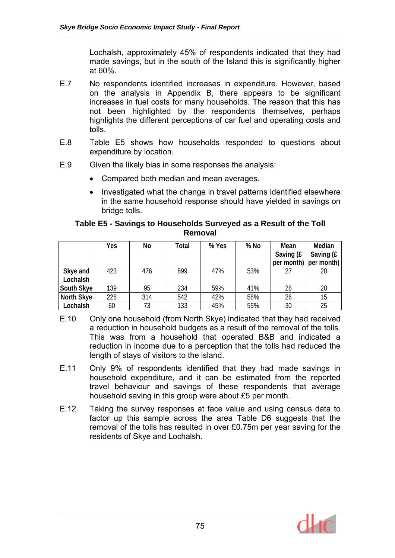Lochalsh, approximately 45% of respondents indicated that they had made savings, but in the south of the Island this is significantly higher at 60%.

- E.7 No respondents identified increases in expenditure. However, based on the analysis in Appendix B, there appears to be significant increases in fuel costs for many households. The reason that this has not been highlighted by the respondents themselves, perhaps highlights the different perceptions of car fuel and operating costs and tolls.
- E.8 Table E5 shows how households responded to questions about expenditure by location.
- E.9 Given the likely bias in some responses the analysis:
	- Compared both median and mean averages.
	- Investigated what the change in travel patterns identified elsewhere in the same household response should have yielded in savings on bridge tolls.

### **Table E5 - Savings to Households Surveyed as a Result of the Toll Removal**

|                      | Yes | No  | Total | % Yes | % No | Mean<br>Saving (£<br>$per$ month) $ $ | Median<br>Saving (£<br>per month) |
|----------------------|-----|-----|-------|-------|------|---------------------------------------|-----------------------------------|
| Skye and<br>Lochalsh | 423 | 476 | 899   | 47%   | 53%  | 27                                    | 20                                |
| South Skye           | 139 | 95  | 234   | 59%   | 41%  | 28                                    | 20                                |
| North Skye           | 228 | 314 | 542   | 42%   | 58%  | 26                                    | 15                                |
| Lochalsh             | 60  | 73  | 133   | 45%   | 55%  | 30                                    | 25                                |

- E.10 Only one household (from North Skye) indicated that they had received a reduction in household budgets as a result of the removal of the tolls. This was from a household that operated B&B and indicated a reduction in income due to a perception that the tolls had reduced the length of stays of visitors to the island.
- E.11 Only 9% of respondents identified that they had made savings in household expenditure, and it can be estimated from the reported travel behaviour and savings of these respondents that average household saving in this group were about £5 per month.
- E.12 Taking the survey responses at face value and using census data to factor up this sample across the area Table D6 suggests that the removal of the tolls has resulted in over £0.75m per year saving for the residents of Skye and Lochalsh.

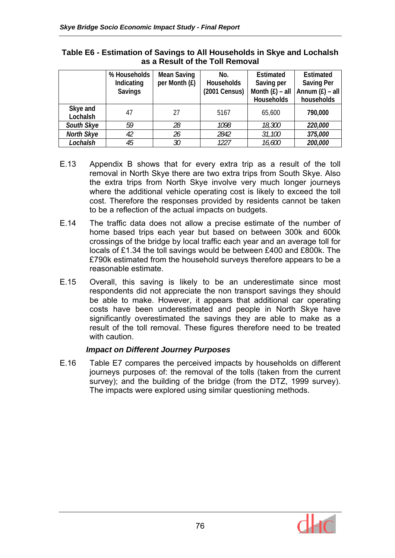|            | % Households   | <b>Mean Saving</b> | No.               | Estimated         | Estimated         |
|------------|----------------|--------------------|-------------------|-------------------|-------------------|
|            | Indicating     | per Month (£)      | <b>Households</b> | Saving per        | <b>Saving Per</b> |
|            | <b>Savings</b> |                    | (2001 Census)     | Month $(E)$ – all | Annum $(E)$ – all |
|            |                |                    |                   | <b>Households</b> | households        |
| Skye and   | 47             | 27                 | 5167              | 65,600            | 790,000           |
| Lochalsh   |                |                    |                   |                   |                   |
| South Skye | 59             | 28                 | 1098              | 18,300            | 220,000           |
| North Skye | 42             | 26                 | 2842              | 31,100            | 375,000           |
| Lochalsh   | 45             | 30                 | 1227              | 16,600            | 200,000           |

### **Table E6 - Estimation of Savings to All Households in Skye and Lochalsh as a Result of the Toll Removal**

- E.13 Appendix B shows that for every extra trip as a result of the toll removal in North Skye there are two extra trips from South Skye. Also the extra trips from North Skye involve very much longer journeys where the additional vehicle operating cost is likely to exceed the toll cost. Therefore the responses provided by residents cannot be taken to be a reflection of the actual impacts on budgets.
- E.14 The traffic data does not allow a precise estimate of the number of home based trips each year but based on between 300k and 600k crossings of the bridge by local traffic each year and an average toll for locals of £1.34 the toll savings would be between £400 and £800k. The £790k estimated from the household surveys therefore appears to be a reasonable estimate.
- E.15 Overall, this saving is likely to be an underestimate since most respondents did not appreciate the non transport savings they should be able to make. However, it appears that additional car operating costs have been underestimated and people in North Skye have significantly overestimated the savings they are able to make as a result of the toll removal. These figures therefore need to be treated with caution.

## *Impact on Different Journey Purposes*

E.16 Table E7 compares the perceived impacts by households on different journeys purposes of: the removal of the tolls (taken from the current survey); and the building of the bridge (from the DTZ, 1999 survey). The impacts were explored using similar questioning methods.

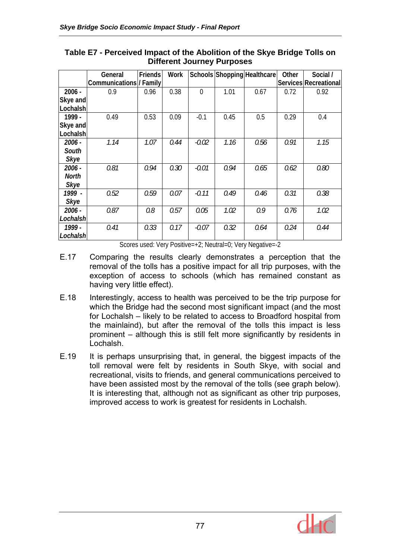|              | General                       | Friends | Work |                |      | Schools Shopping Healthcare | Other | Social /              |
|--------------|-------------------------------|---------|------|----------------|------|-----------------------------|-------|-----------------------|
|              | <b>Communications/ Family</b> |         |      |                |      |                             |       | Services Recreational |
| $2006 -$     | 0.9                           | 0.96    | 0.38 | $\overline{0}$ | 1.01 | 0.67                        | 0.72  | 0.92                  |
| Skye and     |                               |         |      |                |      |                             |       |                       |
| Lochalsh     |                               |         |      |                |      |                             |       |                       |
| 1999 -       | 0.49                          | 0.53    | 0.09 | $-0.1$         | 0.45 | 0.5                         | 0.29  | 0.4                   |
| Skye and     |                               |         |      |                |      |                             |       |                       |
| Lochalsh     |                               |         |      |                |      |                             |       |                       |
| 2006 -       | 1.14                          | 1.07    | 0.44 | $-0.02$        | 1.16 | 0.56                        | 0.91  | 1.15                  |
| South        |                               |         |      |                |      |                             |       |                       |
| <b>Skye</b>  |                               |         |      |                |      |                             |       |                       |
| 2006 -       | 0.81                          | 0.94    | 0.30 | $-0.01$        | 0.94 | 0.65                        | 0.62  | 0.80                  |
| <b>North</b> |                               |         |      |                |      |                             |       |                       |
| <b>Skye</b>  |                               |         |      |                |      |                             |       |                       |
| 1999 -       | 0.52                          | 0.59    | 0.07 | $-0.11$        | 0.49 | 0.46                        | 0.31  | 0.38                  |
| Skye         |                               |         |      |                |      |                             |       |                       |
| 2006 -       | 0.87                          | 0.8     | 0.57 | 0.05           | 1.02 | 0.9                         | 0.76  | 1.02                  |
| Lochalshl    |                               |         |      |                |      |                             |       |                       |
| 1999 -       | 0.41                          | 0.33    | 0.17 | $-0.07$        | 0.32 | 0.64                        | 0.24  | 0.44                  |
| Lochalshl    |                               |         |      |                |      |                             |       |                       |

### **Table E7 - Perceived Impact of the Abolition of the Skye Bridge Tolls on Different Journey Purposes**

Scores used: Very Positive=+2; Neutral=0; Very Negative=-2

- E.17 Comparing the results clearly demonstrates a perception that the removal of the tolls has a positive impact for all trip purposes, with the exception of access to schools (which has remained constant as having very little effect).
- E.18 Interestingly, access to health was perceived to be the trip purpose for which the Bridge had the second most significant impact (and the most for Lochalsh – likely to be related to access to Broadford hospital from the mainlaind), but after the removal of the tolls this impact is less prominent – although this is still felt more significantly by residents in Lochalsh.
- E.19 It is perhaps unsurprising that, in general, the biggest impacts of the toll removal were felt by residents in South Skye, with social and recreational, visits to friends, and general communications perceived to have been assisted most by the removal of the tolls (see graph below). It is interesting that, although not as significant as other trip purposes, improved access to work is greatest for residents in Lochalsh.

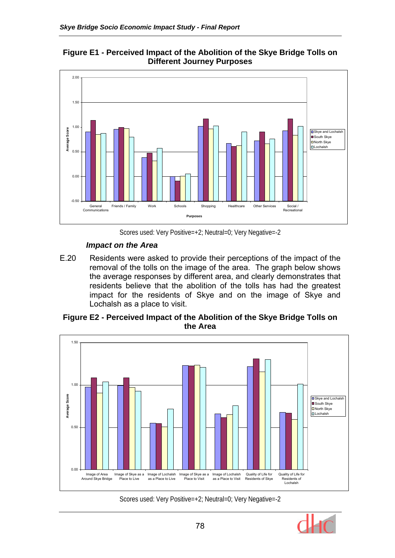



Scores used: Very Positive=+2; Neutral=0; Very Negative=-2

## *Impact on the Area*

E.20 Residents were asked to provide their perceptions of the impact of the removal of the tolls on the image of the area. The graph below shows the average responses by different area, and clearly demonstrates that residents believe that the abolition of the tolls has had the greatest impact for the residents of Skye and on the image of Skye and Lochalsh as a place to visit.

## **Figure E2 - Perceived Impact of the Abolition of the Skye Bridge Tolls on the Area**



Scores used: Very Positive=+2; Neutral=0; Very Negative=-2

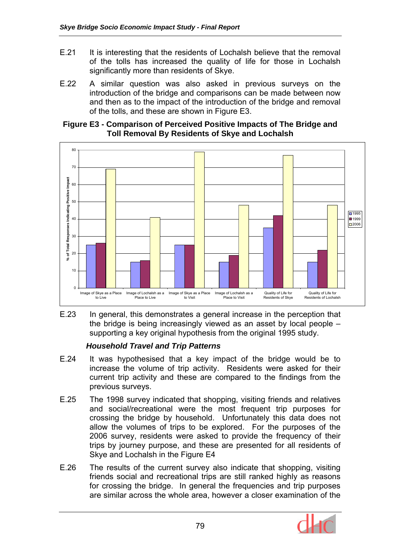- E.21 It is interesting that the residents of Lochalsh believe that the removal of the tolls has increased the quality of life for those in Lochalsh significantly more than residents of Skye.
- E.22 A similar question was also asked in previous surveys on the introduction of the bridge and comparisons can be made between now and then as to the impact of the introduction of the bridge and removal of the tolls, and these are shown in Figure E3.

#### **Figure E3 - Comparison of Perceived Positive Impacts of The Bridge and Toll Removal By Residents of Skye and Lochalsh**



E.23 In general, this demonstrates a general increase in the perception that the bridge is being increasingly viewed as an asset by local people – supporting a key original hypothesis from the original 1995 study.

## *Household Travel and Trip Patterns*

- E.24 It was hypothesised that a key impact of the bridge would be to increase the volume of trip activity. Residents were asked for their current trip activity and these are compared to the findings from the previous surveys.
- E.25 The 1998 survey indicated that shopping, visiting friends and relatives and social/recreational were the most frequent trip purposes for crossing the bridge by household. Unfortunately this data does not allow the volumes of trips to be explored. For the purposes of the 2006 survey, residents were asked to provide the frequency of their trips by journey purpose, and these are presented for all residents of Skye and Lochalsh in the Figure E4
- E.26 The results of the current survey also indicate that shopping, visiting friends social and recreational trips are still ranked highly as reasons for crossing the bridge. In general the frequencies and trip purposes are similar across the whole area, however a closer examination of the

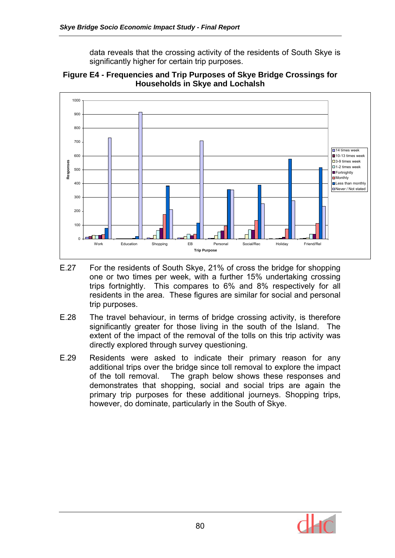data reveals that the crossing activity of the residents of South Skye is significantly higher for certain trip purposes.



**Figure E4 - Frequencies and Trip Purposes of Skye Bridge Crossings for Households in Skye and Lochalsh** 

- E.27 For the residents of South Skye, 21% of cross the bridge for shopping one or two times per week, with a further 15% undertaking crossing trips fortnightly. This compares to 6% and 8% respectively for all residents in the area. These figures are similar for social and personal trip purposes.
- E.28 The travel behaviour, in terms of bridge crossing activity, is therefore significantly greater for those living in the south of the Island. The extent of the impact of the removal of the tolls on this trip activity was directly explored through survey questioning.
- E.29 Residents were asked to indicate their primary reason for any additional trips over the bridge since toll removal to explore the impact of the toll removal. The graph below shows these responses and demonstrates that shopping, social and social trips are again the primary trip purposes for these additional journeys. Shopping trips, however, do dominate, particularly in the South of Skye.

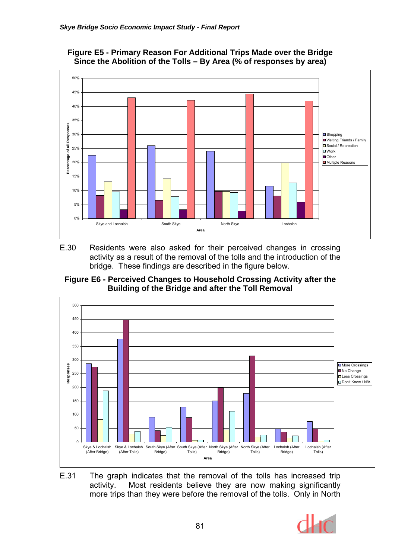

### **Figure E5 - Primary Reason For Additional Trips Made over the Bridge Since the Abolition of the Tolls – By Area (% of responses by area)**

E.30 Residents were also asked for their perceived changes in crossing activity as a result of the removal of the tolls and the introduction of the bridge. These findings are described in the figure below.





E.31 The graph indicates that the removal of the tolls has increased trip activity. Most residents believe they are now making significantly more trips than they were before the removal of the tolls. Only in North

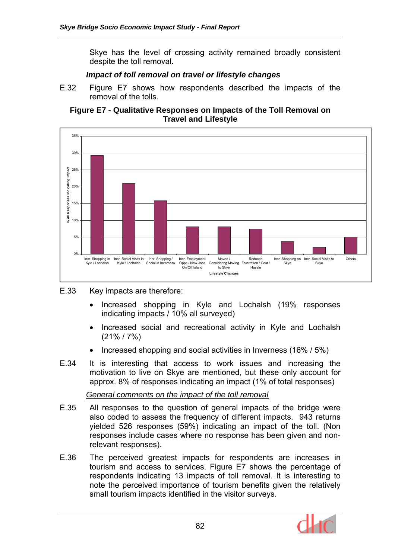Skye has the level of crossing activity remained broadly consistent despite the toll removal.

### *Impact of toll removal on travel or lifestyle changes*

E.32 Figure E7 shows how respondents described the impacts of the removal of the tolls.





### E.33 Key impacts are therefore:

- Increased shopping in Kyle and Lochalsh (19% responses indicating impacts / 10% all surveyed)
- Increased social and recreational activity in Kyle and Lochalsh (21% / 7%)
- Increased shopping and social activities in Inverness (16% / 5%)
- E.34 It is interesting that access to work issues and increasing the motivation to live on Skye are mentioned, but these only account for approx. 8% of responses indicating an impact (1% of total responses)

### *General comments on the impact of the toll removal*

- E.35 All responses to the question of general impacts of the bridge were also coded to assess the frequency of different impacts. 943 returns yielded 526 responses (59%) indicating an impact of the toll. (Non responses include cases where no response has been given and nonrelevant responses).
- E.36 The perceived greatest impacts for respondents are increases in tourism and access to services. Figure E7 shows the percentage of respondents indicating 13 impacts of toll removal. It is interesting to note the perceived importance of tourism benefits given the relatively small tourism impacts identified in the visitor surveys.

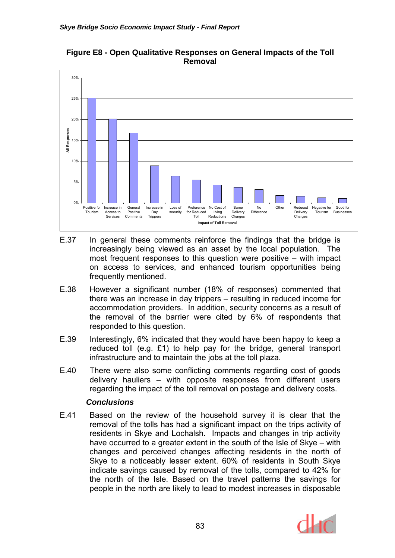## **Figure E8 - Open Qualitative Responses on General Impacts of the Toll Removal**



- E.37 In general these comments reinforce the findings that the bridge is increasingly being viewed as an asset by the local population. The most frequent responses to this question were positive – with impact on access to services, and enhanced tourism opportunities being frequently mentioned.
- E.38 However a significant number (18% of responses) commented that there was an increase in day trippers – resulting in reduced income for accommodation providers. In addition, security concerns as a result of the removal of the barrier were cited by 6% of respondents that responded to this question.
- E.39 Interestingly, 6% indicated that they would have been happy to keep a reduced toll (e.g. £1) to help pay for the bridge, general transport infrastructure and to maintain the jobs at the toll plaza.
- E.40 There were also some conflicting comments regarding cost of goods delivery hauliers – with opposite responses from different users regarding the impact of the toll removal on postage and delivery costs.

### *Conclusions*

E.41 Based on the review of the household survey it is clear that the removal of the tolls has had a significant impact on the trips activity of residents in Skye and Lochalsh. Impacts and changes in trip activity have occurred to a greater extent in the south of the Isle of Skye – with changes and perceived changes affecting residents in the north of Skye to a noticeably lesser extent. 60% of residents in South Skye indicate savings caused by removal of the tolls, compared to 42% for the north of the Isle. Based on the travel patterns the savings for people in the north are likely to lead to modest increases in disposable

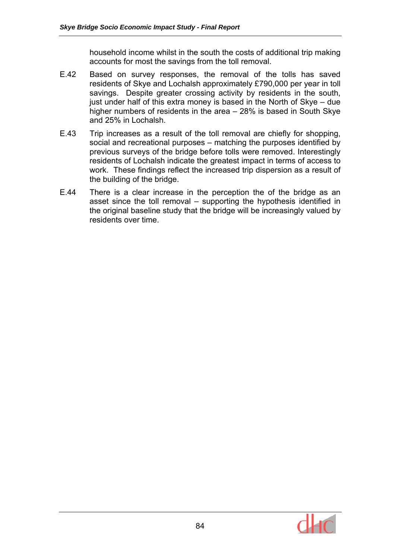household income whilst in the south the costs of additional trip making accounts for most the savings from the toll removal.

- E.42 Based on survey responses, the removal of the tolls has saved residents of Skye and Lochalsh approximately £790,000 per year in toll savings. Despite greater crossing activity by residents in the south, just under half of this extra money is based in the North of Skye – due higher numbers of residents in the area – 28% is based in South Skye and 25% in Lochalsh.
- E.43 Trip increases as a result of the toll removal are chiefly for shopping, social and recreational purposes – matching the purposes identified by previous surveys of the bridge before tolls were removed. Interestingly residents of Lochalsh indicate the greatest impact in terms of access to work. These findings reflect the increased trip dispersion as a result of the building of the bridge.
- E.44 There is a clear increase in the perception the of the bridge as an asset since the toll removal – supporting the hypothesis identified in the original baseline study that the bridge will be increasingly valued by residents over time.

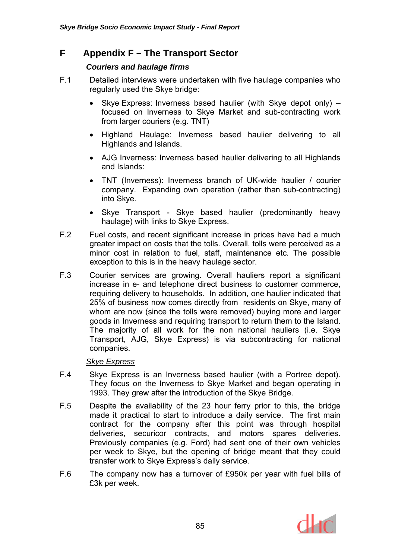## **F Appendix F – The Transport Sector**

### *Couriers and haulage firms*

- F.1 Detailed interviews were undertaken with five haulage companies who regularly used the Skye bridge:
	- Skye Express: Inverness based haulier (with Skye depot only) focused on Inverness to Skye Market and sub-contracting work from larger couriers (e.g. TNT)
	- Highland Haulage: Inverness based haulier delivering to all Highlands and Islands.
	- AJG Inverness: Inverness based haulier delivering to all Highlands and Islands:
	- TNT (Inverness): Inverness branch of UK-wide haulier / courier company. Expanding own operation (rather than sub-contracting) into Skye.
	- Skye Transport Skye based haulier (predominantly heavy haulage) with links to Skye Express.
- F.2 Fuel costs, and recent significant increase in prices have had a much greater impact on costs that the tolls. Overall, tolls were perceived as a minor cost in relation to fuel, staff, maintenance etc. The possible exception to this is in the heavy haulage sector.
- F.3 Courier services are growing. Overall hauliers report a significant increase in e- and telephone direct business to customer commerce, requiring delivery to households. In addition, one haulier indicated that 25% of business now comes directly from residents on Skye, many of whom are now (since the tolls were removed) buying more and larger goods in Inverness and requiring transport to return them to the Island. The majority of all work for the non national hauliers (i.e. Skye Transport, AJG, Skye Express) is via subcontracting for national companies.

### *Skye Express*

- F.4 Skye Express is an Inverness based haulier (with a Portree depot). They focus on the Inverness to Skye Market and began operating in 1993. They grew after the introduction of the Skye Bridge.
- F.5 Despite the availability of the 23 hour ferry prior to this, the bridge made it practical to start to introduce a daily service. The first main contract for the company after this point was through hospital deliveries, securicor contracts, and motors spares deliveries. Previously companies (e.g. Ford) had sent one of their own vehicles per week to Skye, but the opening of bridge meant that they could transfer work to Skye Express's daily service.
- F.6 The company now has a turnover of £950k per year with fuel bills of £3k per week.

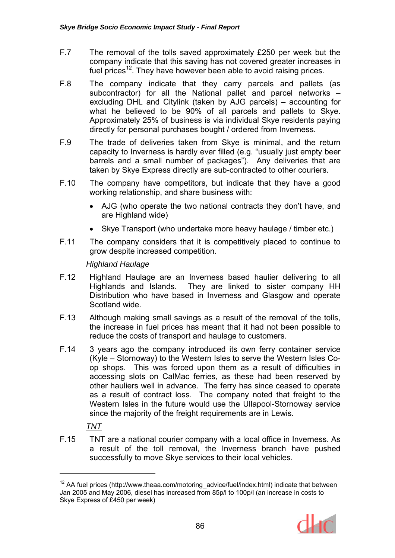- F.7 The removal of the tolls saved approximately £250 per week but the company indicate that this saving has not covered greater increases in fuel prices<sup>12</sup>. They have however been able to avoid raising prices.
- F.8 The company indicate that they carry parcels and pallets (as subcontractor) for all the National pallet and parcel networks – excluding DHL and Citylink (taken by AJG parcels) – accounting for what he believed to be 90% of all parcels and pallets to Skye. Approximately 25% of business is via individual Skye residents paying directly for personal purchases bought / ordered from Inverness.
- F.9 The trade of deliveries taken from Skye is minimal, and the return capacity to Inverness is hardly ever filled (e.g. "usually just empty beer barrels and a small number of packages"). Any deliveries that are taken by Skye Express directly are sub-contracted to other couriers.
- F.10 The company have competitors, but indicate that they have a good working relationship, and share business with:
	- AJG (who operate the two national contracts they don't have, and are Highland wide)
	- Skye Transport (who undertake more heavy haulage / timber etc.)
- F.11 The company considers that it is competitively placed to continue to grow despite increased competition.

### *Highland Haulage*

- F.12 Highland Haulage are an Inverness based haulier delivering to all Highlands and Islands. They are linked to sister company HH Distribution who have based in Inverness and Glasgow and operate Scotland wide.
- F.13 Although making small savings as a result of the removal of the tolls, the increase in fuel prices has meant that it had not been possible to reduce the costs of transport and haulage to customers.
- F.14 3 years ago the company introduced its own ferry container service (Kyle – Stornoway) to the Western Isles to serve the Western Isles Coop shops. This was forced upon them as a result of difficulties in accessing slots on CalMac ferries, as these had been reserved by other hauliers well in advance. The ferry has since ceased to operate as a result of contract loss. The company noted that freight to the Western Isles in the future would use the Ullapool-Stornoway service since the majority of the freight requirements are in Lewis.

## *TNT*

 $\overline{a}$ 

F.15 TNT are a national courier company with a local office in Inverness. As a result of the toll removal, the Inverness branch have pushed successfully to move Skye services to their local vehicles.

 $12$  AA fuel prices (http://www.theaa.com/motoring\_advice/fuel/index.html) indicate that between Jan 2005 and May 2006, diesel has increased from 85p/l to 100p/l (an increase in costs to Skye Express of £450 per week)

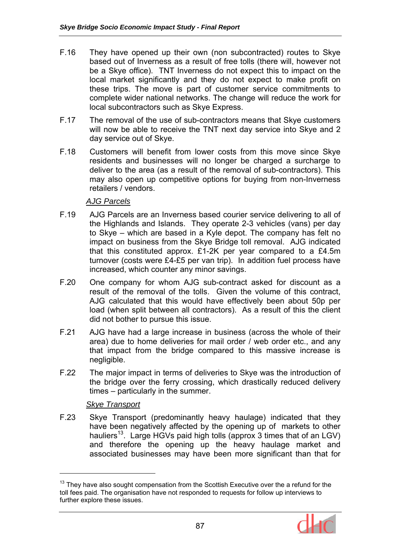- F.16 They have opened up their own (non subcontracted) routes to Skye based out of Inverness as a result of free tolls (there will, however not be a Skye office). TNT Inverness do not expect this to impact on the local market significantly and they do not expect to make profit on these trips. The move is part of customer service commitments to complete wider national networks. The change will reduce the work for local subcontractors such as Skye Express.
- F.17 The removal of the use of sub-contractors means that Skye customers will now be able to receive the TNT next day service into Skye and 2 day service out of Skye.
- F.18 Customers will benefit from lower costs from this move since Skye residents and businesses will no longer be charged a surcharge to deliver to the area (as a result of the removal of sub-contractors). This may also open up competitive options for buying from non-Inverness retailers / vendors.

## *AJG Parcels*

- F.19 AJG Parcels are an Inverness based courier service delivering to all of the Highlands and Islands. They operate 2-3 vehicles (vans) per day to Skye – which are based in a Kyle depot. The company has felt no impact on business from the Skye Bridge toll removal. AJG indicated that this constituted approx. £1-2K per year compared to a £4.5m turnover (costs were £4-£5 per van trip). In addition fuel process have increased, which counter any minor savings.
- F.20 One company for whom AJG sub-contract asked for discount as a result of the removal of the tolls. Given the volume of this contract, AJG calculated that this would have effectively been about 50p per load (when split between all contractors). As a result of this the client did not bother to pursue this issue.
- F.21 AJG have had a large increase in business (across the whole of their area) due to home deliveries for mail order / web order etc., and any that impact from the bridge compared to this massive increase is negligible.
- F.22 The major impact in terms of deliveries to Skye was the introduction of the bridge over the ferry crossing, which drastically reduced delivery times – particularly in the summer.

### *Skye Transport*

 $\overline{a}$ 

F.23 Skye Transport (predominantly heavy haulage) indicated that they have been negatively affected by the opening up of markets to other hauliers<sup>13</sup>. Large HGVs paid high tolls (approx 3 times that of an LGV) and therefore the opening up the heavy haulage market and associated businesses may have been more significant than that for

 $13$  They have also sought compensation from the Scottish Executive over the a refund for the toll fees paid. The organisation have not responded to requests for follow up interviews to further explore these issues.

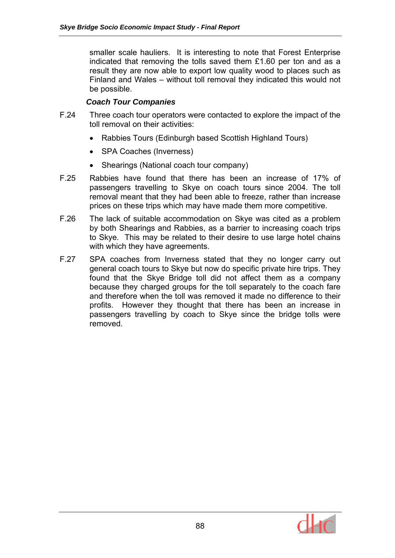smaller scale hauliers. It is interesting to note that Forest Enterprise indicated that removing the tolls saved them £1.60 per ton and as a result they are now able to export low quality wood to places such as Finland and Wales – without toll removal they indicated this would not be possible.

## *Coach Tour Companies*

- F.24 Three coach tour operators were contacted to explore the impact of the toll removal on their activities:
	- Rabbies Tours (Edinburgh based Scottish Highland Tours)
	- SPA Coaches (Inverness)
	- Shearings (National coach tour company)
- F.25 Rabbies have found that there has been an increase of 17% of passengers travelling to Skye on coach tours since 2004. The toll removal meant that they had been able to freeze, rather than increase prices on these trips which may have made them more competitive.
- F.26 The lack of suitable accommodation on Skye was cited as a problem by both Shearings and Rabbies, as a barrier to increasing coach trips to Skye. This may be related to their desire to use large hotel chains with which they have agreements.
- F.27 SPA coaches from Inverness stated that they no longer carry out general coach tours to Skye but now do specific private hire trips. They found that the Skye Bridge toll did not affect them as a company because they charged groups for the toll separately to the coach fare and therefore when the toll was removed it made no difference to their profits. However they thought that there has been an increase in passengers travelling by coach to Skye since the bridge tolls were removed.

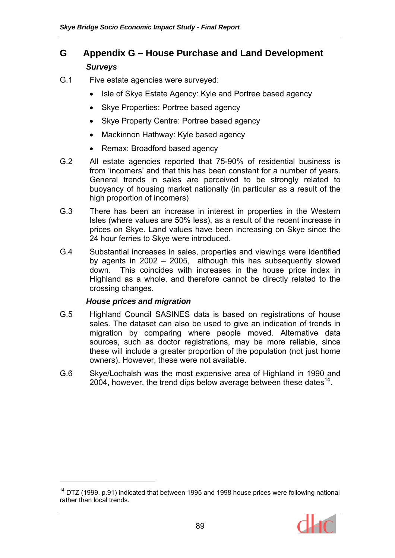## **G Appendix G – House Purchase and Land Development**  *Surveys*

- G.1 Five estate agencies were surveyed:
	- Isle of Skye Estate Agency: Kyle and Portree based agency
	- Skye Properties: Portree based agency
	- Skye Property Centre: Portree based agency
	- Mackinnon Hathway: Kyle based agency
	- Remax: Broadford based agency
- G.2 All estate agencies reported that 75-90% of residential business is from 'incomers' and that this has been constant for a number of years. General trends in sales are perceived to be strongly related to buoyancy of housing market nationally (in particular as a result of the high proportion of incomers)
- G.3 There has been an increase in interest in properties in the Western Isles (where values are 50% less), as a result of the recent increase in prices on Skye. Land values have been increasing on Skye since the 24 hour ferries to Skye were introduced.
- G.4 Substantial increases in sales, properties and viewings were identified by agents in 2002 – 2005, although this has subsequently slowed down. This coincides with increases in the house price index in Highland as a whole, and therefore cannot be directly related to the crossing changes.

#### *House prices and migration*

 $\overline{a}$ 

- G.5 Highland Council SASINES data is based on registrations of house sales. The dataset can also be used to give an indication of trends in migration by comparing where people moved. Alternative data sources, such as doctor registrations, may be more reliable, since these will include a greater proportion of the population (not just home owners). However, these were not available.
- G.6 Skye/Lochalsh was the most expensive area of Highland in 1990 and 2004, however, the trend dips below average between these dates  $14$ .

 $14$  DTZ (1999, p.91) indicated that between 1995 and 1998 house prices were following national rather than local trends.

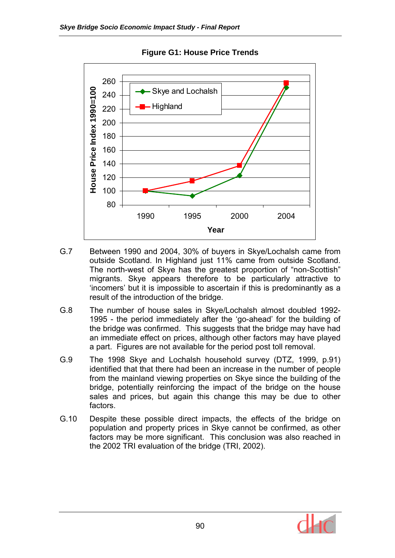

**Figure G1: House Price Trends** 

- G.7 Between 1990 and 2004, 30% of buyers in Skye/Lochalsh came from outside Scotland. In Highland just 11% came from outside Scotland. The north-west of Skye has the greatest proportion of "non-Scottish" migrants. Skye appears therefore to be particularly attractive to 'incomers' but it is impossible to ascertain if this is predominantly as a result of the introduction of the bridge.
- G.8 The number of house sales in Skye/Lochalsh almost doubled 1992- 1995 - the period immediately after the 'go-ahead' for the building of the bridge was confirmed. This suggests that the bridge may have had an immediate effect on prices, although other factors may have played a part. Figures are not available for the period post toll removal.
- G.9 The 1998 Skye and Lochalsh household survey (DTZ, 1999, p.91) identified that that there had been an increase in the number of people from the mainland viewing properties on Skye since the building of the bridge, potentially reinforcing the impact of the bridge on the house sales and prices, but again this change this may be due to other factors.
- G.10 Despite these possible direct impacts, the effects of the bridge on population and property prices in Skye cannot be confirmed, as other factors may be more significant. This conclusion was also reached in the 2002 TRI evaluation of the bridge (TRI, 2002).

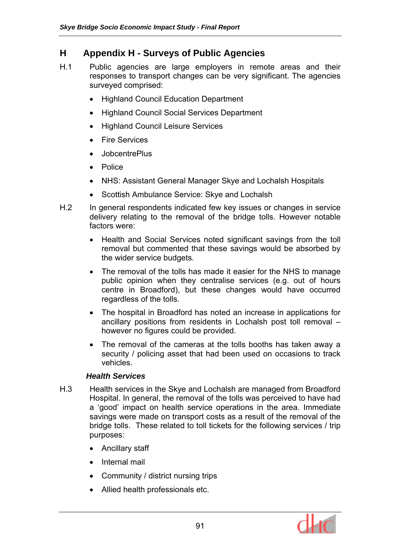## **H Appendix H - Surveys of Public Agencies**

- H.1 Public agencies are large employers in remote areas and their responses to transport changes can be very significant. The agencies surveyed comprised:
	- Highland Council Education Department
	- Highland Council Social Services Department
	- Highland Council Leisure Services
	- Fire Services
	- JobcentrePlus
	- Police
	- NHS: Assistant General Manager Skye and Lochalsh Hospitals
	- Scottish Ambulance Service: Skye and Lochalsh
- H.2 In general respondents indicated few key issues or changes in service delivery relating to the removal of the bridge tolls. However notable factors were:
	- Health and Social Services noted significant savings from the toll removal but commented that these savings would be absorbed by the wider service budgets.
	- The removal of the tolls has made it easier for the NHS to manage public opinion when they centralise services (e.g. out of hours centre in Broadford), but these changes would have occurred regardless of the tolls.
	- The hospital in Broadford has noted an increase in applications for ancillary positions from residents in Lochalsh post toll removal – however no figures could be provided.
	- The removal of the cameras at the tolls booths has taken away a security / policing asset that had been used on occasions to track vehicles.

### *Health Services*

- H.3 Health services in the Skye and Lochalsh are managed from Broadford Hospital. In general, the removal of the tolls was perceived to have had a 'good' impact on health service operations in the area. Immediate savings were made on transport costs as a result of the removal of the bridge tolls. These related to toll tickets for the following services / trip purposes:
	- Ancillary staff
	- Internal mail
	- Community / district nursing trips
	- Allied health professionals etc.

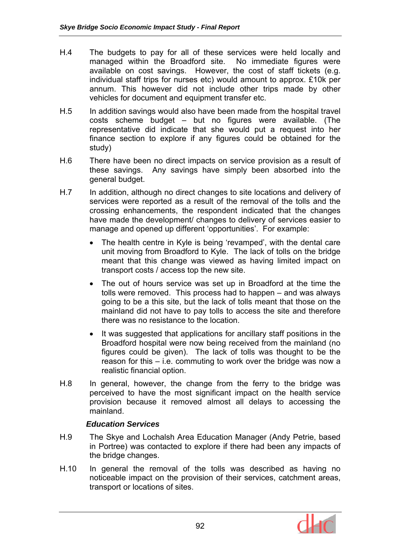- H.4 The budgets to pay for all of these services were held locally and managed within the Broadford site. No immediate figures were available on cost savings. However, the cost of staff tickets (e.g. individual staff trips for nurses etc) would amount to approx. £10k per annum. This however did not include other trips made by other vehicles for document and equipment transfer etc.
- H.5 In addition savings would also have been made from the hospital travel costs scheme budget – but no figures were available. (The representative did indicate that she would put a request into her finance section to explore if any figures could be obtained for the study)
- H.6 There have been no direct impacts on service provision as a result of these savings. Any savings have simply been absorbed into the general budget.
- H.7 In addition, although no direct changes to site locations and delivery of services were reported as a result of the removal of the tolls and the crossing enhancements, the respondent indicated that the changes have made the development/ changes to delivery of services easier to manage and opened up different 'opportunities'. For example:
	- The health centre in Kyle is being 'revamped', with the dental care unit moving from Broadford to Kyle. The lack of tolls on the bridge meant that this change was viewed as having limited impact on transport costs / access top the new site.
	- The out of hours service was set up in Broadford at the time the tolls were removed. This process had to happen – and was always going to be a this site, but the lack of tolls meant that those on the mainland did not have to pay tolls to access the site and therefore there was no resistance to the location.
	- It was suggested that applications for ancillary staff positions in the Broadford hospital were now being received from the mainland (no figures could be given). The lack of tolls was thought to be the reason for this – i.e. commuting to work over the bridge was now a realistic financial option.
- H.8 In general, however, the change from the ferry to the bridge was perceived to have the most significant impact on the health service provision because it removed almost all delays to accessing the mainland.

## *Education Services*

- H.9 The Skye and Lochalsh Area Education Manager (Andy Petrie, based in Portree) was contacted to explore if there had been any impacts of the bridge changes.
- H.10 In general the removal of the tolls was described as having no noticeable impact on the provision of their services, catchment areas, transport or locations of sites.

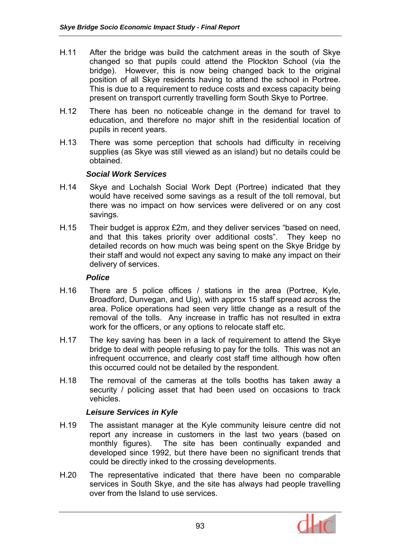- H.11 After the bridge was build the catchment areas in the south of Skye changed so that pupils could attend the Plockton School (via the bridge). However, this is now being changed back to the original position of all Skye residents having to attend the school in Portree. This is due to a requirement to reduce costs and excess capacity being present on transport currently travelling form South Skye to Portree.
- H.12 There has been no noticeable change in the demand for travel to education, and therefore no major shift in the residential location of pupils in recent years.
- H.13 There was some perception that schools had difficulty in receiving supplies (as Skye was still viewed as an island) but no details could be obtained.

### *Social Work Services*

- H.14 Skye and Lochalsh Social Work Dept (Portree) indicated that they would have received some savings as a result of the toll removal, but there was no impact on how services were delivered or on any cost savings.
- H.15 Their budget is approx £2m, and they deliver services "based on need, and that this takes priority over additional costs". They keep no detailed records on how much was being spent on the Skye Bridge by their staff and would not expect any saving to make any impact on their delivery of services.

### *Police*

- H.16 There are 5 police offices / stations in the area (Portree, Kyle, Broadford, Dunvegan, and Uig), with approx 15 staff spread across the area. Police operations had seen very little change as a result of the removal of the tolls. Any increase in traffic has not resulted in extra work for the officers, or any options to relocate staff etc.
- H.17 The key saving has been in a lack of requirement to attend the Skye bridge to deal with people refusing to pay for the tolls. This was not an infrequent occurrence, and clearly cost staff time although how often this occurred could not be detailed by the respondent.
- H.18 The removal of the cameras at the tolls booths has taken away a security / policing asset that had been used on occasions to track vehicles.

## *Leisure Services in Kyle*

- H.19 The assistant manager at the Kyle community leisure centre did not report any increase in customers in the last two years (based on monthly figures). The site has been continually expanded and developed since 1992, but there have been no significant trends that could be directly inked to the crossing developments.
- H.20 The representative indicated that there have been no comparable services in South Skye, and the site has always had people travelling over from the Island to use services.

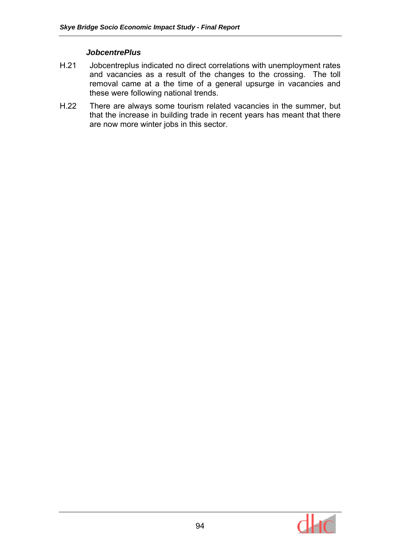### *JobcentrePlus*

- H.21 Jobcentreplus indicated no direct correlations with unemployment rates and vacancies as a result of the changes to the crossing. The toll removal came at a the time of a general upsurge in vacancies and these were following national trends.
- H.22 There are always some tourism related vacancies in the summer, but that the increase in building trade in recent years has meant that there are now more winter jobs in this sector.

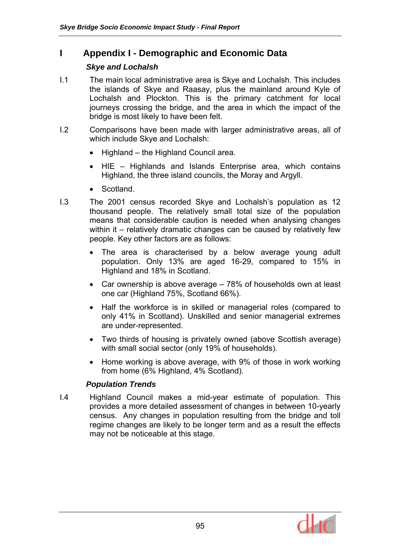## **I Appendix I - Demographic and Economic Data**

## *Skye and Lochalsh*

- I.1 The main local administrative area is Skye and Lochalsh. This includes the islands of Skye and Raasay, plus the mainland around Kyle of Lochalsh and Plockton. This is the primary catchment for local journeys crossing the bridge, and the area in which the impact of the bridge is most likely to have been felt.
- I.2 Comparisons have been made with larger administrative areas, all of which include Skye and Lochalsh:
	- Highland the Highland Council area.
	- HIE Highlands and Islands Enterprise area, which contains Highland, the three island councils, the Moray and Argyll.
	- Scotland.
- I.3 The 2001 census recorded Skye and Lochalsh's population as 12 thousand people. The relatively small total size of the population means that considerable caution is needed when analysing changes within it – relatively dramatic changes can be caused by relatively few people. Key other factors are as follows:
	- The area is characterised by a below average young adult population. Only 13% are aged 16-29, compared to 15% in Highland and 18% in Scotland.
	- Car ownership is above average 78% of households own at least one car (Highland 75%, Scotland 66%).
	- Half the workforce is in skilled or managerial roles (compared to only 41% in Scotland). Unskilled and senior managerial extremes are under-represented.
	- Two thirds of housing is privately owned (above Scottish average) with small social sector (only 19% of households).
	- Home working is above average, with 9% of those in work working from home (6% Highland, 4% Scotland).

## *Population Trends*

I.4 Highland Council makes a mid-year estimate of population. This provides a more detailed assessment of changes in between 10-yearly census. Any changes in population resulting from the bridge and toll regime changes are likely to be longer term and as a result the effects may not be noticeable at this stage.

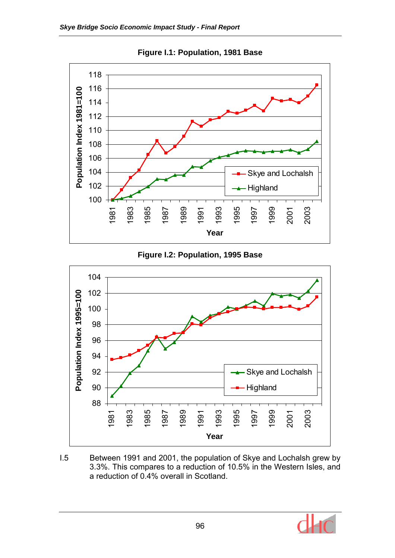

**Figure I.1: Population, 1981 Base** 





I.5 Between 1991 and 2001, the population of Skye and Lochalsh grew by 3.3%. This compares to a reduction of 10.5% in the Western Isles, and a reduction of 0.4% overall in Scotland.

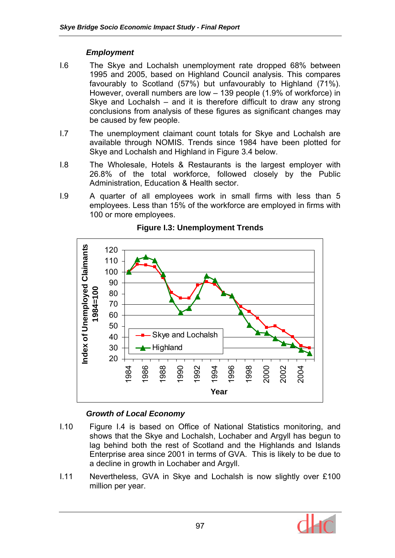## *Employment*

- I.6 The Skye and Lochalsh unemployment rate dropped 68% between 1995 and 2005, based on Highland Council analysis. This compares favourably to Scotland (57%) but unfavourably to Highland (71%). However, overall numbers are low – 139 people (1.9% of workforce) in Skye and Lochalsh – and it is therefore difficult to draw any strong conclusions from analysis of these figures as significant changes may be caused by few people.
- I.7 The unemployment claimant count totals for Skye and Lochalsh are available through NOMIS. Trends since 1984 have been plotted for Skye and Lochalsh and Highland in Figure 3.4 below.
- I.8 The Wholesale, Hotels & Restaurants is the largest employer with 26.8% of the total workforce, followed closely by the Public Administration, Education & Health sector.
- I.9 A quarter of all employees work in small firms with less than 5 employees. Less than 15% of the workforce are employed in firms with 100 or more employees.



## **Figure I.3: Unemployment Trends**

## *Growth of Local Economy*

- I.10 Figure I.4 is based on Office of National Statistics monitoring, and shows that the Skye and Lochalsh, Lochaber and Argyll has begun to lag behind both the rest of Scotland and the Highlands and Islands Enterprise area since 2001 in terms of GVA. This is likely to be due to a decline in growth in Lochaber and Argyll.
- I.11 Nevertheless, GVA in Skye and Lochalsh is now slightly over £100 million per year.

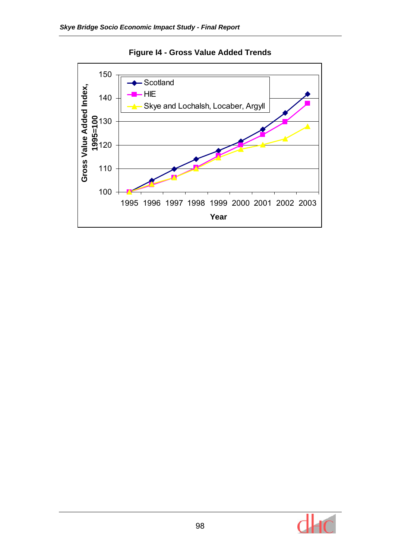

**Figure I4 - Gross Value Added Trends** 

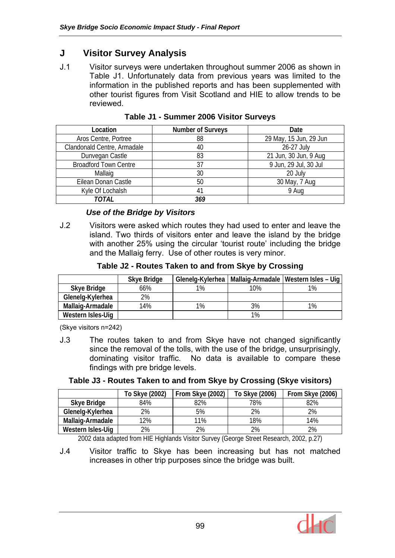## **J Visitor Survey Analysis**

J.1 Visitor surveys were undertaken throughout summer 2006 as shown in Table J1. Unfortunately data from previous years was limited to the information in the published reports and has been supplemented with other tourist figures from Visit Scotland and HIE to allow trends to be reviewed.

| Location                     | <b>Number of Surveys</b> | Date                   |
|------------------------------|--------------------------|------------------------|
| Aros Centre, Portree         | 88                       | 29 May, 15 Jun, 29 Jun |
| Clandonald Centre, Armadale  | 40                       | 26-27 July             |
| Dunvegan Castle              | 83                       | 21 Jun, 30 Jun, 9 Aug  |
| <b>Broadford Town Centre</b> | 37                       | 9 Jun, 29 Jul, 30 Jul  |
| Mallaig                      | 30                       | 20 July                |
| Eilean Donan Castle          | 50                       | 30 May, 7 Aug          |
| Kyle Of Lochalsh             |                          | 9 Aug                  |
| TOTAL                        | 369                      |                        |

**Table J1 - Summer 2006 Visitor Surveys** 

## *Use of the Bridge by Visitors*

J.2 Visitors were asked which routes they had used to enter and leave the island. Two thirds of visitors enter and leave the island by the bridge with another 25% using the circular 'tourist route' including the bridge and the Mallaig ferry. Use of other routes is very minor.

**Table J2 - Routes Taken to and from Skye by Crossing** 

|                   | Skye Bridge | Glenelg-Kylerhea |     | Mallaig-Armadale   Western Isles – Uig |
|-------------------|-------------|------------------|-----|----------------------------------------|
| Skye Bridge       | 66%         | 1%               | 10% | $1\%$                                  |
| Glenelg-Kylerhea  | 2%          |                  |     |                                        |
| Mallaig-Armadale  | 14%         | 1%               | 3%  | $1\%$                                  |
| Western Isles-Uig |             |                  | 1%  |                                        |

(Skye visitors n=242)

J.3 The routes taken to and from Skye have not changed significantly since the removal of the tolls, with the use of the bridge, unsurprisingly, dominating visitor traffic. No data is available to compare these findings with pre bridge levels.

|                   | To Skye (2002) | From Skye (2002) | To Skye (2006) | From Skye (2006) |
|-------------------|----------------|------------------|----------------|------------------|
| Skye Bridge       | 84%            | 82%              | 78%            | 82%              |
| Glenelg-Kylerhea  | 2%             | 5%               | 2%             | 2%               |
| Mallaig-Armadale  | 12%            | 11%              | 18%            | 14%              |
| Western Isles-Uig | 2%             | 2%               | 2%             | 2%               |

2002 data adapted from HIE Highlands Visitor Survey (George Street Research, 2002, p.27)

J.4 Visitor traffic to Skye has been increasing but has not matched increases in other trip purposes since the bridge was built.

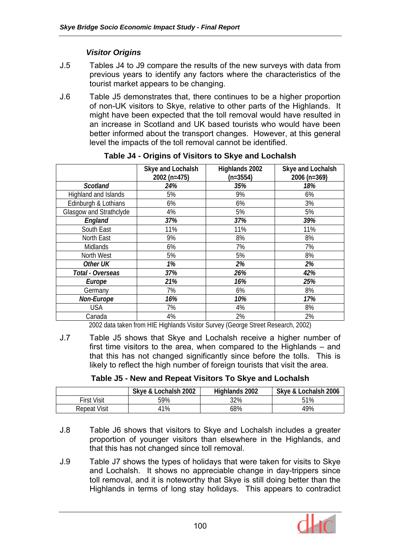## *Visitor Origins*

- J.5 Tables J4 to J9 compare the results of the new surveys with data from previous years to identify any factors where the characteristics of the tourist market appears to be changing.
- J.6 Table J5 demonstrates that, there continues to be a higher proportion of non-UK visitors to Skye, relative to other parts of the Highlands. It might have been expected that the toll removal would have resulted in an increase in Scotland and UK based tourists who would have been better informed about the transport changes. However, at this general level the impacts of the toll removal cannot be identified.

|                         | Skye and Lochalsh<br>2002 (n=475) | Highlands 2002<br>$(n=3554)$ | Skye and Lochalsh<br>2006 (n=369) |
|-------------------------|-----------------------------------|------------------------------|-----------------------------------|
| <b>Scotland</b>         | 24%                               | 35%                          | 18%                               |
| Highland and Islands    | 5%                                | 9%                           | 6%                                |
| Edinburgh & Lothians    | 6%                                | 6%                           | 3%                                |
| Glasgow and Strathclyde | 4%                                | 5%                           | 5%                                |
| England                 | 37%                               | 37%                          | 39%                               |
| South East              | 11%                               | 11%                          | 11%                               |
| North East              | 9%                                | 8%                           | 8%                                |
| Midlands                | 6%                                | 7%                           | 7%                                |
| North West              | 5%                                | 5%                           | 8%                                |
| Other UK                | 1%                                | 2%                           | 2%                                |
| Total - Overseas        | 37%                               | 26%                          | 42%                               |
| Europe                  | 21%                               | 16%                          | 25%                               |
| Germany                 | 7%                                | 6%                           | 8%                                |
| Non-Europe              | 16%                               | 10%                          | 17%                               |
| <b>USA</b>              | 7%                                | 4%                           | 8%                                |
| Canada                  | 4%                                | 2%                           | 2%                                |

**Table J4 - Origins of Visitors to Skye and Lochalsh** 

2002 data taken from HIE Highlands Visitor Survey (George Street Research, 2002)

J.7 Table J5 shows that Skye and Lochalsh receive a higher number of first time visitors to the area, when compared to the Highlands – and that this has not changed significantly since before the tolls. This is likely to reflect the high number of foreign tourists that visit the area.

| Table J5 - New and Repeat Visitors To Skye and Lochalsh |  |  |
|---------------------------------------------------------|--|--|
|                                                         |  |  |

|                     | Skye & Lochalsh 2002 | Highlands 2002 | Skye & Lochalsh 2006 |
|---------------------|----------------------|----------------|----------------------|
| <b>First Visit</b>  | 59%                  | 32%            | 51%                  |
| <b>Repeat Visit</b> | $1\%$                | 68%            | 49%                  |

- J.8 Table J6 shows that visitors to Skye and Lochalsh includes a greater proportion of younger visitors than elsewhere in the Highlands, and that this has not changed since toll removal.
- J.9 Table J7 shows the types of holidays that were taken for visits to Skye and Lochalsh. It shows no appreciable change in day-trippers since toll removal, and it is noteworthy that Skye is still doing better than the Highlands in terms of long stay holidays. This appears to contradict

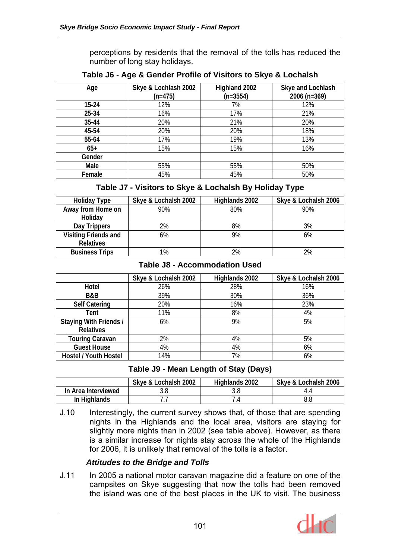perceptions by residents that the removal of the tolls has reduced the number of long stay holidays.

| Age       | Skye & Lochlash 2002<br>$(n=475)$ | Highland 2002<br>$(n=3554)$ | Skye and Lochlash<br>2006 (n=369) |
|-----------|-----------------------------------|-----------------------------|-----------------------------------|
| $15 - 24$ | 12%                               | 7%                          | 12%                               |
| 25-34     | 16%                               | 17%                         | 21%                               |
| 35-44     | 20%                               | 21%                         | 20%                               |
| 45-54     | 20%                               | 20%                         | 18%                               |
| 55-64     | 17%                               | 19%                         | 13%                               |
| $65+$     | 15%                               | 15%                         | 16%                               |
| Gender    |                                   |                             |                                   |
| Male      | 55%                               | 55%                         | 50%                               |
| Female    | 45%                               | 45%                         | 50%                               |

**Table J6 - Age & Gender Profile of Visitors to Skye & Lochalsh** 

## **Table J7 - Visitors to Skye & Lochalsh By Holiday Type**

| <b>Holiday Type</b>   | Skye & Lochalsh 2002 | Highlands 2002 | Skye & Lochalsh 2006 |
|-----------------------|----------------------|----------------|----------------------|
| Away from Home on     | 90%                  | 80%            | 90%                  |
| Holiday               |                      |                |                      |
| Day Trippers          | 2%                   | 8%             | 3%                   |
| Visiting Friends and  | 6%                   | 9%             | 6%                   |
| <b>Relatives</b>      |                      |                |                      |
| <b>Business Trips</b> | 1%                   | 2%             | 2%                   |

#### **Table J8 - Accommodation Used**

|                              | Skye & Lochalsh 2002 | Highlands 2002 | Skye & Lochalsh 2006 |
|------------------------------|----------------------|----------------|----------------------|
| Hotel                        | 26%                  | 28%            | 16%                  |
| B&B                          | 39%                  | 30%            | 36%                  |
| <b>Self Catering</b>         | 20%                  | 16%            | 23%                  |
| Tent                         | 11%                  | 8%             | 4%                   |
| Staying With Friends /       | 6%                   | 9%             | 5%                   |
| <b>Relatives</b>             |                      |                |                      |
| <b>Touring Caravan</b>       | 2%                   | 4%             | 5%                   |
| <b>Guest House</b>           | 4%                   | 4%             | 6%                   |
| <b>Hostel / Youth Hostel</b> | 14%                  | 7%             | 6%                   |

## **Table J9 - Mean Length of Stay (Days)**

|                     | Skye & Lochalsh 2002 | Highlands 2002 | Skye & Lochalsh 2006 |  |
|---------------------|----------------------|----------------|----------------------|--|
| In Area Interviewed |                      |                |                      |  |
| In Highlands        |                      |                | 8.8                  |  |

J.10 Interestingly, the current survey shows that, of those that are spending nights in the Highlands and the local area, visitors are staying for slightly more nights than in 2002 (see table above). However, as there is a similar increase for nights stay across the whole of the Highlands for 2006, it is unlikely that removal of the tolls is a factor.

## *Attitudes to the Bridge and Tolls*

J.11 In 2005 a national motor caravan magazine did a feature on one of the campsites on Skye suggesting that now the tolls had been removed the island was one of the best places in the UK to visit. The business

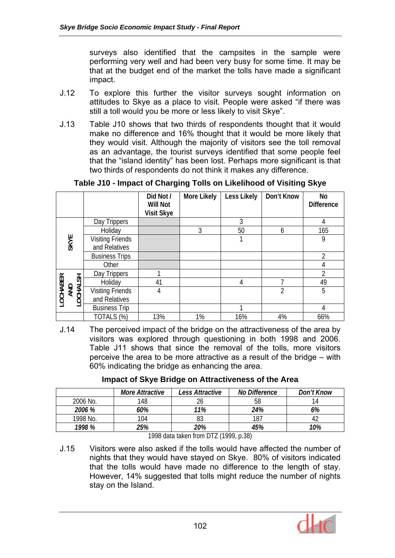surveys also identified that the campsites in the sample were performing very well and had been very busy for some time. It may be that at the budget end of the market the tolls have made a significant impact.

- J.12 To explore this further the visitor surveys sought information on attitudes to Skye as a place to visit. People were asked "if there was still a toll would you be more or less likely to visit Skye".
- J.13 Table J10 shows that two thirds of respondents thought that it would make no difference and 16% thought that it would be more likely that they would visit. Although the majority of visitors see the toll removal as an advantage, the tourist surveys identified that some people feel that the "island identity" has been lost. Perhaps more significant is that two thirds of respondents do not think it makes any difference.

|                             |                                          | Did Not /<br>Will Not<br><b>Visit Skye</b> | More Likely | Less Likely | Don't Know     | No<br><b>Difference</b> |
|-----------------------------|------------------------------------------|--------------------------------------------|-------------|-------------|----------------|-------------------------|
|                             | Day Trippers                             |                                            |             | 3           |                |                         |
|                             | Holiday                                  |                                            | 3           | 50          | 6              | 165                     |
| SKYE                        | <b>Visiting Friends</b><br>and Relatives |                                            |             |             |                | 9                       |
|                             | <b>Business Trips</b>                    |                                            |             |             |                | $\mathfrak{D}$          |
|                             | Other                                    |                                            |             |             |                | 4                       |
|                             | Day Trippers                             |                                            |             |             |                | 2                       |
| LOCHABER<br>AND<br>LOCHALSH | Holiday                                  | 41                                         |             | 4           | ᄀ              | 49                      |
|                             | <b>Visiting Friends</b>                  | 4                                          |             |             | $\overline{2}$ | 5                       |
|                             | and Relatives                            |                                            |             |             |                |                         |
|                             | <b>Business Trip</b>                     |                                            |             | 1           |                | 4                       |
|                             | TOTALS (%)                               | 13%                                        | 1%          | 16%         | 4%             | 66%                     |

### **Table J10 - Impact of Charging Tolls on Likelihood of Visiting Skye**

J.14 The perceived impact of the bridge on the attractiveness of the area by visitors was explored through questioning in both 1998 and 2006. Table J11 shows that since the removal of the tolls, more visitors perceive the area to be more attractive as a result of the bridge – with 60% indicating the bridge as enhancing the area.

|  |  | <b>Impact of Skye Bridge on Attractiveness of the Area</b> |  |
|--|--|------------------------------------------------------------|--|
|--|--|------------------------------------------------------------|--|

|          | More Attractive | Less Attractive | No Difference | Don't Know |
|----------|-----------------|-----------------|---------------|------------|
| 2006 No. | 148             |                 | 58            |            |
| 2006 %   | 60%             | 11%             | 24%           | 6%         |
| 1998 No. | 104             |                 | 187           |            |
| 1998 %   | 25%             | 20%             | 45%           | 10%        |

1998 data taken from DTZ (1999, p.38)

J.15 Visitors were also asked if the tolls would have affected the number of nights that they would have stayed on Skye. 80% of visitors indicated that the tolls would have made no difference to the length of stay. However, 14% suggested that tolls might reduce the number of nights stay on the Island.

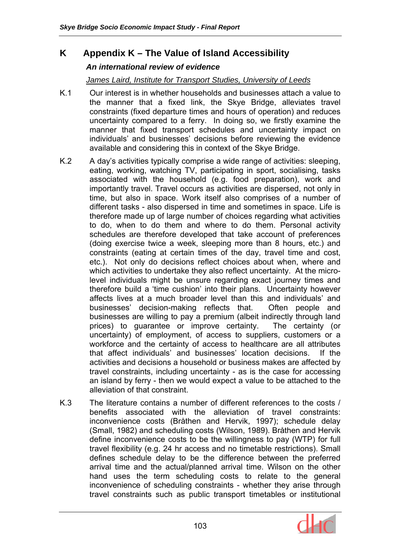# **K Appendix K – The Value of Island Accessibility**

### *An international review of evidence*

### *James Laird, Institute for Transport Studies, University of Leeds*

- K.1 Our interest is in whether households and businesses attach a value to the manner that a fixed link, the Skye Bridge, alleviates travel constraints (fixed departure times and hours of operation) and reduces uncertainty compared to a ferry. In doing so, we firstly examine the manner that fixed transport schedules and uncertainty impact on individuals' and businesses' decisions before reviewing the evidence available and considering this in context of the Skye Bridge.
- K.2 A day's activities typically comprise a wide range of activities: sleeping, eating, working, watching TV, participating in sport, socialising, tasks associated with the household (e.g. food preparation), work and importantly travel. Travel occurs as activities are dispersed, not only in time, but also in space. Work itself also comprises of a number of different tasks - also dispersed in time and sometimes in space. Life is therefore made up of large number of choices regarding what activities to do, when to do them and where to do them. Personal activity schedules are therefore developed that take account of preferences (doing exercise twice a week, sleeping more than 8 hours, etc.) and constraints (eating at certain times of the day, travel time and cost, etc.). Not only do decisions reflect choices about when, where and which activities to undertake they also reflect uncertainty. At the microlevel individuals might be unsure regarding exact journey times and therefore build a 'time cushion' into their plans. Uncertainty however affects lives at a much broader level than this and individuals' and businesses' decision-making reflects that. Often people and businesses are willing to pay a premium (albeit indirectly through land prices) to guarantee or improve certainty. The certainty (or uncertainty) of employment, of access to suppliers, customers or a workforce and the certainty of access to healthcare are all attributes that affect individuals' and businesses' location decisions. If the activities and decisions a household or business makes are affected by travel constraints, including uncertainty - as is the case for accessing an island by ferry - then we would expect a value to be attached to the alleviation of that constraint.
- K.3 The literature contains a number of different references to the costs / benefits associated with the alleviation of travel constraints: inconvenience costs (Bråthen and Hervik, 1997); schedule delay (Small, 1982) and scheduling costs (Wilson, 1989). Bråthen and Hervik define inconvenience costs to be the willingness to pay (WTP) for full travel flexibility (e.g. 24 hr access and no timetable restrictions). Small defines schedule delay to be the difference between the preferred arrival time and the actual/planned arrival time. Wilson on the other hand uses the term scheduling costs to relate to the general inconvenience of scheduling constraints - whether they arise through travel constraints such as public transport timetables or institutional

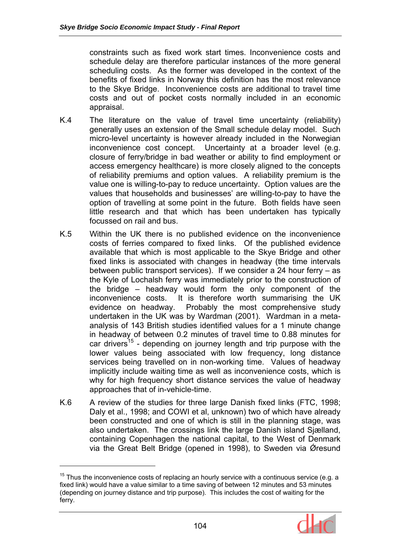constraints such as fixed work start times. Inconvenience costs and schedule delay are therefore particular instances of the more general scheduling costs. As the former was developed in the context of the benefits of fixed links in Norway this definition has the most relevance to the Skye Bridge. Inconvenience costs are additional to travel time costs and out of pocket costs normally included in an economic appraisal.

- K.4 The literature on the value of travel time uncertainty (reliability) generally uses an extension of the Small schedule delay model. Such micro-level uncertainty is however already included in the Norwegian inconvenience cost concept. Uncertainty at a broader level (e.g. closure of ferry/bridge in bad weather or ability to find employment or access emergency healthcare) is more closely aligned to the concepts of reliability premiums and option values. A reliability premium is the value one is willing-to-pay to reduce uncertainty. Option values are the values that households and businesses' are willing-to-pay to have the option of travelling at some point in the future. Both fields have seen little research and that which has been undertaken has typically focussed on rail and bus.
- K.5 Within the UK there is no published evidence on the inconvenience costs of ferries compared to fixed links. Of the published evidence available that which is most applicable to the Skye Bridge and other fixed links is associated with changes in headway (the time intervals between public transport services). If we consider a 24 hour ferry – as the Kyle of Lochalsh ferry was immediately prior to the construction of the bridge – headway would form the only component of the inconvenience costs. It is therefore worth summarising the UK evidence on headway. Probably the most comprehensive study undertaken in the UK was by Wardman (2001). Wardman in a metaanalysis of 143 British studies identified values for a 1 minute change in headway of between 0.2 minutes of travel time to 0.88 minutes for car drivers<sup>15</sup> - depending on journey length and trip purpose with the lower values being associated with low frequency, long distance services being travelled on in non-working time. Values of headway implicitly include waiting time as well as inconvenience costs, which is why for high frequency short distance services the value of headway approaches that of in-vehicle-time.
- K.6 A review of the studies for three large Danish fixed links (FTC, 1998; Daly et al., 1998; and COWI et al, unknown) two of which have already been constructed and one of which is still in the planning stage, was also undertaken. The crossings link the large Danish island Sjælland, containing Copenhagen the national capital, to the West of Denmark via the Great Belt Bridge (opened in 1998), to Sweden via Øresund

 $\overline{a}$ 



 $15$  Thus the inconvenience costs of replacing an hourly service with a continuous service (e.g. a fixed link) would have a value similar to a time saving of between 12 minutes and 53 minutes (depending on journey distance and trip purpose). This includes the cost of waiting for the ferry.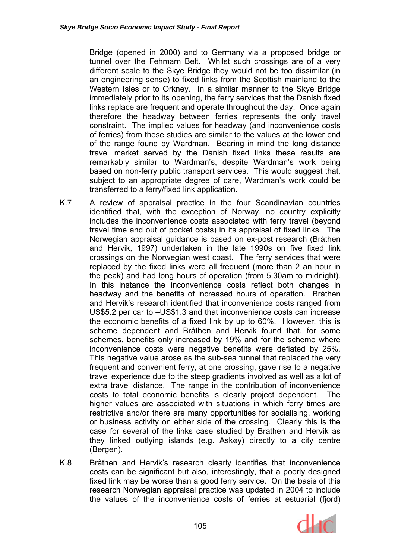Bridge (opened in 2000) and to Germany via a proposed bridge or tunnel over the Fehmarn Belt. Whilst such crossings are of a very different scale to the Skye Bridge they would not be too dissimilar (in an engineering sense) to fixed links from the Scottish mainland to the Western Isles or to Orkney. In a similar manner to the Skye Bridge immediately prior to its opening, the ferry services that the Danish fixed links replace are frequent and operate throughout the day. Once again therefore the headway between ferries represents the only travel constraint. The implied values for headway (and inconvenience costs of ferries) from these studies are similar to the values at the lower end of the range found by Wardman. Bearing in mind the long distance travel market served by the Danish fixed links these results are remarkably similar to Wardman's, despite Wardman's work being based on non-ferry public transport services. This would suggest that, subject to an appropriate degree of care, Wardman's work could be transferred to a ferry/fixed link application.

- K.7 A review of appraisal practice in the four Scandinavian countries identified that, with the exception of Norway, no country explicitly includes the inconvenience costs associated with ferry travel (beyond travel time and out of pocket costs) in its appraisal of fixed links. The Norwegian appraisal guidance is based on ex-post research (Bråthen and Hervik, 1997) undertaken in the late 1990s on five fixed link crossings on the Norwegian west coast. The ferry services that were replaced by the fixed links were all frequent (more than 2 an hour in the peak) and had long hours of operation (from 5.30am to midnight). In this instance the inconvenience costs reflect both changes in headway and the benefits of increased hours of operation. Bråthen and Hervik's research identified that inconvenience costs ranged from US\$5.2 per car to –US\$1.3 and that inconvenience costs can increase the economic benefits of a fixed link by up to 60%. However, this is scheme dependent and Bråthen and Hervik found that, for some schemes, benefits only increased by 19% and for the scheme where inconvenience costs were negative benefits were deflated by 25%. This negative value arose as the sub-sea tunnel that replaced the very frequent and convenient ferry, at one crossing, gave rise to a negative travel experience due to the steep gradients involved as well as a lot of extra travel distance. The range in the contribution of inconvenience costs to total economic benefits is clearly project dependent. The higher values are associated with situations in which ferry times are restrictive and/or there are many opportunities for socialising, working or business activity on either side of the crossing. Clearly this is the case for several of the links case studied by Brathen and Hervik as they linked outlying islands (e.g. Askøy) directly to a city centre (Bergen).
- K.8 Bråthen and Hervik's research clearly identifies that inconvenience costs can be significant but also, interestingly, that a poorly designed fixed link may be worse than a good ferry service. On the basis of this research Norwegian appraisal practice was updated in 2004 to include the values of the inconvenience costs of ferries at estuarial (fjord)

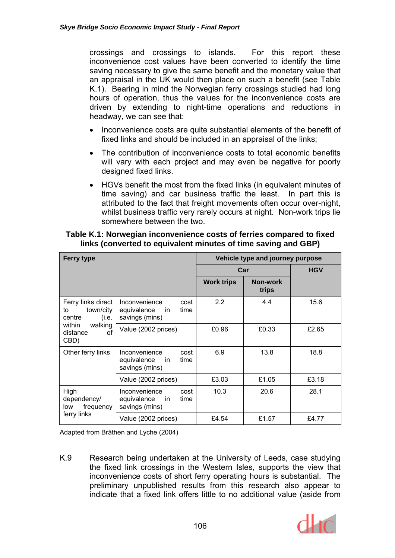crossings and crossings to islands. For this report these inconvenience cost values have been converted to identify the time saving necessary to give the same benefit and the monetary value that an appraisal in the UK would then place on such a benefit (see Table K.1). Bearing in mind the Norwegian ferry crossings studied had long hours of operation, thus the values for the inconvenience costs are driven by extending to night-time operations and reductions in headway, we can see that:

- Inconvenience costs are quite substantial elements of the benefit of fixed links and should be included in an appraisal of the links;
- The contribution of inconvenience costs to total economic benefits will vary with each project and may even be negative for poorly designed fixed links.
- HGVs benefit the most from the fixed links (in equivalent minutes of time saving) and car business traffic the least. In part this is attributed to the fact that freight movements often occur over-night, whilst business traffic very rarely occurs at night. Non-work trips lie somewhere between the two.

| <b>Ferry type</b>                                                                                       |                                                                                 | Vehicle type and journey purpose |                   |       |  |
|---------------------------------------------------------------------------------------------------------|---------------------------------------------------------------------------------|----------------------------------|-------------------|-------|--|
|                                                                                                         |                                                                                 | Car                              | <b>HGV</b>        |       |  |
|                                                                                                         |                                                                                 | <b>Work trips</b>                | Non-work<br>trips |       |  |
| Ferry links direct<br>town/city<br>to<br>(i.e.<br>centre<br>within<br>walking<br>distance<br>οf<br>CBD) | Inconvenience<br>cost<br>equivalence<br>time<br>in.<br>savings (mins)           | 2.2                              | 4.4               | 15.6  |  |
|                                                                                                         | Value (2002 prices)                                                             | £0.96                            | £0.33             | £2.65 |  |
| Other ferry links                                                                                       | Inconvenience<br>cost<br>equivalence<br>time<br><sub>in</sub><br>savings (mins) | 6.9                              | 13.8              | 18.8  |  |
|                                                                                                         | Value (2002 prices)                                                             | £3.03                            | £1.05             | £3.18 |  |
| High<br>dependency/<br>frequency<br>low<br>ferry links                                                  | Inconvenience<br>cost<br>equivalence<br>time<br><sub>in</sub><br>savings (mins) | 10.3                             | 20.6              | 28.1  |  |
|                                                                                                         | Value (2002 prices)                                                             | £4.54                            | £1.57             | £4.77 |  |

## **Table K.1: Norwegian inconvenience costs of ferries compared to fixed links (converted to equivalent minutes of time saving and GBP)**

Adapted from Bråthen and Lyche (2004)

K.9 Research being undertaken at the University of Leeds, case studying the fixed link crossings in the Western Isles, supports the view that inconvenience costs of short ferry operating hours is substantial. The preliminary unpublished results from this research also appear to indicate that a fixed link offers little to no additional value (aside from

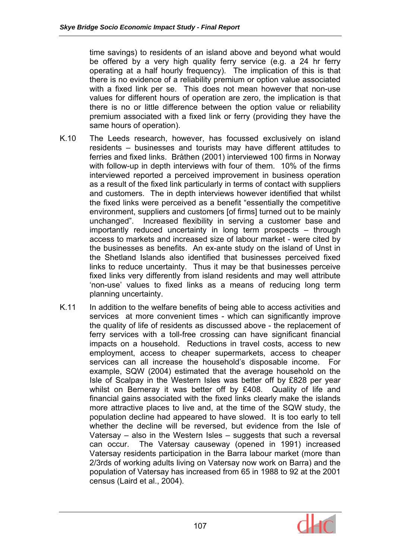time savings) to residents of an island above and beyond what would be offered by a very high quality ferry service (e.g. a 24 hr ferry operating at a half hourly frequency). The implication of this is that there is no evidence of a reliability premium or option value associated with a fixed link per se. This does not mean however that non-use values for different hours of operation are zero, the implication is that there is no or little difference between the option value or reliability premium associated with a fixed link or ferry (providing they have the same hours of operation).

- K.10 The Leeds research, however, has focussed exclusively on island residents – businesses and tourists may have different attitudes to ferries and fixed links. Bråthen (2001) interviewed 100 firms in Norway with follow-up in depth interviews with four of them. 10% of the firms interviewed reported a perceived improvement in business operation as a result of the fixed link particularly in terms of contact with suppliers and customers. The in depth interviews however identified that whilst the fixed links were perceived as a benefit "essentially the competitive environment, suppliers and customers [of firms] turned out to be mainly unchanged". Increased flexibility in serving a customer base and importantly reduced uncertainty in long term prospects – through access to markets and increased size of labour market - were cited by the businesses as benefits. An ex-ante study on the island of Unst in the Shetland Islands also identified that businesses perceived fixed links to reduce uncertainty. Thus it may be that businesses perceive fixed links very differently from island residents and may well attribute 'non-use' values to fixed links as a means of reducing long term planning uncertainty.
- K.11 In addition to the welfare benefits of being able to access activities and services at more convenient times - which can significantly improve the quality of life of residents as discussed above - the replacement of ferry services with a toll-free crossing can have significant financial impacts on a household. Reductions in travel costs, access to new employment, access to cheaper supermarkets, access to cheaper services can all increase the household's disposable income. For example, SQW (2004) estimated that the average household on the Isle of Scalpay in the Western Isles was better off by £828 per year whilst on Berneray it was better off by £408. Quality of life and financial gains associated with the fixed links clearly make the islands more attractive places to live and, at the time of the SQW study, the population decline had appeared to have slowed. It is too early to tell whether the decline will be reversed, but evidence from the Isle of Vatersay – also in the Western Isles – suggests that such a reversal can occur. The Vatersay causeway (opened in 1991) increased Vatersay residents participation in the Barra labour market (more than 2/3rds of working adults living on Vatersay now work on Barra) and the population of Vatersay has increased from 65 in 1988 to 92 at the 2001 census (Laird et al., 2004).

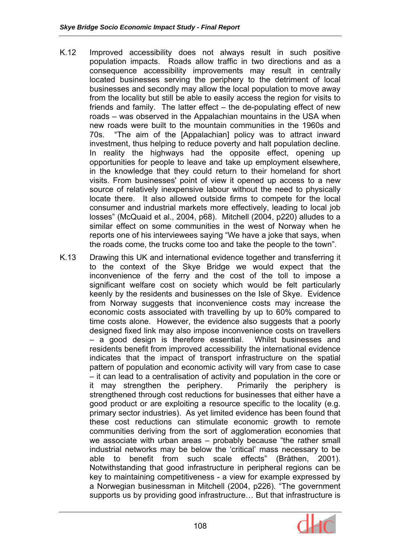- K.12 Improved accessibility does not always result in such positive population impacts. Roads allow traffic in two directions and as a consequence accessibility improvements may result in centrally located businesses serving the periphery to the detriment of local businesses and secondly may allow the local population to move away from the locality but still be able to easily access the region for visits to friends and family. The latter effect – the de-populating effect of new roads – was observed in the Appalachian mountains in the USA when new roads were built to the mountain communities in the 1960s and 70s. "The aim of the [Appalachian] policy was to attract inward investment, thus helping to reduce poverty and halt population decline. In reality the highways had the opposite effect, opening up opportunities for people to leave and take up employment elsewhere, in the knowledge that they could return to their homeland for short visits. From businesses' point of view it opened up access to a new source of relatively inexpensive labour without the need to physically locate there. It also allowed outside firms to compete for the local consumer and industrial markets more effectively, leading to local job losses" (McQuaid et al., 2004, p68). Mitchell (2004, p220) alludes to a similar effect on some communities in the west of Norway when he reports one of his interviewees saying "We have a joke that says, when the roads come, the trucks come too and take the people to the town".
- K.13 Drawing this UK and international evidence together and transferring it to the context of the Skye Bridge we would expect that the inconvenience of the ferry and the cost of the toll to impose a significant welfare cost on society which would be felt particularly keenly by the residents and businesses on the Isle of Skye. Evidence from Norway suggests that inconvenience costs may increase the economic costs associated with travelling by up to 60% compared to time costs alone. However, the evidence also suggests that a poorly designed fixed link may also impose inconvenience costs on travellers – a good design is therefore essential. Whilst businesses and residents benefit from improved accessibility the international evidence indicates that the impact of transport infrastructure on the spatial pattern of population and economic activity will vary from case to case – it can lead to a centralisation of activity and population in the core or it may strengthen the periphery. Primarily the periphery is strengthened through cost reductions for businesses that either have a good product or are exploiting a resource specific to the locality (e.g. primary sector industries). As yet limited evidence has been found that these cost reductions can stimulate economic growth to remote communities deriving from the sort of agglomeration economies that we associate with urban areas – probably because "the rather small industrial networks may be below the 'critical' mass necessary to be able to benefit from such scale effects" (Bråthen, 2001). Notwithstanding that good infrastructure in peripheral regions can be key to maintaining competitiveness - a view for example expressed by a Norwegian businessman in Mitchell (2004, p226). "The government supports us by providing good infrastructure… But that infrastructure is